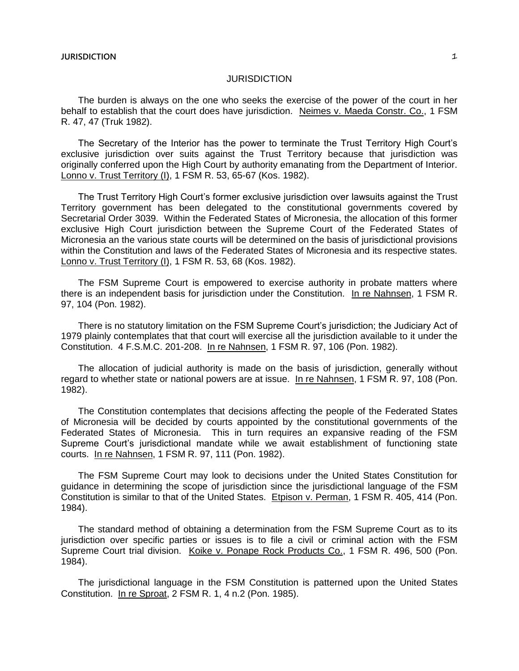The burden is always on the one who seeks the exercise of the power of the court in her behalf to establish that the court does have jurisdiction. Neimes v. Maeda Constr. Co., 1 FSM R. 47, 47 (Truk 1982).

The Secretary of the Interior has the power to terminate the Trust Territory High Court's exclusive jurisdiction over suits against the Trust Territory because that jurisdiction was originally conferred upon the High Court by authority emanating from the Department of Interior. Lonno v. Trust Territory (I), 1 FSM R. 53, 65-67 (Kos. 1982).

The Trust Territory High Court's former exclusive jurisdiction over lawsuits against the Trust Territory government has been delegated to the constitutional governments covered by Secretarial Order 3039. Within the Federated States of Micronesia, the allocation of this former exclusive High Court jurisdiction between the Supreme Court of the Federated States of Micronesia an the various state courts will be determined on the basis of jurisdictional provisions within the Constitution and laws of the Federated States of Micronesia and its respective states. Lonno v. Trust Territory (I), 1 FSM R. 53, 68 (Kos. 1982).

The FSM Supreme Court is empowered to exercise authority in probate matters where there is an independent basis for jurisdiction under the Constitution. In re Nahnsen, 1 FSM R. 97, 104 (Pon. 1982).

There is no statutory limitation on the FSM Supreme Court's jurisdiction; the Judiciary Act of 1979 plainly contemplates that that court will exercise all the jurisdiction available to it under the Constitution. 4 F.S.M.C. 201-208. In re Nahnsen, 1 FSM R. 97, 106 (Pon. 1982).

The allocation of judicial authority is made on the basis of jurisdiction, generally without regard to whether state or national powers are at issue. In re Nahnsen, 1 FSM R. 97, 108 (Pon. 1982).

The Constitution contemplates that decisions affecting the people of the Federated States of Micronesia will be decided by courts appointed by the constitutional governments of the Federated States of Micronesia. This in turn requires an expansive reading of the FSM Supreme Court's jurisdictional mandate while we await establishment of functioning state courts. In re Nahnsen, 1 FSM R. 97, 111 (Pon. 1982).

The FSM Supreme Court may look to decisions under the United States Constitution for guidance in determining the scope of jurisdiction since the jurisdictional language of the FSM Constitution is similar to that of the United States. Etpison v. Perman, 1 FSM R. 405, 414 (Pon. 1984).

The standard method of obtaining a determination from the FSM Supreme Court as to its jurisdiction over specific parties or issues is to file a civil or criminal action with the FSM Supreme Court trial division. Koike v. Ponape Rock Products Co., 1 FSM R. 496, 500 (Pon. 1984).

The jurisdictional language in the FSM Constitution is patterned upon the United States Constitution. In re Sproat, 2 FSM R. 1, 4 n.2 (Pon. 1985).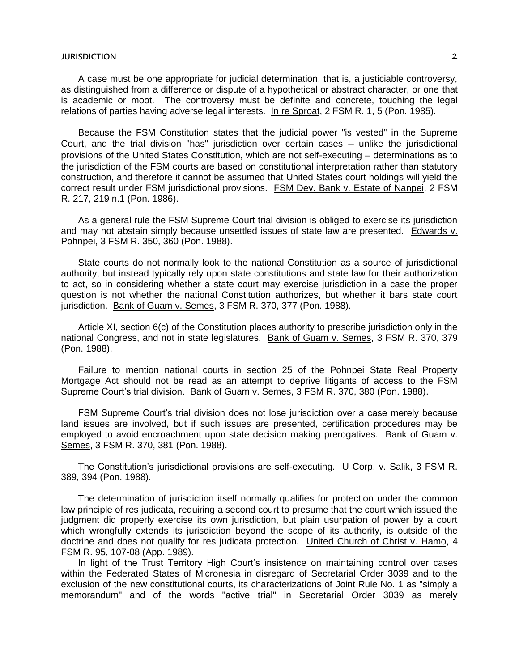A case must be one appropriate for judicial determination, that is, a justiciable controversy, as distinguished from a difference or dispute of a hypothetical or abstract character, or one that is academic or moot. The controversy must be definite and concrete, touching the legal relations of parties having adverse legal interests. In re Sproat, 2 FSM R. 1, 5 (Pon. 1985).

Because the FSM Constitution states that the judicial power "is vested" in the Supreme Court, and the trial division "has" jurisdiction over certain cases ─ unlike the jurisdictional provisions of the United States Constitution, which are not self-executing ─ determinations as to the jurisdiction of the FSM courts are based on constitutional interpretation rather than statutory construction, and therefore it cannot be assumed that United States court holdings will yield the correct result under FSM jurisdictional provisions. FSM Dev. Bank v. Estate of Nanpei, 2 FSM R. 217, 219 n.1 (Pon. 1986).

As a general rule the FSM Supreme Court trial division is obliged to exercise its jurisdiction and may not abstain simply because unsettled issues of state law are presented. Edwards v. Pohnpei, 3 FSM R. 350, 360 (Pon. 1988).

State courts do not normally look to the national Constitution as a source of jurisdictional authority, but instead typically rely upon state constitutions and state law for their authorization to act, so in considering whether a state court may exercise jurisdiction in a case the proper question is not whether the national Constitution authorizes, but whether it bars state court jurisdiction. Bank of Guam v. Semes, 3 FSM R. 370, 377 (Pon. 1988).

Article XI, section 6(c) of the Constitution places authority to prescribe jurisdiction only in the national Congress, and not in state legislatures. Bank of Guam v. Semes, 3 FSM R. 370, 379 (Pon. 1988).

Failure to mention national courts in section 25 of the Pohnpei State Real Property Mortgage Act should not be read as an attempt to deprive litigants of access to the FSM Supreme Court's trial division. Bank of Guam v. Semes, 3 FSM R. 370, 380 (Pon. 1988).

FSM Supreme Court's trial division does not lose jurisdiction over a case merely because land issues are involved, but if such issues are presented, certification procedures may be employed to avoid encroachment upon state decision making prerogatives. Bank of Guam v. Semes, 3 FSM R. 370, 381 (Pon. 1988).

The Constitution's jurisdictional provisions are self-executing. U Corp. v. Salik, 3 FSM R. 389, 394 (Pon. 1988).

The determination of jurisdiction itself normally qualifies for protection under the common law principle of res judicata, requiring a second court to presume that the court which issued the judgment did properly exercise its own jurisdiction, but plain usurpation of power by a court which wrongfully extends its jurisdiction beyond the scope of its authority, is outside of the doctrine and does not qualify for res judicata protection. United Church of Christ v. Hamo, 4 FSM R. 95, 107-08 (App. 1989).

In light of the Trust Territory High Court's insistence on maintaining control over cases within the Federated States of Micronesia in disregard of Secretarial Order 3039 and to the exclusion of the new constitutional courts, its characterizations of Joint Rule No. 1 as "simply a memorandum" and of the words "active trial" in Secretarial Order 3039 as merely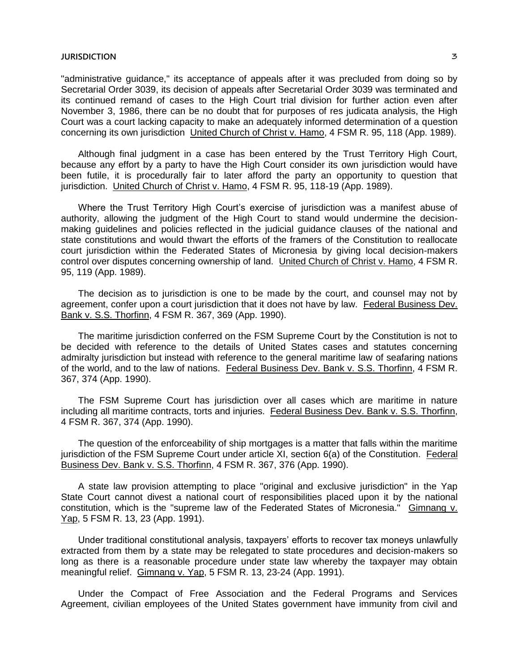"administrative guidance," its acceptance of appeals after it was precluded from doing so by Secretarial Order 3039, its decision of appeals after Secretarial Order 3039 was terminated and its continued remand of cases to the High Court trial division for further action even after November 3, 1986, there can be no doubt that for purposes of res judicata analysis, the High Court was a court lacking capacity to make an adequately informed determination of a question concerning its own jurisdiction United Church of Christ v. Hamo, 4 FSM R. 95, 118 (App. 1989).

Although final judgment in a case has been entered by the Trust Territory High Court, because any effort by a party to have the High Court consider its own jurisdiction would have been futile, it is procedurally fair to later afford the party an opportunity to question that jurisdiction. United Church of Christ v. Hamo, 4 FSM R. 95, 118-19 (App. 1989).

Where the Trust Territory High Court's exercise of jurisdiction was a manifest abuse of authority, allowing the judgment of the High Court to stand would undermine the decisionmaking guidelines and policies reflected in the judicial guidance clauses of the national and state constitutions and would thwart the efforts of the framers of the Constitution to reallocate court jurisdiction within the Federated States of Micronesia by giving local decision-makers control over disputes concerning ownership of land. United Church of Christ v. Hamo, 4 FSM R. 95, 119 (App. 1989).

The decision as to jurisdiction is one to be made by the court, and counsel may not by agreement, confer upon a court jurisdiction that it does not have by law. Federal Business Dev. Bank v. S.S. Thorfinn, 4 FSM R. 367, 369 (App. 1990).

The maritime jurisdiction conferred on the FSM Supreme Court by the Constitution is not to be decided with reference to the details of United States cases and statutes concerning admiralty jurisdiction but instead with reference to the general maritime law of seafaring nations of the world, and to the law of nations. Federal Business Dev. Bank v. S.S. Thorfinn, 4 FSM R. 367, 374 (App. 1990).

The FSM Supreme Court has jurisdiction over all cases which are maritime in nature including all maritime contracts, torts and injuries. Federal Business Dev. Bank v. S.S. Thorfinn, 4 FSM R. 367, 374 (App. 1990).

The question of the enforceability of ship mortgages is a matter that falls within the maritime jurisdiction of the FSM Supreme Court under article XI, section 6(a) of the Constitution. Federal Business Dev. Bank v. S.S. Thorfinn, 4 FSM R. 367, 376 (App. 1990).

A state law provision attempting to place "original and exclusive jurisdiction" in the Yap State Court cannot divest a national court of responsibilities placed upon it by the national constitution, which is the "supreme law of the Federated States of Micronesia." Gimnang v. Yap, 5 FSM R. 13, 23 (App. 1991).

Under traditional constitutional analysis, taxpayers' efforts to recover tax moneys unlawfully extracted from them by a state may be relegated to state procedures and decision-makers so long as there is a reasonable procedure under state law whereby the taxpayer may obtain meaningful relief. Gimnang v. Yap, 5 FSM R. 13, 23-24 (App. 1991).

Under the Compact of Free Association and the Federal Programs and Services Agreement, civilian employees of the United States government have immunity from civil and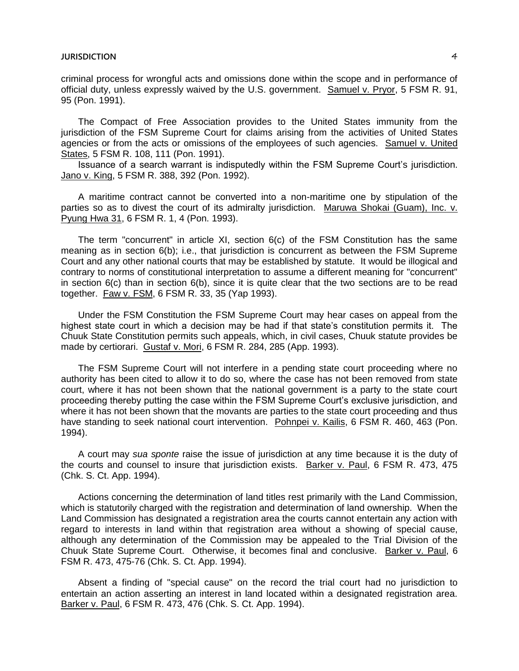criminal process for wrongful acts and omissions done within the scope and in performance of official duty, unless expressly waived by the U.S. government. Samuel v. Pryor, 5 FSM R. 91, 95 (Pon. 1991).

The Compact of Free Association provides to the United States immunity from the jurisdiction of the FSM Supreme Court for claims arising from the activities of United States agencies or from the acts or omissions of the employees of such agencies. Samuel v. United States, 5 FSM R. 108, 111 (Pon. 1991).

Issuance of a search warrant is indisputedly within the FSM Supreme Court's jurisdiction. Jano v. King, 5 FSM R. 388, 392 (Pon. 1992).

A maritime contract cannot be converted into a non-maritime one by stipulation of the parties so as to divest the court of its admiralty jurisdiction. Maruwa Shokai (Guam), Inc. v. Pyung Hwa 31, 6 FSM R. 1, 4 (Pon. 1993).

The term "concurrent" in article XI, section 6(c) of the FSM Constitution has the same meaning as in section 6(b); i.e., that jurisdiction is concurrent as between the FSM Supreme Court and any other national courts that may be established by statute. It would be illogical and contrary to norms of constitutional interpretation to assume a different meaning for "concurrent" in section  $6(c)$  than in section  $6(b)$ , since it is quite clear that the two sections are to be read together. Faw v. FSM, 6 FSM R. 33, 35 (Yap 1993).

Under the FSM Constitution the FSM Supreme Court may hear cases on appeal from the highest state court in which a decision may be had if that state's constitution permits it. The Chuuk State Constitution permits such appeals, which, in civil cases, Chuuk statute provides be made by certiorari. Gustaf v. Mori, 6 FSM R. 284, 285 (App. 1993).

The FSM Supreme Court will not interfere in a pending state court proceeding where no authority has been cited to allow it to do so, where the case has not been removed from state court, where it has not been shown that the national government is a party to the state court proceeding thereby putting the case within the FSM Supreme Court's exclusive jurisdiction, and where it has not been shown that the movants are parties to the state court proceeding and thus have standing to seek national court intervention. Pohnpei v. Kailis, 6 FSM R. 460, 463 (Pon. 1994).

A court may *sua sponte* raise the issue of jurisdiction at any time because it is the duty of the courts and counsel to insure that jurisdiction exists. Barker v. Paul, 6 FSM R. 473, 475 (Chk. S. Ct. App. 1994).

Actions concerning the determination of land titles rest primarily with the Land Commission, which is statutorily charged with the registration and determination of land ownership. When the Land Commission has designated a registration area the courts cannot entertain any action with regard to interests in land within that registration area without a showing of special cause, although any determination of the Commission may be appealed to the Trial Division of the Chuuk State Supreme Court. Otherwise, it becomes final and conclusive. Barker v. Paul, 6 FSM R. 473, 475-76 (Chk. S. Ct. App. 1994).

Absent a finding of "special cause" on the record the trial court had no jurisdiction to entertain an action asserting an interest in land located within a designated registration area. Barker v. Paul, 6 FSM R. 473, 476 (Chk. S. Ct. App. 1994).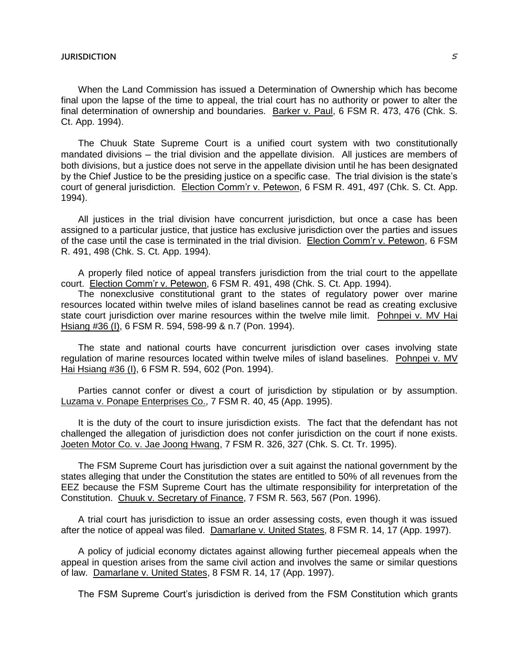When the Land Commission has issued a Determination of Ownership which has become final upon the lapse of the time to appeal, the trial court has no authority or power to alter the final determination of ownership and boundaries. Barker v. Paul, 6 FSM R. 473, 476 (Chk. S. Ct. App. 1994).

The Chuuk State Supreme Court is a unified court system with two constitutionally mandated divisions — the trial division and the appellate division. All justices are members of both divisions, but a justice does not serve in the appellate division until he has been designated by the Chief Justice to be the presiding justice on a specific case. The trial division is the state's court of general jurisdiction. Election Comm'r v. Petewon, 6 FSM R. 491, 497 (Chk. S. Ct. App. 1994).

All justices in the trial division have concurrent jurisdiction, but once a case has been assigned to a particular justice, that justice has exclusive jurisdiction over the parties and issues of the case until the case is terminated in the trial division. Election Comm'r v. Petewon, 6 FSM R. 491, 498 (Chk. S. Ct. App. 1994).

A properly filed notice of appeal transfers jurisdiction from the trial court to the appellate court. Election Comm'r v. Petewon, 6 FSM R. 491, 498 (Chk. S. Ct. App. 1994).

The nonexclusive constitutional grant to the states of regulatory power over marine resources located within twelve miles of island baselines cannot be read as creating exclusive state court jurisdiction over marine resources within the twelve mile limit. Pohnpei v. MV Hai Hsiang #36 (I), 6 FSM R. 594, 598-99 & n.7 (Pon. 1994).

The state and national courts have concurrent jurisdiction over cases involving state regulation of marine resources located within twelve miles of island baselines. Pohnpei v. MV Hai Hsiang #36 (I), 6 FSM R. 594, 602 (Pon. 1994).

Parties cannot confer or divest a court of jurisdiction by stipulation or by assumption. Luzama v. Ponape Enterprises Co., 7 FSM R. 40, 45 (App. 1995).

It is the duty of the court to insure jurisdiction exists. The fact that the defendant has not challenged the allegation of jurisdiction does not confer jurisdiction on the court if none exists. Joeten Motor Co. v. Jae Joong Hwang, 7 FSM R. 326, 327 (Chk. S. Ct. Tr. 1995).

The FSM Supreme Court has jurisdiction over a suit against the national government by the states alleging that under the Constitution the states are entitled to 50% of all revenues from the EEZ because the FSM Supreme Court has the ultimate responsibility for interpretation of the Constitution. Chuuk v. Secretary of Finance, 7 FSM R. 563, 567 (Pon. 1996).

A trial court has jurisdiction to issue an order assessing costs, even though it was issued after the notice of appeal was filed. Damarlane v. United States, 8 FSM R. 14, 17 (App. 1997).

A policy of judicial economy dictates against allowing further piecemeal appeals when the appeal in question arises from the same civil action and involves the same or similar questions of law. Damarlane v. United States, 8 FSM R. 14, 17 (App. 1997).

The FSM Supreme Court's jurisdiction is derived from the FSM Constitution which grants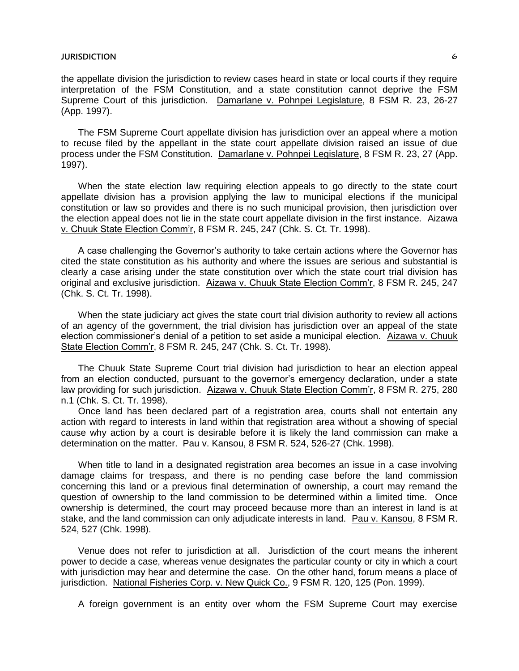the appellate division the jurisdiction to review cases heard in state or local courts if they require interpretation of the FSM Constitution, and a state constitution cannot deprive the FSM Supreme Court of this jurisdiction. Damarlane v. Pohnpei Legislature, 8 FSM R. 23, 26-27 (App. 1997).

The FSM Supreme Court appellate division has jurisdiction over an appeal where a motion to recuse filed by the appellant in the state court appellate division raised an issue of due process under the FSM Constitution. Damarlane v. Pohnpei Legislature, 8 FSM R. 23, 27 (App. 1997).

When the state election law requiring election appeals to go directly to the state court appellate division has a provision applying the law to municipal elections if the municipal constitution or law so provides and there is no such municipal provision, then jurisdiction over the election appeal does not lie in the state court appellate division in the first instance. Aizawa v. Chuuk State Election Comm'r, 8 FSM R. 245, 247 (Chk. S. Ct. Tr. 1998).

A case challenging the Governor's authority to take certain actions where the Governor has cited the state constitution as his authority and where the issues are serious and substantial is clearly a case arising under the state constitution over which the state court trial division has original and exclusive jurisdiction. Aizawa v. Chuuk State Election Comm'r, 8 FSM R. 245, 247 (Chk. S. Ct. Tr. 1998).

When the state judiciary act gives the state court trial division authority to review all actions of an agency of the government, the trial division has jurisdiction over an appeal of the state election commissioner's denial of a petition to set aside a municipal election. Aizawa v. Chuuk State Election Comm'r, 8 FSM R. 245, 247 (Chk. S. Ct. Tr. 1998).

The Chuuk State Supreme Court trial division had jurisdiction to hear an election appeal from an election conducted, pursuant to the governor's emergency declaration, under a state law providing for such jurisdiction. Aizawa v. Chuuk State Election Comm'r, 8 FSM R. 275, 280 n.1 (Chk. S. Ct. Tr. 1998).

Once land has been declared part of a registration area, courts shall not entertain any action with regard to interests in land within that registration area without a showing of special cause why action by a court is desirable before it is likely the land commission can make a determination on the matter. Pau v. Kansou, 8 FSM R. 524, 526-27 (Chk. 1998).

When title to land in a designated registration area becomes an issue in a case involving damage claims for trespass, and there is no pending case before the land commission concerning this land or a previous final determination of ownership, a court may remand the question of ownership to the land commission to be determined within a limited time. Once ownership is determined, the court may proceed because more than an interest in land is at stake, and the land commission can only adjudicate interests in land. Pau v. Kansou, 8 FSM R. 524, 527 (Chk. 1998).

Venue does not refer to jurisdiction at all. Jurisdiction of the court means the inherent power to decide a case, whereas venue designates the particular county or city in which a court with jurisdiction may hear and determine the case. On the other hand, forum means a place of jurisdiction. National Fisheries Corp. v. New Quick Co., 9 FSM R. 120, 125 (Pon. 1999).

A foreign government is an entity over whom the FSM Supreme Court may exercise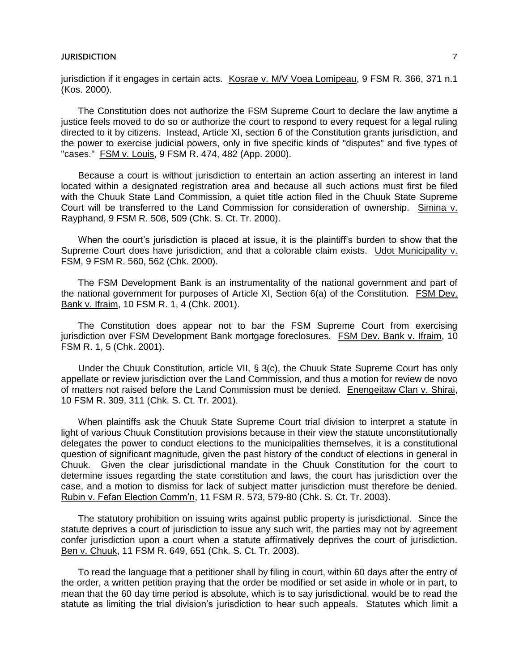jurisdiction if it engages in certain acts. Kosrae v. M/V Voea Lomipeau, 9 FSM R. 366, 371 n.1 (Kos. 2000).

The Constitution does not authorize the FSM Supreme Court to declare the law anytime a justice feels moved to do so or authorize the court to respond to every request for a legal ruling directed to it by citizens. Instead, Article XI, section 6 of the Constitution grants jurisdiction, and the power to exercise judicial powers, only in five specific kinds of "disputes" and five types of "cases." FSM v. Louis, 9 FSM R. 474, 482 (App. 2000).

Because a court is without jurisdiction to entertain an action asserting an interest in land located within a designated registration area and because all such actions must first be filed with the Chuuk State Land Commission, a quiet title action filed in the Chuuk State Supreme Court will be transferred to the Land Commission for consideration of ownership. Simina v. Rayphand, 9 FSM R. 508, 509 (Chk. S. Ct. Tr. 2000).

When the court's jurisdiction is placed at issue, it is the plaintiff's burden to show that the Supreme Court does have jurisdiction, and that a colorable claim exists. Udot Municipality v. FSM, 9 FSM R. 560, 562 (Chk. 2000).

The FSM Development Bank is an instrumentality of the national government and part of the national government for purposes of Article XI, Section 6(a) of the Constitution. FSM Dev. Bank v. Ifraim, 10 FSM R. 1, 4 (Chk. 2001).

The Constitution does appear not to bar the FSM Supreme Court from exercising jurisdiction over FSM Development Bank mortgage foreclosures. FSM Dev. Bank v. Ifraim, 10 FSM R. 1, 5 (Chk. 2001).

Under the Chuuk Constitution, article VII, § 3(c), the Chuuk State Supreme Court has only appellate or review jurisdiction over the Land Commission, and thus a motion for review de novo of matters not raised before the Land Commission must be denied. Enengeitaw Clan v. Shirai, 10 FSM R. 309, 311 (Chk. S. Ct. Tr. 2001).

When plaintiffs ask the Chuuk State Supreme Court trial division to interpret a statute in light of various Chuuk Constitution provisions because in their view the statute unconstitutionally delegates the power to conduct elections to the municipalities themselves, it is a constitutional question of significant magnitude, given the past history of the conduct of elections in general in Chuuk. Given the clear jurisdictional mandate in the Chuuk Constitution for the court to determine issues regarding the state constitution and laws, the court has jurisdiction over the case, and a motion to dismiss for lack of subject matter jurisdiction must therefore be denied. Rubin v. Fefan Election Comm'n, 11 FSM R. 573, 579-80 (Chk. S. Ct. Tr. 2003).

The statutory prohibition on issuing writs against public property is jurisdictional. Since the statute deprives a court of jurisdiction to issue any such writ, the parties may not by agreement confer jurisdiction upon a court when a statute affirmatively deprives the court of jurisdiction. Ben v. Chuuk, 11 FSM R. 649, 651 (Chk. S. Ct. Tr. 2003).

To read the language that a petitioner shall by filing in court, within 60 days after the entry of the order, a written petition praying that the order be modified or set aside in whole or in part, to mean that the 60 day time period is absolute, which is to say jurisdictional, would be to read the statute as limiting the trial division's jurisdiction to hear such appeals. Statutes which limit a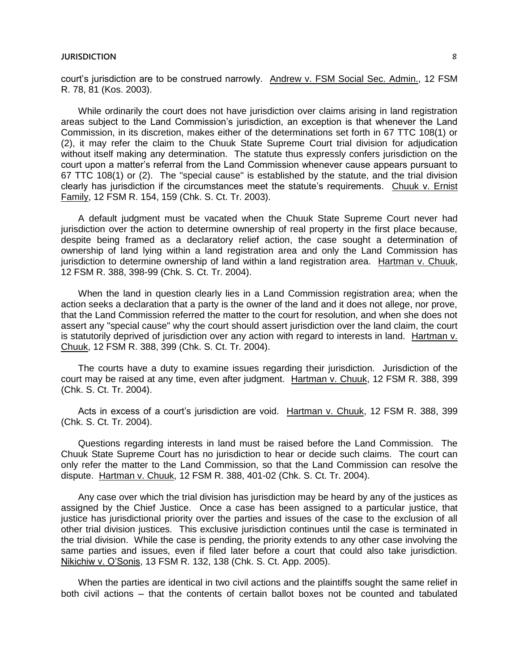court's jurisdiction are to be construed narrowly. Andrew v. FSM Social Sec. Admin., 12 FSM R. 78, 81 (Kos. 2003).

While ordinarily the court does not have jurisdiction over claims arising in land registration areas subject to the Land Commission's jurisdiction, an exception is that whenever the Land Commission, in its discretion, makes either of the determinations set forth in 67 TTC 108(1) or (2), it may refer the claim to the Chuuk State Supreme Court trial division for adjudication without itself making any determination. The statute thus expressly confers jurisdiction on the court upon a matter's referral from the Land Commission whenever cause appears pursuant to 67 TTC 108(1) or (2). The "special cause" is established by the statute, and the trial division clearly has jurisdiction if the circumstances meet the statute's requirements. Chuuk v. Ernist Family, 12 FSM R. 154, 159 (Chk. S. Ct. Tr. 2003).

A default judgment must be vacated when the Chuuk State Supreme Court never had jurisdiction over the action to determine ownership of real property in the first place because, despite being framed as a declaratory relief action, the case sought a determination of ownership of land lying within a land registration area and only the Land Commission has jurisdiction to determine ownership of land within a land registration area. Hartman v. Chuuk, 12 FSM R. 388, 398-99 (Chk. S. Ct. Tr. 2004).

When the land in question clearly lies in a Land Commission registration area; when the action seeks a declaration that a party is the owner of the land and it does not allege, nor prove, that the Land Commission referred the matter to the court for resolution, and when she does not assert any "special cause" why the court should assert jurisdiction over the land claim, the court is statutorily deprived of jurisdiction over any action with regard to interests in land. Hartman v. Chuuk, 12 FSM R. 388, 399 (Chk. S. Ct. Tr. 2004).

The courts have a duty to examine issues regarding their jurisdiction. Jurisdiction of the court may be raised at any time, even after judgment. Hartman v. Chuuk, 12 FSM R. 388, 399 (Chk. S. Ct. Tr. 2004).

Acts in excess of a court's jurisdiction are void. Hartman v. Chuuk, 12 FSM R. 388, 399 (Chk. S. Ct. Tr. 2004).

Questions regarding interests in land must be raised before the Land Commission. The Chuuk State Supreme Court has no jurisdiction to hear or decide such claims. The court can only refer the matter to the Land Commission, so that the Land Commission can resolve the dispute. Hartman v. Chuuk, 12 FSM R. 388, 401-02 (Chk. S. Ct. Tr. 2004).

Any case over which the trial division has jurisdiction may be heard by any of the justices as assigned by the Chief Justice. Once a case has been assigned to a particular justice, that justice has jurisdictional priority over the parties and issues of the case to the exclusion of all other trial division justices. This exclusive jurisdiction continues until the case is terminated in the trial division. While the case is pending, the priority extends to any other case involving the same parties and issues, even if filed later before a court that could also take jurisdiction. Nikichiw v. O'Sonis, 13 FSM R. 132, 138 (Chk. S. Ct. App. 2005).

When the parties are identical in two civil actions and the plaintiffs sought the same relief in both civil actions ─ that the contents of certain ballot boxes not be counted and tabulated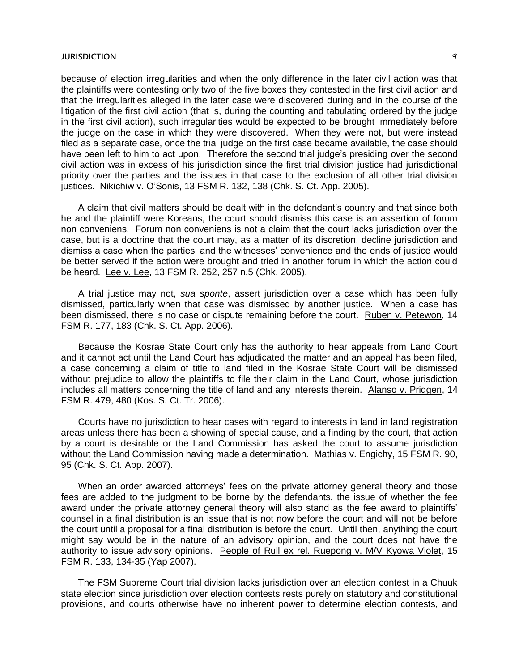because of election irregularities and when the only difference in the later civil action was that the plaintiffs were contesting only two of the five boxes they contested in the first civil action and that the irregularities alleged in the later case were discovered during and in the course of the litigation of the first civil action (that is, during the counting and tabulating ordered by the judge in the first civil action), such irregularities would be expected to be brought immediately before the judge on the case in which they were discovered. When they were not, but were instead filed as a separate case, once the trial judge on the first case became available, the case should have been left to him to act upon. Therefore the second trial judge's presiding over the second civil action was in excess of his jurisdiction since the first trial division justice had jurisdictional priority over the parties and the issues in that case to the exclusion of all other trial division justices. Nikichiw v. O'Sonis, 13 FSM R. 132, 138 (Chk. S. Ct. App. 2005).

A claim that civil matters should be dealt with in the defendant's country and that since both he and the plaintiff were Koreans, the court should dismiss this case is an assertion of forum non conveniens. Forum non conveniens is not a claim that the court lacks jurisdiction over the case, but is a doctrine that the court may, as a matter of its discretion, decline jurisdiction and dismiss a case when the parties' and the witnesses' convenience and the ends of justice would be better served if the action were brought and tried in another forum in which the action could be heard. Lee v. Lee, 13 FSM R. 252, 257 n.5 (Chk. 2005).

A trial justice may not, *sua sponte*, assert jurisdiction over a case which has been fully dismissed, particularly when that case was dismissed by another justice. When a case has been dismissed, there is no case or dispute remaining before the court. Ruben v. Petewon, 14 FSM R. 177, 183 (Chk. S. Ct. App. 2006).

Because the Kosrae State Court only has the authority to hear appeals from Land Court and it cannot act until the Land Court has adjudicated the matter and an appeal has been filed, a case concerning a claim of title to land filed in the Kosrae State Court will be dismissed without prejudice to allow the plaintiffs to file their claim in the Land Court, whose jurisdiction includes all matters concerning the title of land and any interests therein. Alanso v. Pridgen, 14 FSM R. 479, 480 (Kos. S. Ct. Tr. 2006).

Courts have no jurisdiction to hear cases with regard to interests in land in land registration areas unless there has been a showing of special cause, and a finding by the court, that action by a court is desirable or the Land Commission has asked the court to assume jurisdiction without the Land Commission having made a determination. Mathias v. Engichy, 15 FSM R. 90, 95 (Chk. S. Ct. App. 2007).

When an order awarded attorneys' fees on the private attorney general theory and those fees are added to the judgment to be borne by the defendants, the issue of whether the fee award under the private attorney general theory will also stand as the fee award to plaintiffs' counsel in a final distribution is an issue that is not now before the court and will not be before the court until a proposal for a final distribution is before the court. Until then, anything the court might say would be in the nature of an advisory opinion, and the court does not have the authority to issue advisory opinions. People of Rull ex rel. Ruepong v. M/V Kyowa Violet, 15 FSM R. 133, 134-35 (Yap 2007).

The FSM Supreme Court trial division lacks jurisdiction over an election contest in a Chuuk state election since jurisdiction over election contests rests purely on statutory and constitutional provisions, and courts otherwise have no inherent power to determine election contests, and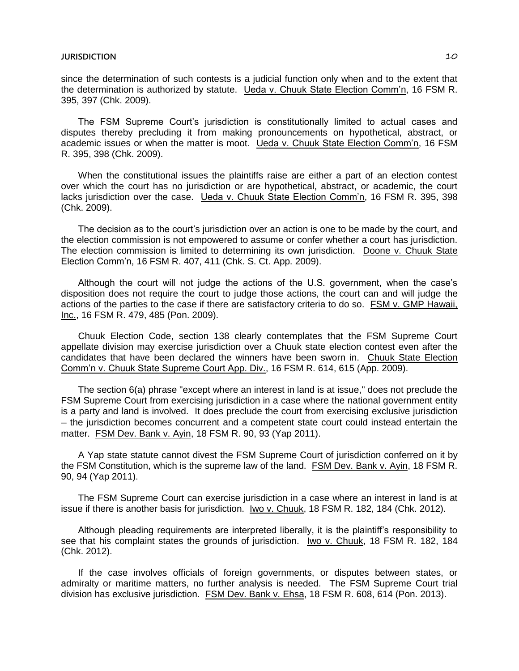since the determination of such contests is a judicial function only when and to the extent that the determination is authorized by statute. Ueda v. Chuuk State Election Comm'n, 16 FSM R. 395, 397 (Chk. 2009).

The FSM Supreme Court's jurisdiction is constitutionally limited to actual cases and disputes thereby precluding it from making pronouncements on hypothetical, abstract, or academic issues or when the matter is moot. Ueda v. Chuuk State Election Comm'n, 16 FSM R. 395, 398 (Chk. 2009).

When the constitutional issues the plaintiffs raise are either a part of an election contest over which the court has no jurisdiction or are hypothetical, abstract, or academic, the court lacks jurisdiction over the case. Ueda v. Chuuk State Election Comm'n, 16 FSM R. 395, 398 (Chk. 2009).

The decision as to the court's jurisdiction over an action is one to be made by the court, and the election commission is not empowered to assume or confer whether a court has jurisdiction. The election commission is limited to determining its own jurisdiction. Doone v. Chuuk State Election Comm'n, 16 FSM R. 407, 411 (Chk. S. Ct. App. 2009).

Although the court will not judge the actions of the U.S. government, when the case's disposition does not require the court to judge those actions, the court can and will judge the actions of the parties to the case if there are satisfactory criteria to do so. FSM v. GMP Hawaii, Inc., 16 FSM R. 479, 485 (Pon. 2009).

Chuuk Election Code, section 138 clearly contemplates that the FSM Supreme Court appellate division may exercise jurisdiction over a Chuuk state election contest even after the candidates that have been declared the winners have been sworn in. Chuuk State Election Comm'n v. Chuuk State Supreme Court App. Div., 16 FSM R. 614, 615 (App. 2009).

The section 6(a) phrase "except where an interest in land is at issue," does not preclude the FSM Supreme Court from exercising jurisdiction in a case where the national government entity is a party and land is involved. It does preclude the court from exercising exclusive jurisdiction ─ the jurisdiction becomes concurrent and a competent state court could instead entertain the matter. FSM Dev. Bank v. Ayin, 18 FSM R. 90, 93 (Yap 2011).

A Yap state statute cannot divest the FSM Supreme Court of jurisdiction conferred on it by the FSM Constitution, which is the supreme law of the land. FSM Dev. Bank v. Ayin, 18 FSM R. 90, 94 (Yap 2011).

The FSM Supreme Court can exercise jurisdiction in a case where an interest in land is at issue if there is another basis for jurisdiction. Iwo v. Chuuk, 18 FSM R. 182, 184 (Chk. 2012).

Although pleading requirements are interpreted liberally, it is the plaintiff's responsibility to see that his complaint states the grounds of jurisdiction. Iwo v. Chuuk, 18 FSM R. 182, 184 (Chk. 2012).

If the case involves officials of foreign governments, or disputes between states, or admiralty or maritime matters, no further analysis is needed. The FSM Supreme Court trial division has exclusive jurisdiction. FSM Dev. Bank v. Ehsa, 18 FSM R. 608, 614 (Pon. 2013).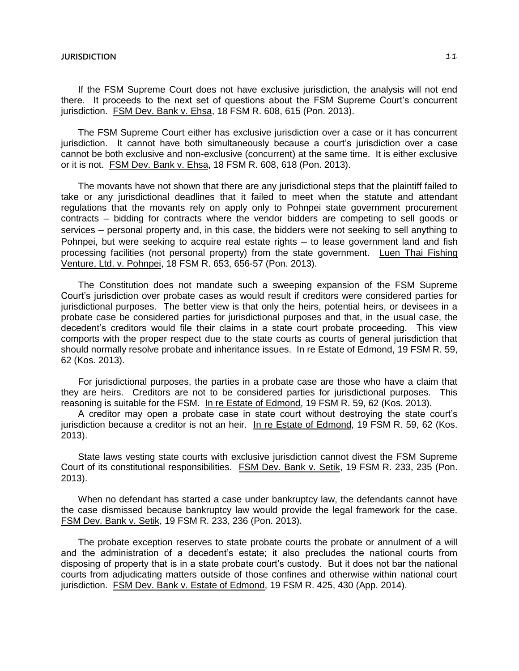If the FSM Supreme Court does not have exclusive jurisdiction, the analysis will not end there. It proceeds to the next set of questions about the FSM Supreme Court's concurrent jurisdiction. FSM Dev. Bank v. Ehsa, 18 FSM R. 608, 615 (Pon. 2013).

The FSM Supreme Court either has exclusive jurisdiction over a case or it has concurrent jurisdiction. It cannot have both simultaneously because a court's jurisdiction over a case cannot be both exclusive and non-exclusive (concurrent) at the same time. It is either exclusive or it is not. FSM Dev. Bank v. Ehsa, 18 FSM R. 608, 618 (Pon. 2013).

The movants have not shown that there are any jurisdictional steps that the plaintiff failed to take or any jurisdictional deadlines that it failed to meet when the statute and attendant regulations that the movants rely on apply only to Pohnpei state government procurement contracts ─ bidding for contracts where the vendor bidders are competing to sell goods or services – personal property and, in this case, the bidders were not seeking to sell anything to Pohnpei, but were seeking to acquire real estate rights — to lease government land and fish processing facilities (not personal property) from the state government. Luen Thai Fishing Venture, Ltd. v. Pohnpei, 18 FSM R. 653, 656-57 (Pon. 2013).

The Constitution does not mandate such a sweeping expansion of the FSM Supreme Court's jurisdiction over probate cases as would result if creditors were considered parties for jurisdictional purposes. The better view is that only the heirs, potential heirs, or devisees in a probate case be considered parties for jurisdictional purposes and that, in the usual case, the decedent's creditors would file their claims in a state court probate proceeding. This view comports with the proper respect due to the state courts as courts of general jurisdiction that should normally resolve probate and inheritance issues. In re Estate of Edmond, 19 FSM R. 59, 62 (Kos. 2013).

For jurisdictional purposes, the parties in a probate case are those who have a claim that they are heirs. Creditors are not to be considered parties for jurisdictional purposes. This reasoning is suitable for the FSM. In re Estate of Edmond, 19 FSM R. 59, 62 (Kos. 2013).

A creditor may open a probate case in state court without destroying the state court's jurisdiction because a creditor is not an heir. In re Estate of Edmond, 19 FSM R. 59, 62 (Kos. 2013).

State laws vesting state courts with exclusive jurisdiction cannot divest the FSM Supreme Court of its constitutional responsibilities. FSM Dev. Bank v. Setik, 19 FSM R. 233, 235 (Pon. 2013).

When no defendant has started a case under bankruptcy law, the defendants cannot have the case dismissed because bankruptcy law would provide the legal framework for the case. FSM Dev. Bank v. Setik, 19 FSM R. 233, 236 (Pon. 2013).

The probate exception reserves to state probate courts the probate or annulment of a will and the administration of a decedent's estate; it also precludes the national courts from disposing of property that is in a state probate court's custody. But it does not bar the national courts from adjudicating matters outside of those confines and otherwise within national court jurisdiction. FSM Dev. Bank v. Estate of Edmond, 19 FSM R. 425, 430 (App. 2014).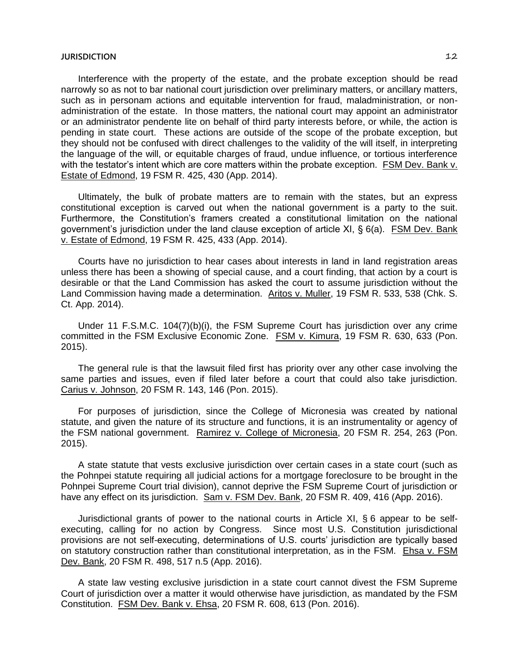Interference with the property of the estate, and the probate exception should be read narrowly so as not to bar national court jurisdiction over preliminary matters, or ancillary matters, such as in personam actions and equitable intervention for fraud, maladministration, or nonadministration of the estate. In those matters, the national court may appoint an administrator or an administrator pendente lite on behalf of third party interests before, or while, the action is pending in state court. These actions are outside of the scope of the probate exception, but they should not be confused with direct challenges to the validity of the will itself, in interpreting the language of the will, or equitable charges of fraud, undue influence, or tortious interference with the testator's intent which are core matters within the probate exception. FSM Dev. Bank v. Estate of Edmond, 19 FSM R. 425, 430 (App. 2014).

Ultimately, the bulk of probate matters are to remain with the states, but an express constitutional exception is carved out when the national government is a party to the suit. Furthermore, the Constitution's framers created a constitutional limitation on the national government's jurisdiction under the land clause exception of article XI, § 6(a). FSM Dev. Bank v. Estate of Edmond, 19 FSM R. 425, 433 (App. 2014).

Courts have no jurisdiction to hear cases about interests in land in land registration areas unless there has been a showing of special cause, and a court finding, that action by a court is desirable or that the Land Commission has asked the court to assume jurisdiction without the Land Commission having made a determination. Aritos v. Muller, 19 FSM R. 533, 538 (Chk. S. Ct. App. 2014).

Under 11 F.S.M.C. 104(7)(b)(i), the FSM Supreme Court has jurisdiction over any crime committed in the FSM Exclusive Economic Zone. FSM v. Kimura, 19 FSM R. 630, 633 (Pon. 2015).

The general rule is that the lawsuit filed first has priority over any other case involving the same parties and issues, even if filed later before a court that could also take jurisdiction. Carius v. Johnson, 20 FSM R. 143, 146 (Pon. 2015).

For purposes of jurisdiction, since the College of Micronesia was created by national statute, and given the nature of its structure and functions, it is an instrumentality or agency of the FSM national government. Ramirez v. College of Micronesia, 20 FSM R. 254, 263 (Pon. 2015).

A state statute that vests exclusive jurisdiction over certain cases in a state court (such as the Pohnpei statute requiring all judicial actions for a mortgage foreclosure to be brought in the Pohnpei Supreme Court trial division), cannot deprive the FSM Supreme Court of jurisdiction or have any effect on its jurisdiction. Sam v. FSM Dev. Bank, 20 FSM R. 409, 416 (App. 2016).

Jurisdictional grants of power to the national courts in Article XI, § 6 appear to be selfexecuting, calling for no action by Congress. Since most U.S. Constitution jurisdictional provisions are not self-executing, determinations of U.S. courts' jurisdiction are typically based on statutory construction rather than constitutional interpretation, as in the FSM. Ehsa v. FSM Dev. Bank, 20 FSM R. 498, 517 n.5 (App. 2016).

A state law vesting exclusive jurisdiction in a state court cannot divest the FSM Supreme Court of jurisdiction over a matter it would otherwise have jurisdiction, as mandated by the FSM Constitution. FSM Dev. Bank v. Ehsa, 20 FSM R. 608, 613 (Pon. 2016).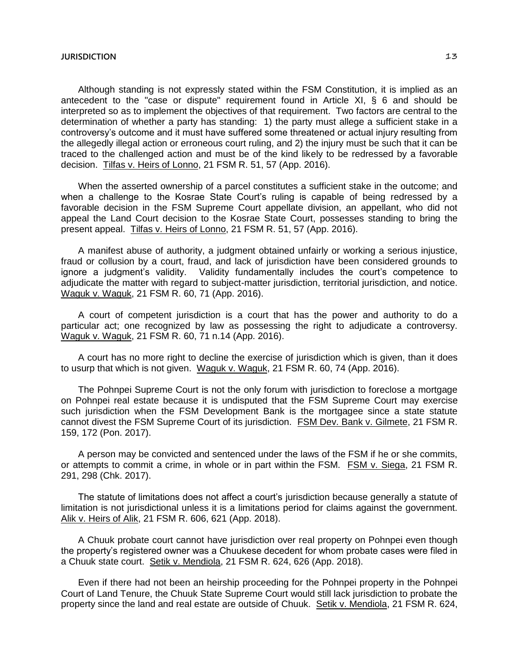Although standing is not expressly stated within the FSM Constitution, it is implied as an antecedent to the "case or dispute" requirement found in Article XI, § 6 and should be interpreted so as to implement the objectives of that requirement. Two factors are central to the determination of whether a party has standing: 1) the party must allege a sufficient stake in a controversy's outcome and it must have suffered some threatened or actual injury resulting from the allegedly illegal action or erroneous court ruling, and 2) the injury must be such that it can be traced to the challenged action and must be of the kind likely to be redressed by a favorable decision. Tilfas v. Heirs of Lonno, 21 FSM R. 51, 57 (App. 2016).

When the asserted ownership of a parcel constitutes a sufficient stake in the outcome; and when a challenge to the Kosrae State Court's ruling is capable of being redressed by a favorable decision in the FSM Supreme Court appellate division, an appellant, who did not appeal the Land Court decision to the Kosrae State Court, possesses standing to bring the present appeal. Tilfas v. Heirs of Lonno, 21 FSM R. 51, 57 (App. 2016).

A manifest abuse of authority, a judgment obtained unfairly or working a serious injustice, fraud or collusion by a court, fraud, and lack of jurisdiction have been considered grounds to ignore a judgment's validity. Validity fundamentally includes the court's competence to adjudicate the matter with regard to subject-matter jurisdiction, territorial jurisdiction, and notice. Waguk v. Waguk, 21 FSM R. 60, 71 (App. 2016).

A court of competent jurisdiction is a court that has the power and authority to do a particular act; one recognized by law as possessing the right to adjudicate a controversy. Waguk v. Waguk, 21 FSM R. 60, 71 n.14 (App. 2016).

A court has no more right to decline the exercise of jurisdiction which is given, than it does to usurp that which is not given. Waguk v. Waguk, 21 FSM R. 60, 74 (App. 2016).

The Pohnpei Supreme Court is not the only forum with jurisdiction to foreclose a mortgage on Pohnpei real estate because it is undisputed that the FSM Supreme Court may exercise such jurisdiction when the FSM Development Bank is the mortgagee since a state statute cannot divest the FSM Supreme Court of its jurisdiction. FSM Dev. Bank v. Gilmete, 21 FSM R. 159, 172 (Pon. 2017).

A person may be convicted and sentenced under the laws of the FSM if he or she commits, or attempts to commit a crime, in whole or in part within the FSM. FSM v. Siega, 21 FSM R. 291, 298 (Chk. 2017).

The statute of limitations does not affect a court's jurisdiction because generally a statute of limitation is not jurisdictional unless it is a limitations period for claims against the government. Alik v. Heirs of Alik, 21 FSM R. 606, 621 (App. 2018).

A Chuuk probate court cannot have jurisdiction over real property on Pohnpei even though the property's registered owner was a Chuukese decedent for whom probate cases were filed in a Chuuk state court. Setik v. Mendiola, 21 FSM R. 624, 626 (App. 2018).

Even if there had not been an heirship proceeding for the Pohnpei property in the Pohnpei Court of Land Tenure, the Chuuk State Supreme Court would still lack jurisdiction to probate the property since the land and real estate are outside of Chuuk. Setik v. Mendiola, 21 FSM R. 624,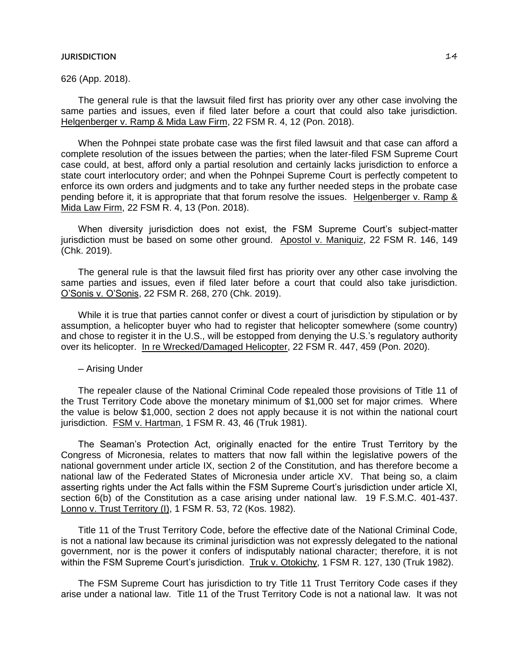626 (App. 2018).

The general rule is that the lawsuit filed first has priority over any other case involving the same parties and issues, even if filed later before a court that could also take jurisdiction. Helgenberger v. Ramp & Mida Law Firm, 22 FSM R. 4, 12 (Pon. 2018).

When the Pohnpei state probate case was the first filed lawsuit and that case can afford a complete resolution of the issues between the parties; when the later-filed FSM Supreme Court case could, at best, afford only a partial resolution and certainly lacks jurisdiction to enforce a state court interlocutory order; and when the Pohnpei Supreme Court is perfectly competent to enforce its own orders and judgments and to take any further needed steps in the probate case pending before it, it is appropriate that that forum resolve the issues. Helgenberger v. Ramp & Mida Law Firm, 22 FSM R. 4, 13 (Pon. 2018).

When diversity jurisdiction does not exist, the FSM Supreme Court's subject-matter jurisdiction must be based on some other ground. Apostol v. Maniquiz, 22 FSM R. 146, 149 (Chk. 2019).

The general rule is that the lawsuit filed first has priority over any other case involving the same parties and issues, even if filed later before a court that could also take jurisdiction. O'Sonis v. O'Sonis, 22 FSM R. 268, 270 (Chk. 2019).

While it is true that parties cannot confer or divest a court of jurisdiction by stipulation or by assumption, a helicopter buyer who had to register that helicopter somewhere (some country) and chose to register it in the U.S., will be estopped from denying the U.S.'s regulatory authority over its helicopter. In re Wrecked/Damaged Helicopter, 22 FSM R. 447, 459 (Pon. 2020).

─ Arising Under

The repealer clause of the National Criminal Code repealed those provisions of Title 11 of the Trust Territory Code above the monetary minimum of \$1,000 set for major crimes. Where the value is below \$1,000, section 2 does not apply because it is not within the national court jurisdiction. FSM v. Hartman, 1 FSM R. 43, 46 (Truk 1981).

The Seaman's Protection Act, originally enacted for the entire Trust Territory by the Congress of Micronesia, relates to matters that now fall within the legislative powers of the national government under article IX, section 2 of the Constitution, and has therefore become a national law of the Federated States of Micronesia under article XV. That being so, a claim asserting rights under the Act falls within the FSM Supreme Court's jurisdiction under article XI, section 6(b) of the Constitution as a case arising under national law. 19 F.S.M.C. 401-437. Lonno v. Trust Territory (I), 1 FSM R. 53, 72 (Kos. 1982).

Title 11 of the Trust Territory Code, before the effective date of the National Criminal Code, is not a national law because its criminal jurisdiction was not expressly delegated to the national government, nor is the power it confers of indisputably national character; therefore, it is not within the FSM Supreme Court's jurisdiction. Truk v. Otokichy, 1 FSM R. 127, 130 (Truk 1982).

The FSM Supreme Court has jurisdiction to try Title 11 Trust Territory Code cases if they arise under a national law. Title 11 of the Trust Territory Code is not a national law. It was not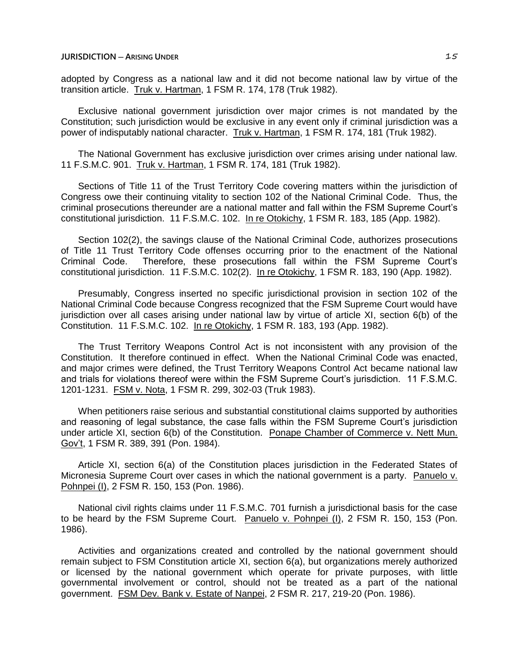adopted by Congress as a national law and it did not become national law by virtue of the transition article. Truk v. Hartman, 1 FSM R. 174, 178 (Truk 1982).

Exclusive national government jurisdiction over major crimes is not mandated by the Constitution; such jurisdiction would be exclusive in any event only if criminal jurisdiction was a power of indisputably national character. Truk v. Hartman, 1 FSM R. 174, 181 (Truk 1982).

The National Government has exclusive jurisdiction over crimes arising under national law. 11 F.S.M.C. 901. Truk v. Hartman, 1 FSM R. 174, 181 (Truk 1982).

Sections of Title 11 of the Trust Territory Code covering matters within the jurisdiction of Congress owe their continuing vitality to section 102 of the National Criminal Code. Thus, the criminal prosecutions thereunder are a national matter and fall within the FSM Supreme Court's constitutional jurisdiction. 11 F.S.M.C. 102. In re Otokichy, 1 FSM R. 183, 185 (App. 1982).

Section 102(2), the savings clause of the National Criminal Code, authorizes prosecutions of Title 11 Trust Territory Code offenses occurring prior to the enactment of the National Criminal Code. Therefore, these prosecutions fall within the FSM Supreme Court's constitutional jurisdiction. 11 F.S.M.C. 102(2). In re Otokichy, 1 FSM R. 183, 190 (App. 1982).

Presumably, Congress inserted no specific jurisdictional provision in section 102 of the National Criminal Code because Congress recognized that the FSM Supreme Court would have jurisdiction over all cases arising under national law by virtue of article XI, section 6(b) of the Constitution. 11 F.S.M.C. 102. In re Otokichy, 1 FSM R. 183, 193 (App. 1982).

The Trust Territory Weapons Control Act is not inconsistent with any provision of the Constitution. It therefore continued in effect. When the National Criminal Code was enacted, and major crimes were defined, the Trust Territory Weapons Control Act became national law and trials for violations thereof were within the FSM Supreme Court's jurisdiction. 11 F.S.M.C. 1201-1231. FSM v. Nota, 1 FSM R. 299, 302-03 (Truk 1983).

When petitioners raise serious and substantial constitutional claims supported by authorities and reasoning of legal substance, the case falls within the FSM Supreme Court's jurisdiction under article XI, section 6(b) of the Constitution. Ponape Chamber of Commerce v. Nett Mun. Gov't, 1 FSM R. 389, 391 (Pon. 1984).

Article XI, section 6(a) of the Constitution places jurisdiction in the Federated States of Micronesia Supreme Court over cases in which the national government is a party. Panuelo v. Pohnpei (I), 2 FSM R. 150, 153 (Pon. 1986).

National civil rights claims under 11 F.S.M.C. 701 furnish a jurisdictional basis for the case to be heard by the FSM Supreme Court. Panuelo v. Pohnpei (I), 2 FSM R. 150, 153 (Pon. 1986).

Activities and organizations created and controlled by the national government should remain subject to FSM Constitution article XI, section 6(a), but organizations merely authorized or licensed by the national government which operate for private purposes, with little governmental involvement or control, should not be treated as a part of the national government. FSM Dev. Bank v. Estate of Nanpei, 2 FSM R. 217, 219-20 (Pon. 1986).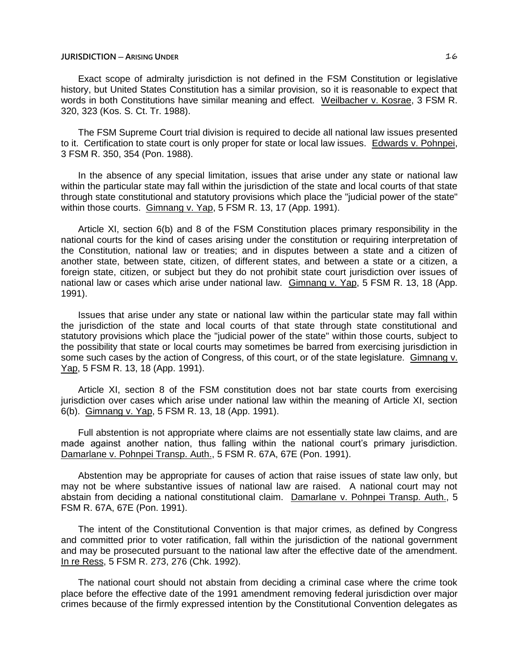## **JURISDICTION ─ ARISING UNDER** 16

Exact scope of admiralty jurisdiction is not defined in the FSM Constitution or legislative history, but United States Constitution has a similar provision, so it is reasonable to expect that words in both Constitutions have similar meaning and effect. Weilbacher v. Kosrae, 3 FSM R. 320, 323 (Kos. S. Ct. Tr. 1988).

The FSM Supreme Court trial division is required to decide all national law issues presented to it. Certification to state court is only proper for state or local law issues. Edwards v. Pohnpei, 3 FSM R. 350, 354 (Pon. 1988).

In the absence of any special limitation, issues that arise under any state or national law within the particular state may fall within the jurisdiction of the state and local courts of that state through state constitutional and statutory provisions which place the "judicial power of the state" within those courts. Gimnang v. Yap, 5 FSM R. 13, 17 (App. 1991).

Article XI, section 6(b) and 8 of the FSM Constitution places primary responsibility in the national courts for the kind of cases arising under the constitution or requiring interpretation of the Constitution, national law or treaties; and in disputes between a state and a citizen of another state, between state, citizen, of different states, and between a state or a citizen, a foreign state, citizen, or subject but they do not prohibit state court jurisdiction over issues of national law or cases which arise under national law. Gimnang v. Yap, 5 FSM R. 13, 18 (App. 1991).

Issues that arise under any state or national law within the particular state may fall within the jurisdiction of the state and local courts of that state through state constitutional and statutory provisions which place the "judicial power of the state" within those courts, subject to the possibility that state or local courts may sometimes be barred from exercising jurisdiction in some such cases by the action of Congress, of this court, or of the state legislature. Gimnang v. Yap, 5 FSM R. 13, 18 (App. 1991).

Article XI, section 8 of the FSM constitution does not bar state courts from exercising jurisdiction over cases which arise under national law within the meaning of Article XI, section 6(b). Gimnang v. Yap, 5 FSM R. 13, 18 (App. 1991).

Full abstention is not appropriate where claims are not essentially state law claims, and are made against another nation, thus falling within the national court's primary jurisdiction. Damarlane v. Pohnpei Transp. Auth., 5 FSM R. 67A, 67E (Pon. 1991).

Abstention may be appropriate for causes of action that raise issues of state law only, but may not be where substantive issues of national law are raised. A national court may not abstain from deciding a national constitutional claim. Damarlane v. Pohnpei Transp. Auth., 5 FSM R. 67A, 67E (Pon. 1991).

The intent of the Constitutional Convention is that major crimes, as defined by Congress and committed prior to voter ratification, fall within the jurisdiction of the national government and may be prosecuted pursuant to the national law after the effective date of the amendment. In re Ress, 5 FSM R. 273, 276 (Chk. 1992).

The national court should not abstain from deciding a criminal case where the crime took place before the effective date of the 1991 amendment removing federal jurisdiction over major crimes because of the firmly expressed intention by the Constitutional Convention delegates as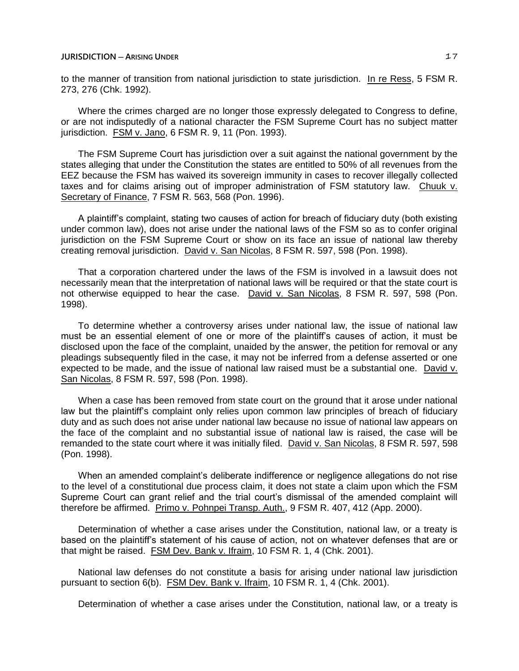## **JURISDICTION** — **ARISING UNDER** 17

to the manner of transition from national jurisdiction to state jurisdiction. In re Ress, 5 FSM R. 273, 276 (Chk. 1992).

Where the crimes charged are no longer those expressly delegated to Congress to define, or are not indisputedly of a national character the FSM Supreme Court has no subject matter jurisdiction. FSM v. Jano, 6 FSM R. 9, 11 (Pon. 1993).

The FSM Supreme Court has jurisdiction over a suit against the national government by the states alleging that under the Constitution the states are entitled to 50% of all revenues from the EEZ because the FSM has waived its sovereign immunity in cases to recover illegally collected taxes and for claims arising out of improper administration of FSM statutory law. Chuuk v. Secretary of Finance, 7 FSM R. 563, 568 (Pon. 1996).

A plaintiff's complaint, stating two causes of action for breach of fiduciary duty (both existing under common law), does not arise under the national laws of the FSM so as to confer original jurisdiction on the FSM Supreme Court or show on its face an issue of national law thereby creating removal jurisdiction. David v. San Nicolas, 8 FSM R. 597, 598 (Pon. 1998).

That a corporation chartered under the laws of the FSM is involved in a lawsuit does not necessarily mean that the interpretation of national laws will be required or that the state court is not otherwise equipped to hear the case. David v. San Nicolas, 8 FSM R. 597, 598 (Pon. 1998).

To determine whether a controversy arises under national law, the issue of national law must be an essential element of one or more of the plaintiff's causes of action, it must be disclosed upon the face of the complaint, unaided by the answer, the petition for removal or any pleadings subsequently filed in the case, it may not be inferred from a defense asserted or one expected to be made, and the issue of national law raised must be a substantial one. David v. San Nicolas, 8 FSM R. 597, 598 (Pon. 1998).

When a case has been removed from state court on the ground that it arose under national law but the plaintiff's complaint only relies upon common law principles of breach of fiduciary duty and as such does not arise under national law because no issue of national law appears on the face of the complaint and no substantial issue of national law is raised, the case will be remanded to the state court where it was initially filed. David v. San Nicolas, 8 FSM R. 597, 598 (Pon. 1998).

When an amended complaint's deliberate indifference or negligence allegations do not rise to the level of a constitutional due process claim, it does not state a claim upon which the FSM Supreme Court can grant relief and the trial court's dismissal of the amended complaint will therefore be affirmed. Primo v. Pohnpei Transp. Auth., 9 FSM R. 407, 412 (App. 2000).

Determination of whether a case arises under the Constitution, national law, or a treaty is based on the plaintiff's statement of his cause of action, not on whatever defenses that are or that might be raised. FSM Dev. Bank v. Ifraim, 10 FSM R. 1, 4 (Chk. 2001).

National law defenses do not constitute a basis for arising under national law jurisdiction pursuant to section 6(b). FSM Dev. Bank v. Ifraim, 10 FSM R. 1, 4 (Chk. 2001).

Determination of whether a case arises under the Constitution, national law, or a treaty is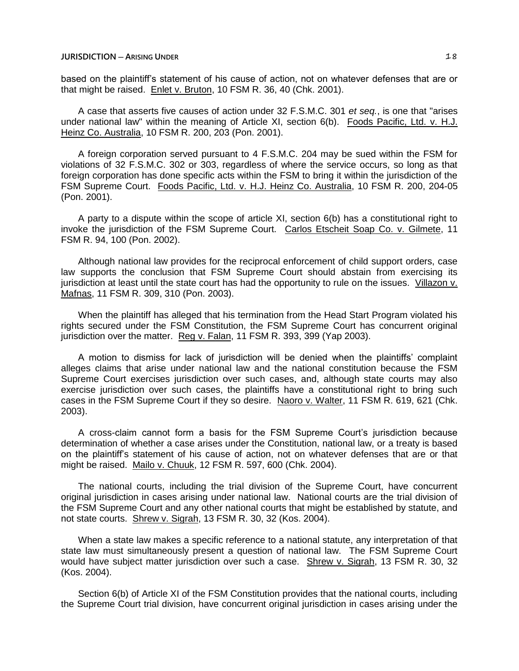## **JURISDICTION** — **ARISING UNDER** 18

based on the plaintiff's statement of his cause of action, not on whatever defenses that are or that might be raised. Enlet v. Bruton, 10 FSM R. 36, 40 (Chk. 2001).

A case that asserts five causes of action under 32 F.S.M.C. 301 *et seq.*, is one that "arises under national law" within the meaning of Article XI, section 6(b). Foods Pacific, Ltd. v. H.J. Heinz Co. Australia, 10 FSM R. 200, 203 (Pon. 2001).

A foreign corporation served pursuant to 4 F.S.M.C. 204 may be sued within the FSM for violations of 32 F.S.M.C. 302 or 303, regardless of where the service occurs, so long as that foreign corporation has done specific acts within the FSM to bring it within the jurisdiction of the FSM Supreme Court. Foods Pacific, Ltd. v. H.J. Heinz Co. Australia, 10 FSM R. 200, 204-05 (Pon. 2001).

A party to a dispute within the scope of article XI, section 6(b) has a constitutional right to invoke the jurisdiction of the FSM Supreme Court. Carlos Etscheit Soap Co. v. Gilmete, 11 FSM R. 94, 100 (Pon. 2002).

Although national law provides for the reciprocal enforcement of child support orders, case law supports the conclusion that FSM Supreme Court should abstain from exercising its jurisdiction at least until the state court has had the opportunity to rule on the issues. Villazon v. Mafnas, 11 FSM R. 309, 310 (Pon. 2003).

When the plaintiff has alleged that his termination from the Head Start Program violated his rights secured under the FSM Constitution, the FSM Supreme Court has concurrent original jurisdiction over the matter. Reg v. Falan, 11 FSM R. 393, 399 (Yap 2003).

A motion to dismiss for lack of jurisdiction will be denied when the plaintiffs' complaint alleges claims that arise under national law and the national constitution because the FSM Supreme Court exercises jurisdiction over such cases, and, although state courts may also exercise jurisdiction over such cases, the plaintiffs have a constitutional right to bring such cases in the FSM Supreme Court if they so desire. Naoro v. Walter, 11 FSM R. 619, 621 (Chk. 2003).

A cross-claim cannot form a basis for the FSM Supreme Court's jurisdiction because determination of whether a case arises under the Constitution, national law, or a treaty is based on the plaintiff's statement of his cause of action, not on whatever defenses that are or that might be raised. Mailo v. Chuuk, 12 FSM R. 597, 600 (Chk. 2004).

The national courts, including the trial division of the Supreme Court, have concurrent original jurisdiction in cases arising under national law. National courts are the trial division of the FSM Supreme Court and any other national courts that might be established by statute, and not state courts. Shrew v. Sigrah, 13 FSM R. 30, 32 (Kos. 2004).

When a state law makes a specific reference to a national statute, any interpretation of that state law must simultaneously present a question of national law. The FSM Supreme Court would have subject matter jurisdiction over such a case. Shrew v. Sigrah, 13 FSM R. 30, 32 (Kos. 2004).

Section 6(b) of Article XI of the FSM Constitution provides that the national courts, including the Supreme Court trial division, have concurrent original jurisdiction in cases arising under the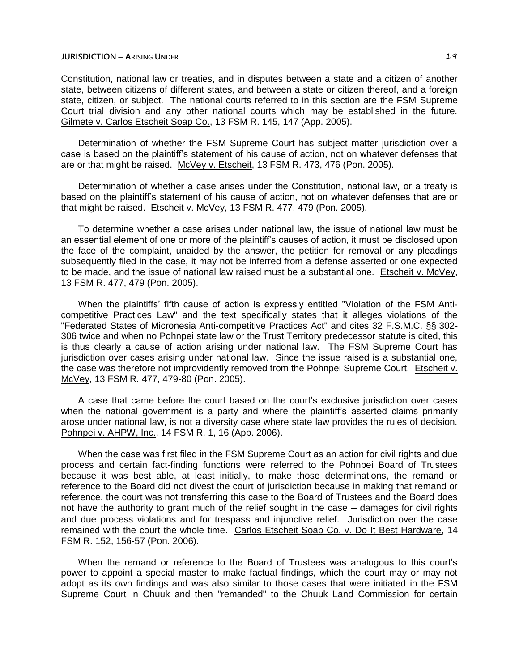## **JURISDICTION** — **A**RISING UNDER **19**

Constitution, national law or treaties, and in disputes between a state and a citizen of another state, between citizens of different states, and between a state or citizen thereof, and a foreign state, citizen, or subject. The national courts referred to in this section are the FSM Supreme Court trial division and any other national courts which may be established in the future. Gilmete v. Carlos Etscheit Soap Co., 13 FSM R. 145, 147 (App. 2005).

Determination of whether the FSM Supreme Court has subject matter jurisdiction over a case is based on the plaintiff's statement of his cause of action, not on whatever defenses that are or that might be raised. McVey v. Etscheit, 13 FSM R. 473, 476 (Pon. 2005).

Determination of whether a case arises under the Constitution, national law, or a treaty is based on the plaintiff's statement of his cause of action, not on whatever defenses that are or that might be raised. Etscheit v. McVey, 13 FSM R. 477, 479 (Pon. 2005).

To determine whether a case arises under national law, the issue of national law must be an essential element of one or more of the plaintiff's causes of action, it must be disclosed upon the face of the complaint, unaided by the answer, the petition for removal or any pleadings subsequently filed in the case, it may not be inferred from a defense asserted or one expected to be made, and the issue of national law raised must be a substantial one. Etscheit v. McVey, 13 FSM R. 477, 479 (Pon. 2005).

When the plaintiffs' fifth cause of action is expressly entitled "Violation of the FSM Anticompetitive Practices Law" and the text specifically states that it alleges violations of the "Federated States of Micronesia Anti-competitive Practices Act" and cites 32 F.S.M.C. §§ 302- 306 twice and when no Pohnpei state law or the Trust Territory predecessor statute is cited, this is thus clearly a cause of action arising under national law. The FSM Supreme Court has jurisdiction over cases arising under national law. Since the issue raised is a substantial one, the case was therefore not improvidently removed from the Pohnpei Supreme Court. Etscheit v. McVey, 13 FSM R. 477, 479-80 (Pon. 2005).

A case that came before the court based on the court's exclusive jurisdiction over cases when the national government is a party and where the plaintiff's asserted claims primarily arose under national law, is not a diversity case where state law provides the rules of decision. Pohnpei v. AHPW, Inc., 14 FSM R. 1, 16 (App. 2006).

When the case was first filed in the FSM Supreme Court as an action for civil rights and due process and certain fact-finding functions were referred to the Pohnpei Board of Trustees because it was best able, at least initially, to make those determinations, the remand or reference to the Board did not divest the court of jurisdiction because in making that remand or reference, the court was not transferring this case to the Board of Trustees and the Board does not have the authority to grant much of the relief sought in the case — damages for civil rights and due process violations and for trespass and injunctive relief. Jurisdiction over the case remained with the court the whole time. Carlos Etscheit Soap Co. v. Do It Best Hardware, 14 FSM R. 152, 156-57 (Pon. 2006).

When the remand or reference to the Board of Trustees was analogous to this court's power to appoint a special master to make factual findings, which the court may or may not adopt as its own findings and was also similar to those cases that were initiated in the FSM Supreme Court in Chuuk and then "remanded" to the Chuuk Land Commission for certain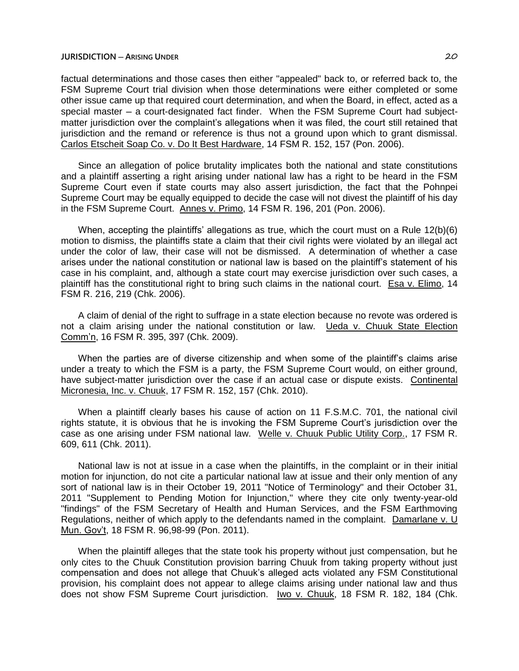## **JURISDICTION ─ ARISING UNDER** 20

factual determinations and those cases then either "appealed" back to, or referred back to, the FSM Supreme Court trial division when those determinations were either completed or some other issue came up that required court determination, and when the Board, in effect, acted as a special master - a court-designated fact finder. When the FSM Supreme Court had subjectmatter jurisdiction over the complaint's allegations when it was filed, the court still retained that jurisdiction and the remand or reference is thus not a ground upon which to grant dismissal. Carlos Etscheit Soap Co. v. Do It Best Hardware, 14 FSM R. 152, 157 (Pon. 2006).

Since an allegation of police brutality implicates both the national and state constitutions and a plaintiff asserting a right arising under national law has a right to be heard in the FSM Supreme Court even if state courts may also assert jurisdiction, the fact that the Pohnpei Supreme Court may be equally equipped to decide the case will not divest the plaintiff of his day in the FSM Supreme Court. Annes v. Primo, 14 FSM R. 196, 201 (Pon. 2006).

When, accepting the plaintiffs' allegations as true, which the court must on a Rule 12(b)(6) motion to dismiss, the plaintiffs state a claim that their civil rights were violated by an illegal act under the color of law, their case will not be dismissed. A determination of whether a case arises under the national constitution or national law is based on the plaintiff's statement of his case in his complaint, and, although a state court may exercise jurisdiction over such cases, a plaintiff has the constitutional right to bring such claims in the national court. Esa v. Elimo, 14 FSM R. 216, 219 (Chk. 2006).

A claim of denial of the right to suffrage in a state election because no revote was ordered is not a claim arising under the national constitution or law. Ueda v. Chuuk State Election Comm'n, 16 FSM R. 395, 397 (Chk. 2009).

When the parties are of diverse citizenship and when some of the plaintiff's claims arise under a treaty to which the FSM is a party, the FSM Supreme Court would, on either ground, have subject-matter jurisdiction over the case if an actual case or dispute exists. Continental Micronesia, Inc. v. Chuuk, 17 FSM R. 152, 157 (Chk. 2010).

When a plaintiff clearly bases his cause of action on 11 F.S.M.C. 701, the national civil rights statute, it is obvious that he is invoking the FSM Supreme Court's jurisdiction over the case as one arising under FSM national law. Welle v. Chuuk Public Utility Corp., 17 FSM R. 609, 611 (Chk. 2011).

National law is not at issue in a case when the plaintiffs, in the complaint or in their initial motion for injunction, do not cite a particular national law at issue and their only mention of any sort of national law is in their October 19, 2011 "Notice of Terminology" and their October 31, 2011 "Supplement to Pending Motion for Injunction," where they cite only twenty-year-old "findings" of the FSM Secretary of Health and Human Services, and the FSM Earthmoving Regulations, neither of which apply to the defendants named in the complaint. Damarlane v. U Mun. Gov't, 18 FSM R. 96,98-99 (Pon. 2011).

When the plaintiff alleges that the state took his property without just compensation, but he only cites to the Chuuk Constitution provision barring Chuuk from taking property without just compensation and does not allege that Chuuk's alleged acts violated any FSM Constitutional provision, his complaint does not appear to allege claims arising under national law and thus does not show FSM Supreme Court jurisdiction. Iwo v. Chuuk, 18 FSM R. 182, 184 (Chk.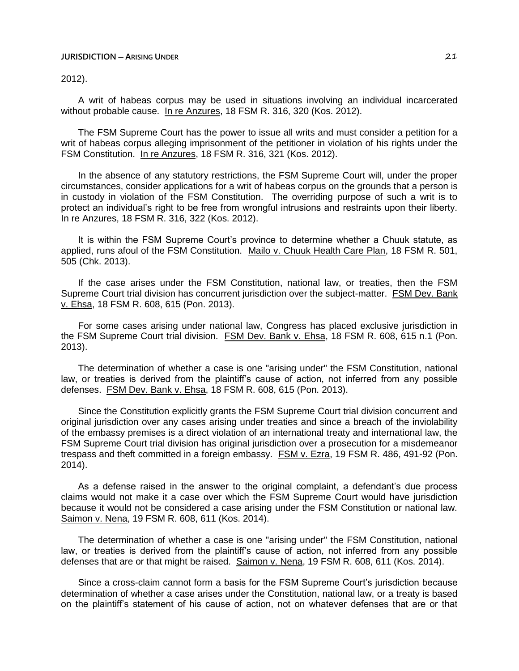#### **JURISDICTION ─ ARISING UNDER** 21

2012).

A writ of habeas corpus may be used in situations involving an individual incarcerated without probable cause. In re Anzures, 18 FSM R. 316, 320 (Kos. 2012).

The FSM Supreme Court has the power to issue all writs and must consider a petition for a writ of habeas corpus alleging imprisonment of the petitioner in violation of his rights under the FSM Constitution. In re Anzures, 18 FSM R. 316, 321 (Kos. 2012).

In the absence of any statutory restrictions, the FSM Supreme Court will, under the proper circumstances, consider applications for a writ of habeas corpus on the grounds that a person is in custody in violation of the FSM Constitution. The overriding purpose of such a writ is to protect an individual's right to be free from wrongful intrusions and restraints upon their liberty. In re Anzures, 18 FSM R. 316, 322 (Kos. 2012).

It is within the FSM Supreme Court's province to determine whether a Chuuk statute, as applied, runs afoul of the FSM Constitution. Mailo v. Chuuk Health Care Plan, 18 FSM R. 501, 505 (Chk. 2013).

If the case arises under the FSM Constitution, national law, or treaties, then the FSM Supreme Court trial division has concurrent jurisdiction over the subject-matter. FSM Dev. Bank v. Ehsa, 18 FSM R. 608, 615 (Pon. 2013).

For some cases arising under national law, Congress has placed exclusive jurisdiction in the FSM Supreme Court trial division. FSM Dev. Bank v. Ehsa, 18 FSM R. 608, 615 n.1 (Pon. 2013).

The determination of whether a case is one "arising under" the FSM Constitution, national law, or treaties is derived from the plaintiff's cause of action, not inferred from any possible defenses. FSM Dev. Bank v. Ehsa, 18 FSM R. 608, 615 (Pon. 2013).

Since the Constitution explicitly grants the FSM Supreme Court trial division concurrent and original jurisdiction over any cases arising under treaties and since a breach of the inviolability of the embassy premises is a direct violation of an international treaty and international law, the FSM Supreme Court trial division has original jurisdiction over a prosecution for a misdemeanor trespass and theft committed in a foreign embassy. FSM v. Ezra, 19 FSM R. 486, 491-92 (Pon. 2014).

As a defense raised in the answer to the original complaint, a defendant's due process claims would not make it a case over which the FSM Supreme Court would have jurisdiction because it would not be considered a case arising under the FSM Constitution or national law. Saimon v. Nena, 19 FSM R. 608, 611 (Kos. 2014).

The determination of whether a case is one "arising under" the FSM Constitution, national law, or treaties is derived from the plaintiff's cause of action, not inferred from any possible defenses that are or that might be raised. Saimon v. Nena, 19 FSM R. 608, 611 (Kos. 2014).

Since a cross-claim cannot form a basis for the FSM Supreme Court's jurisdiction because determination of whether a case arises under the Constitution, national law, or a treaty is based on the plaintiff's statement of his cause of action, not on whatever defenses that are or that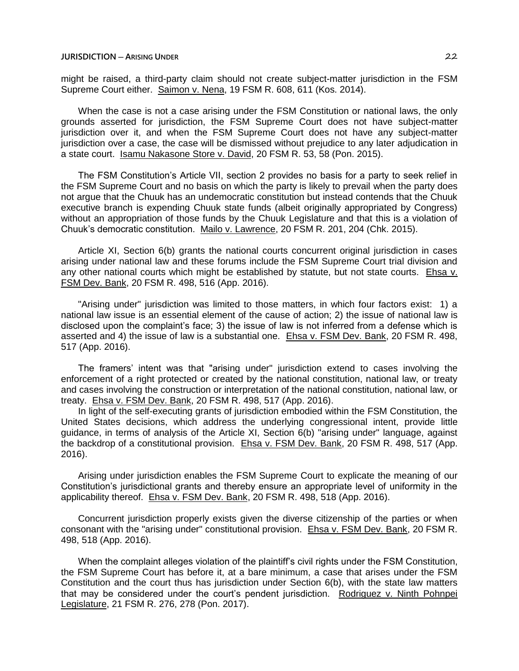might be raised, a third-party claim should not create subject-matter jurisdiction in the FSM Supreme Court either. Saimon v. Nena, 19 FSM R. 608, 611 (Kos. 2014).

When the case is not a case arising under the FSM Constitution or national laws, the only grounds asserted for jurisdiction, the FSM Supreme Court does not have subject-matter jurisdiction over it, and when the FSM Supreme Court does not have any subject-matter jurisdiction over a case, the case will be dismissed without prejudice to any later adjudication in a state court. Isamu Nakasone Store v. David, 20 FSM R. 53, 58 (Pon. 2015).

The FSM Constitution's Article VII, section 2 provides no basis for a party to seek relief in the FSM Supreme Court and no basis on which the party is likely to prevail when the party does not argue that the Chuuk has an undemocratic constitution but instead contends that the Chuuk executive branch is expending Chuuk state funds (albeit originally appropriated by Congress) without an appropriation of those funds by the Chuuk Legislature and that this is a violation of Chuuk's democratic constitution. Mailo v. Lawrence, 20 FSM R. 201, 204 (Chk. 2015).

Article XI, Section 6(b) grants the national courts concurrent original jurisdiction in cases arising under national law and these forums include the FSM Supreme Court trial division and any other national courts which might be established by statute, but not state courts. Ehsa v. FSM Dev. Bank, 20 FSM R. 498, 516 (App. 2016).

"Arising under" jurisdiction was limited to those matters, in which four factors exist: 1) a national law issue is an essential element of the cause of action; 2) the issue of national law is disclosed upon the complaint's face; 3) the issue of law is not inferred from a defense which is asserted and 4) the issue of law is a substantial one. Ehsa v. FSM Dev. Bank, 20 FSM R. 498, 517 (App. 2016).

The framers' intent was that "arising under" jurisdiction extend to cases involving the enforcement of a right protected or created by the national constitution, national law, or treaty and cases involving the construction or interpretation of the national constitution, national law, or treaty. Ehsa v. FSM Dev. Bank, 20 FSM R. 498, 517 (App. 2016).

In light of the self-executing grants of jurisdiction embodied within the FSM Constitution, the United States decisions, which address the underlying congressional intent, provide little guidance, in terms of analysis of the Article XI, Section 6(b) "arising under" language, against the backdrop of a constitutional provision. Ehsa v. FSM Dev. Bank, 20 FSM R. 498, 517 (App. 2016).

Arising under jurisdiction enables the FSM Supreme Court to explicate the meaning of our Constitution's jurisdictional grants and thereby ensure an appropriate level of uniformity in the applicability thereof. Ehsa v. FSM Dev. Bank, 20 FSM R. 498, 518 (App. 2016).

Concurrent jurisdiction properly exists given the diverse citizenship of the parties or when consonant with the "arising under" constitutional provision. Ehsa v. FSM Dev. Bank, 20 FSM R. 498, 518 (App. 2016).

When the complaint alleges violation of the plaintiff's civil rights under the FSM Constitution, the FSM Supreme Court has before it, at a bare minimum, a case that arises under the FSM Constitution and the court thus has jurisdiction under Section 6(b), with the state law matters that may be considered under the court's pendent jurisdiction. Rodriguez v. Ninth Pohnpei Legislature, 21 FSM R. 276, 278 (Pon. 2017).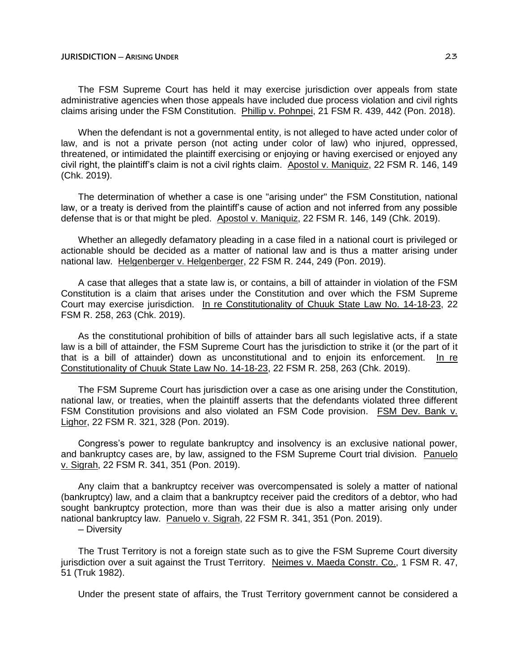## **JURISDICTION ─ ARISING UNDER** 23

The FSM Supreme Court has held it may exercise jurisdiction over appeals from state administrative agencies when those appeals have included due process violation and civil rights claims arising under the FSM Constitution. Phillip v. Pohnpei, 21 FSM R. 439, 442 (Pon. 2018).

When the defendant is not a governmental entity, is not alleged to have acted under color of law, and is not a private person (not acting under color of law) who injured, oppressed, threatened, or intimidated the plaintiff exercising or enjoying or having exercised or enjoyed any civil right, the plaintiff's claim is not a civil rights claim. Apostol v. Maniquiz, 22 FSM R. 146, 149 (Chk. 2019).

The determination of whether a case is one "arising under" the FSM Constitution, national law, or a treaty is derived from the plaintiff's cause of action and not inferred from any possible defense that is or that might be pled. Apostol v. Maniquiz, 22 FSM R. 146, 149 (Chk. 2019).

Whether an allegedly defamatory pleading in a case filed in a national court is privileged or actionable should be decided as a matter of national law and is thus a matter arising under national law. Helgenberger v. Helgenberger, 22 FSM R. 244, 249 (Pon. 2019).

A case that alleges that a state law is, or contains, a bill of attainder in violation of the FSM Constitution is a claim that arises under the Constitution and over which the FSM Supreme Court may exercise jurisdiction. In re Constitutionality of Chuuk State Law No. 14-18-23, 22 FSM R. 258, 263 (Chk. 2019).

As the constitutional prohibition of bills of attainder bars all such legislative acts, if a state law is a bill of attainder, the FSM Supreme Court has the jurisdiction to strike it (or the part of it that is a bill of attainder) down as unconstitutional and to enjoin its enforcement. In re Constitutionality of Chuuk State Law No. 14-18-23, 22 FSM R. 258, 263 (Chk. 2019).

The FSM Supreme Court has jurisdiction over a case as one arising under the Constitution, national law, or treaties, when the plaintiff asserts that the defendants violated three different FSM Constitution provisions and also violated an FSM Code provision. FSM Dev. Bank v. Lighor, 22 FSM R. 321, 328 (Pon. 2019).

Congress's power to regulate bankruptcy and insolvency is an exclusive national power, and bankruptcy cases are, by law, assigned to the FSM Supreme Court trial division. Panuelo v. Sigrah, 22 FSM R. 341, 351 (Pon. 2019).

Any claim that a bankruptcy receiver was overcompensated is solely a matter of national (bankruptcy) law, and a claim that a bankruptcy receiver paid the creditors of a debtor, who had sought bankruptcy protection, more than was their due is also a matter arising only under national bankruptcy law. Panuelo v. Sigrah, 22 FSM R. 341, 351 (Pon. 2019).

─ Diversity

The Trust Territory is not a foreign state such as to give the FSM Supreme Court diversity jurisdiction over a suit against the Trust Territory. Neimes v. Maeda Constr. Co., 1 FSM R. 47, 51 (Truk 1982).

Under the present state of affairs, the Trust Territory government cannot be considered a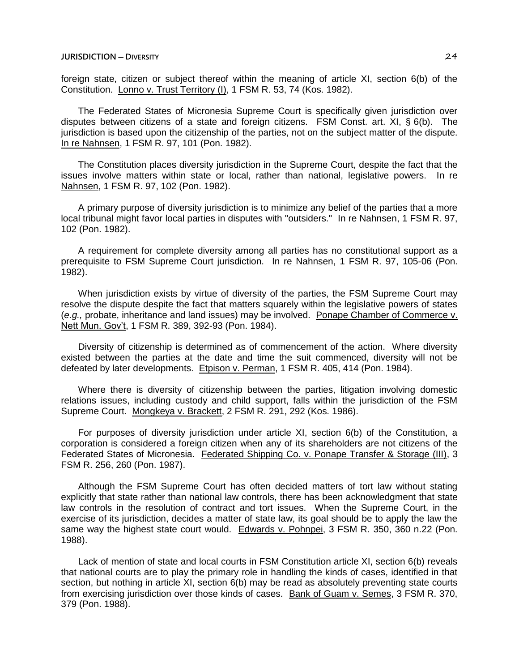foreign state, citizen or subject thereof within the meaning of article XI, section 6(b) of the Constitution. Lonno v. Trust Territory (I), 1 FSM R. 53, 74 (Kos. 1982).

The Federated States of Micronesia Supreme Court is specifically given jurisdiction over disputes between citizens of a state and foreign citizens. FSM Const. art. XI, § 6(b). The jurisdiction is based upon the citizenship of the parties, not on the subject matter of the dispute. In re Nahnsen, 1 FSM R. 97, 101 (Pon. 1982).

The Constitution places diversity jurisdiction in the Supreme Court, despite the fact that the issues involve matters within state or local, rather than national, legislative powers. In re Nahnsen, 1 FSM R. 97, 102 (Pon. 1982).

A primary purpose of diversity jurisdiction is to minimize any belief of the parties that a more local tribunal might favor local parties in disputes with "outsiders." In re Nahnsen, 1 FSM R. 97, 102 (Pon. 1982).

A requirement for complete diversity among all parties has no constitutional support as a prerequisite to FSM Supreme Court jurisdiction. In re Nahnsen, 1 FSM R. 97, 105-06 (Pon. 1982).

When jurisdiction exists by virtue of diversity of the parties, the FSM Supreme Court may resolve the dispute despite the fact that matters squarely within the legislative powers of states (*e.g.,* probate, inheritance and land issues) may be involved. Ponape Chamber of Commerce v. Nett Mun. Gov't, 1 FSM R. 389, 392-93 (Pon. 1984).

Diversity of citizenship is determined as of commencement of the action. Where diversity existed between the parties at the date and time the suit commenced, diversity will not be defeated by later developments. Etpison v. Perman, 1 FSM R. 405, 414 (Pon. 1984).

Where there is diversity of citizenship between the parties, litigation involving domestic relations issues, including custody and child support, falls within the jurisdiction of the FSM Supreme Court. Mongkeya v. Brackett, 2 FSM R. 291, 292 (Kos. 1986).

For purposes of diversity jurisdiction under article XI, section 6(b) of the Constitution, a corporation is considered a foreign citizen when any of its shareholders are not citizens of the Federated States of Micronesia. Federated Shipping Co. v. Ponape Transfer & Storage (III), 3 FSM R. 256, 260 (Pon. 1987).

Although the FSM Supreme Court has often decided matters of tort law without stating explicitly that state rather than national law controls, there has been acknowledgment that state law controls in the resolution of contract and tort issues. When the Supreme Court, in the exercise of its jurisdiction, decides a matter of state law, its goal should be to apply the law the same way the highest state court would. Edwards v. Pohnpei, 3 FSM R. 350, 360 n.22 (Pon. 1988).

Lack of mention of state and local courts in FSM Constitution article XI, section 6(b) reveals that national courts are to play the primary role in handling the kinds of cases, identified in that section, but nothing in article XI, section 6(b) may be read as absolutely preventing state courts from exercising jurisdiction over those kinds of cases. Bank of Guam v. Semes, 3 FSM R. 370, 379 (Pon. 1988).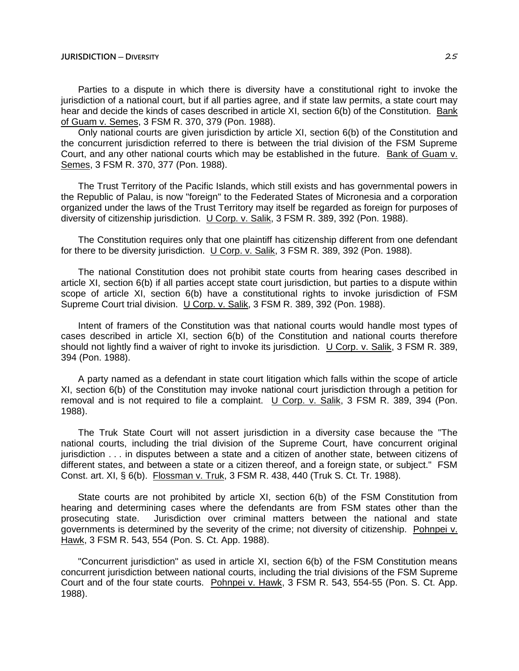Parties to a dispute in which there is diversity have a constitutional right to invoke the jurisdiction of a national court, but if all parties agree, and if state law permits, a state court may hear and decide the kinds of cases described in article XI, section 6(b) of the Constitution. Bank of Guam v. Semes, 3 FSM R. 370, 379 (Pon. 1988).

Only national courts are given jurisdiction by article XI, section 6(b) of the Constitution and the concurrent jurisdiction referred to there is between the trial division of the FSM Supreme Court, and any other national courts which may be established in the future. Bank of Guam v. Semes, 3 FSM R. 370, 377 (Pon. 1988).

The Trust Territory of the Pacific Islands, which still exists and has governmental powers in the Republic of Palau, is now "foreign" to the Federated States of Micronesia and a corporation organized under the laws of the Trust Territory may itself be regarded as foreign for purposes of diversity of citizenship jurisdiction. U Corp. v. Salik, 3 FSM R. 389, 392 (Pon. 1988).

The Constitution requires only that one plaintiff has citizenship different from one defendant for there to be diversity jurisdiction. U Corp. v. Salik, 3 FSM R. 389, 392 (Pon. 1988).

The national Constitution does not prohibit state courts from hearing cases described in article XI, section 6(b) if all parties accept state court jurisdiction, but parties to a dispute within scope of article XI, section 6(b) have a constitutional rights to invoke jurisdiction of FSM Supreme Court trial division. U Corp. v. Salik, 3 FSM R. 389, 392 (Pon. 1988).

Intent of framers of the Constitution was that national courts would handle most types of cases described in article XI, section 6(b) of the Constitution and national courts therefore should not lightly find a waiver of right to invoke its jurisdiction. U Corp. v. Salik, 3 FSM R. 389, 394 (Pon. 1988).

A party named as a defendant in state court litigation which falls within the scope of article XI, section 6(b) of the Constitution may invoke national court jurisdiction through a petition for removal and is not required to file a complaint. U Corp. v. Salik, 3 FSM R. 389, 394 (Pon. 1988).

The Truk State Court will not assert jurisdiction in a diversity case because the "The national courts, including the trial division of the Supreme Court, have concurrent original jurisdiction . . . in disputes between a state and a citizen of another state, between citizens of different states, and between a state or a citizen thereof, and a foreign state, or subject." FSM Const. art. XI, § 6(b). Flossman v. Truk, 3 FSM R. 438, 440 (Truk S. Ct. Tr. 1988).

State courts are not prohibited by article XI, section 6(b) of the FSM Constitution from hearing and determining cases where the defendants are from FSM states other than the prosecuting state. Jurisdiction over criminal matters between the national and state governments is determined by the severity of the crime; not diversity of citizenship. Pohnpei v. Hawk, 3 FSM R. 543, 554 (Pon. S. Ct. App. 1988).

"Concurrent jurisdiction" as used in article XI, section 6(b) of the FSM Constitution means concurrent jurisdiction between national courts, including the trial divisions of the FSM Supreme Court and of the four state courts. Pohnpei v. Hawk, 3 FSM R. 543, 554-55 (Pon. S. Ct. App. 1988).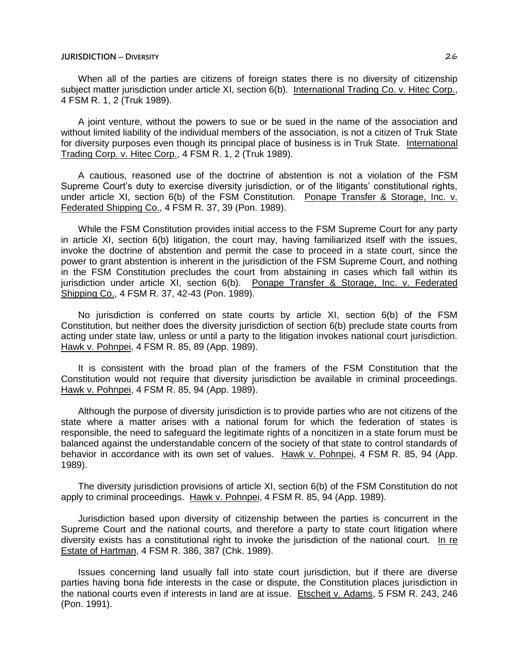When all of the parties are citizens of foreign states there is no diversity of citizenship subject matter jurisdiction under article XI, section 6(b). International Trading Co. v. Hitec Corp., 4 FSM R. 1, 2 (Truk 1989).

A joint venture, without the powers to sue or be sued in the name of the association and without limited liability of the individual members of the association, is not a citizen of Truk State for diversity purposes even though its principal place of business is in Truk State. International Trading Corp. v. Hitec Corp., 4 FSM R. 1, 2 (Truk 1989).

A cautious, reasoned use of the doctrine of abstention is not a violation of the FSM Supreme Court's duty to exercise diversity jurisdiction, or of the litigants' constitutional rights, under article XI, section 6(b) of the FSM Constitution. Ponape Transfer & Storage, Inc. v. Federated Shipping Co., 4 FSM R. 37, 39 (Pon. 1989).

While the FSM Constitution provides initial access to the FSM Supreme Court for any party in article XI, section 6(b) litigation, the court may, having familiarized itself with the issues, invoke the doctrine of abstention and permit the case to proceed in a state court, since the power to grant abstention is inherent in the jurisdiction of the FSM Supreme Court, and nothing in the FSM Constitution precludes the court from abstaining in cases which fall within its jurisdiction under article XI, section 6(b). Ponape Transfer & Storage, Inc. v. Federated Shipping Co., 4 FSM R. 37, 42-43 (Pon. 1989).

No jurisdiction is conferred on state courts by article XI, section 6(b) of the FSM Constitution, but neither does the diversity jurisdiction of section 6(b) preclude state courts from acting under state law, unless or until a party to the litigation invokes national court jurisdiction. Hawk v. Pohnpei, 4 FSM R. 85, 89 (App. 1989).

It is consistent with the broad plan of the framers of the FSM Constitution that the Constitution would not require that diversity jurisdiction be available in criminal proceedings. Hawk v. Pohnpei, 4 FSM R. 85, 94 (App. 1989).

Although the purpose of diversity jurisdiction is to provide parties who are not citizens of the state where a matter arises with a national forum for which the federation of states is responsible, the need to safeguard the legitimate rights of a noncitizen in a state forum must be balanced against the understandable concern of the society of that state to control standards of behavior in accordance with its own set of values. Hawk v. Pohnpei, 4 FSM R. 85, 94 (App. 1989).

The diversity jurisdiction provisions of article XI, section 6(b) of the FSM Constitution do not apply to criminal proceedings. Hawk v. Pohnpei, 4 FSM R. 85, 94 (App. 1989).

Jurisdiction based upon diversity of citizenship between the parties is concurrent in the Supreme Court and the national courts, and therefore a party to state court litigation where diversity exists has a constitutional right to invoke the jurisdiction of the national court. In re Estate of Hartman, 4 FSM R. 386, 387 (Chk. 1989).

Issues concerning land usually fall into state court jurisdiction, but if there are diverse parties having bona fide interests in the case or dispute, the Constitution places jurisdiction in the national courts even if interests in land are at issue. Etscheit v. Adams, 5 FSM R. 243, 246 (Pon. 1991).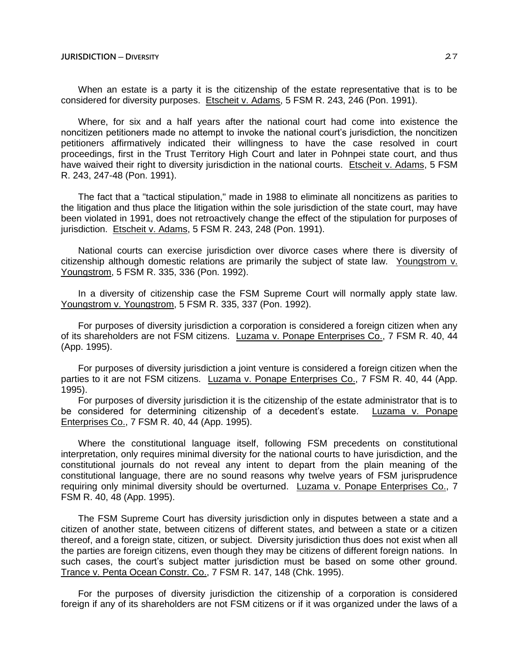When an estate is a party it is the citizenship of the estate representative that is to be considered for diversity purposes. Etscheit v. Adams, 5 FSM R. 243, 246 (Pon. 1991).

Where, for six and a half years after the national court had come into existence the noncitizen petitioners made no attempt to invoke the national court's jurisdiction, the noncitizen petitioners affirmatively indicated their willingness to have the case resolved in court proceedings, first in the Trust Territory High Court and later in Pohnpei state court, and thus have waived their right to diversity jurisdiction in the national courts. Etscheit v. Adams, 5 FSM R. 243, 247-48 (Pon. 1991).

The fact that a "tactical stipulation," made in 1988 to eliminate all noncitizens as parities to the litigation and thus place the litigation within the sole jurisdiction of the state court, may have been violated in 1991, does not retroactively change the effect of the stipulation for purposes of jurisdiction. Etscheit v. Adams, 5 FSM R. 243, 248 (Pon. 1991).

National courts can exercise jurisdiction over divorce cases where there is diversity of citizenship although domestic relations are primarily the subject of state law. Youngstrom v. Youngstrom, 5 FSM R. 335, 336 (Pon. 1992).

In a diversity of citizenship case the FSM Supreme Court will normally apply state law. Youngstrom v. Youngstrom, 5 FSM R. 335, 337 (Pon. 1992).

For purposes of diversity jurisdiction a corporation is considered a foreign citizen when any of its shareholders are not FSM citizens. Luzama v. Ponape Enterprises Co., 7 FSM R. 40, 44 (App. 1995).

For purposes of diversity jurisdiction a joint venture is considered a foreign citizen when the parties to it are not FSM citizens. Luzama v. Ponape Enterprises Co., 7 FSM R. 40, 44 (App. 1995).

For purposes of diversity jurisdiction it is the citizenship of the estate administrator that is to be considered for determining citizenship of a decedent's estate. Luzama v. Ponape Enterprises Co., 7 FSM R. 40, 44 (App. 1995).

Where the constitutional language itself, following FSM precedents on constitutional interpretation, only requires minimal diversity for the national courts to have jurisdiction, and the constitutional journals do not reveal any intent to depart from the plain meaning of the constitutional language, there are no sound reasons why twelve years of FSM jurisprudence requiring only minimal diversity should be overturned. Luzama v. Ponape Enterprises Co., 7 FSM R. 40, 48 (App. 1995).

The FSM Supreme Court has diversity jurisdiction only in disputes between a state and a citizen of another state, between citizens of different states, and between a state or a citizen thereof, and a foreign state, citizen, or subject. Diversity jurisdiction thus does not exist when all the parties are foreign citizens, even though they may be citizens of different foreign nations. In such cases, the court's subject matter jurisdiction must be based on some other ground. Trance v. Penta Ocean Constr. Co., 7 FSM R. 147, 148 (Chk. 1995).

For the purposes of diversity jurisdiction the citizenship of a corporation is considered foreign if any of its shareholders are not FSM citizens or if it was organized under the laws of a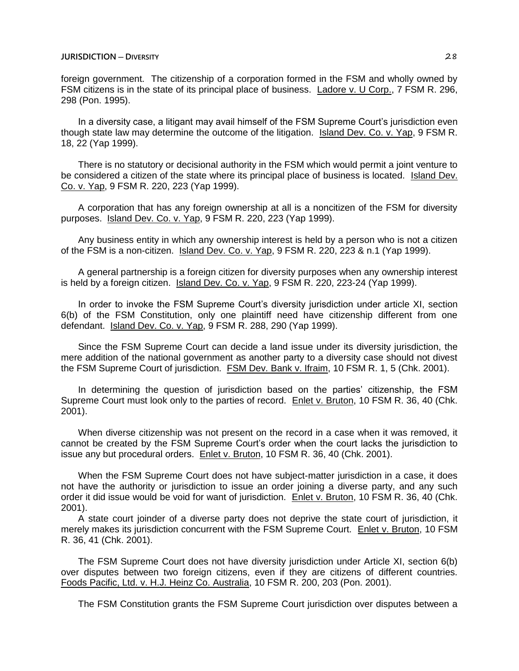foreign government. The citizenship of a corporation formed in the FSM and wholly owned by FSM citizens is in the state of its principal place of business. Ladore v. U Corp., 7 FSM R. 296, 298 (Pon. 1995).

In a diversity case, a litigant may avail himself of the FSM Supreme Court's jurisdiction even though state law may determine the outcome of the litigation. Island Dev. Co. v. Yap, 9 FSM R. 18, 22 (Yap 1999).

There is no statutory or decisional authority in the FSM which would permit a joint venture to be considered a citizen of the state where its principal place of business is located. Island Dev. Co. v. Yap, 9 FSM R. 220, 223 (Yap 1999).

A corporation that has any foreign ownership at all is a noncitizen of the FSM for diversity purposes. Island Dev. Co. v. Yap, 9 FSM R. 220, 223 (Yap 1999).

Any business entity in which any ownership interest is held by a person who is not a citizen of the FSM is a non-citizen. Island Dev. Co. v. Yap, 9 FSM R. 220, 223 & n.1 (Yap 1999).

A general partnership is a foreign citizen for diversity purposes when any ownership interest is held by a foreign citizen. Island Dev. Co. v. Yap, 9 FSM R. 220, 223-24 (Yap 1999).

In order to invoke the FSM Supreme Court's diversity jurisdiction under article XI, section 6(b) of the FSM Constitution, only one plaintiff need have citizenship different from one defendant. Island Dev. Co. v. Yap, 9 FSM R. 288, 290 (Yap 1999).

Since the FSM Supreme Court can decide a land issue under its diversity jurisdiction, the mere addition of the national government as another party to a diversity case should not divest the FSM Supreme Court of jurisdiction. FSM Dev. Bank v. Ifraim, 10 FSM R. 1, 5 (Chk. 2001).

In determining the question of jurisdiction based on the parties' citizenship, the FSM Supreme Court must look only to the parties of record. Enlet v. Bruton, 10 FSM R. 36, 40 (Chk. 2001).

When diverse citizenship was not present on the record in a case when it was removed, it cannot be created by the FSM Supreme Court's order when the court lacks the jurisdiction to issue any but procedural orders. Enlet v. Bruton, 10 FSM R. 36, 40 (Chk. 2001).

When the FSM Supreme Court does not have subject-matter jurisdiction in a case, it does not have the authority or jurisdiction to issue an order joining a diverse party, and any such order it did issue would be void for want of jurisdiction. Enlet v. Bruton, 10 FSM R. 36, 40 (Chk. 2001).

A state court joinder of a diverse party does not deprive the state court of jurisdiction, it merely makes its jurisdiction concurrent with the FSM Supreme Court. Enlet v. Bruton, 10 FSM R. 36, 41 (Chk. 2001).

The FSM Supreme Court does not have diversity jurisdiction under Article XI, section 6(b) over disputes between two foreign citizens, even if they are citizens of different countries. Foods Pacific, Ltd. v. H.J. Heinz Co. Australia, 10 FSM R. 200, 203 (Pon. 2001).

The FSM Constitution grants the FSM Supreme Court jurisdiction over disputes between a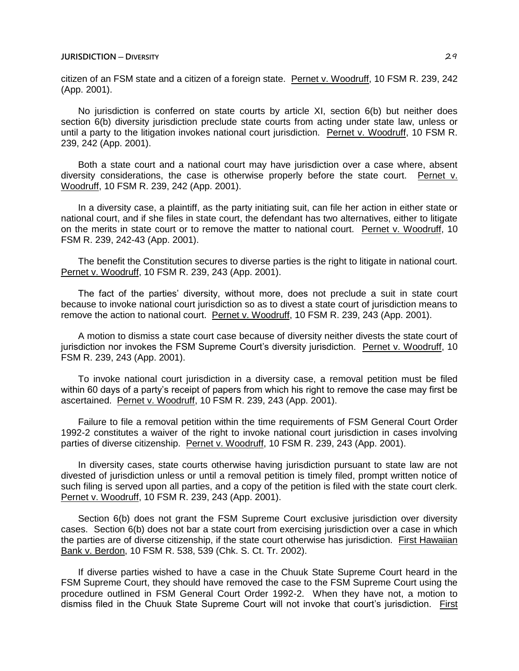citizen of an FSM state and a citizen of a foreign state. Pernet v. Woodruff, 10 FSM R. 239, 242 (App. 2001).

No jurisdiction is conferred on state courts by article XI, section 6(b) but neither does section 6(b) diversity jurisdiction preclude state courts from acting under state law, unless or until a party to the litigation invokes national court jurisdiction. Pernet v. Woodruff, 10 FSM R. 239, 242 (App. 2001).

Both a state court and a national court may have jurisdiction over a case where, absent diversity considerations, the case is otherwise properly before the state court. Pernet v. Woodruff, 10 FSM R. 239, 242 (App. 2001).

In a diversity case, a plaintiff, as the party initiating suit, can file her action in either state or national court, and if she files in state court, the defendant has two alternatives, either to litigate on the merits in state court or to remove the matter to national court. Pernet v. Woodruff, 10 FSM R. 239, 242-43 (App. 2001).

The benefit the Constitution secures to diverse parties is the right to litigate in national court. Pernet v. Woodruff, 10 FSM R. 239, 243 (App. 2001).

The fact of the parties' diversity, without more, does not preclude a suit in state court because to invoke national court jurisdiction so as to divest a state court of jurisdiction means to remove the action to national court. Pernet v. Woodruff, 10 FSM R. 239, 243 (App. 2001).

A motion to dismiss a state court case because of diversity neither divests the state court of jurisdiction nor invokes the FSM Supreme Court's diversity jurisdiction. Pernet v. Woodruff, 10 FSM R. 239, 243 (App. 2001).

To invoke national court jurisdiction in a diversity case, a removal petition must be filed within 60 days of a party's receipt of papers from which his right to remove the case may first be ascertained. Pernet v. Woodruff, 10 FSM R. 239, 243 (App. 2001).

Failure to file a removal petition within the time requirements of FSM General Court Order 1992-2 constitutes a waiver of the right to invoke national court jurisdiction in cases involving parties of diverse citizenship. Pernet v. Woodruff, 10 FSM R. 239, 243 (App. 2001).

In diversity cases, state courts otherwise having jurisdiction pursuant to state law are not divested of jurisdiction unless or until a removal petition is timely filed, prompt written notice of such filing is served upon all parties, and a copy of the petition is filed with the state court clerk. Pernet v. Woodruff, 10 FSM R. 239, 243 (App. 2001).

Section 6(b) does not grant the FSM Supreme Court exclusive jurisdiction over diversity cases. Section 6(b) does not bar a state court from exercising jurisdiction over a case in which the parties are of diverse citizenship, if the state court otherwise has jurisdiction. First Hawaiian Bank v. Berdon, 10 FSM R. 538, 539 (Chk. S. Ct. Tr. 2002).

If diverse parties wished to have a case in the Chuuk State Supreme Court heard in the FSM Supreme Court, they should have removed the case to the FSM Supreme Court using the procedure outlined in FSM General Court Order 1992-2. When they have not, a motion to dismiss filed in the Chuuk State Supreme Court will not invoke that court's jurisdiction. First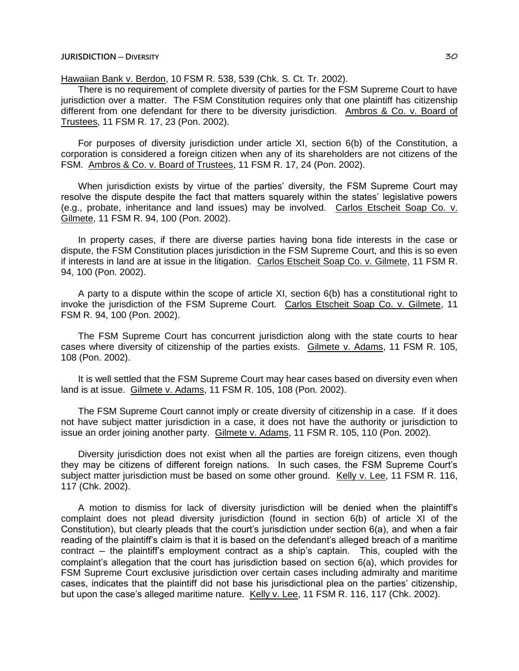Hawaiian Bank v. Berdon, 10 FSM R. 538, 539 (Chk. S. Ct. Tr. 2002).

There is no requirement of complete diversity of parties for the FSM Supreme Court to have jurisdiction over a matter. The FSM Constitution requires only that one plaintiff has citizenship different from one defendant for there to be diversity jurisdiction. Ambros & Co. v. Board of Trustees, 11 FSM R. 17, 23 (Pon. 2002).

For purposes of diversity jurisdiction under article XI, section 6(b) of the Constitution, a corporation is considered a foreign citizen when any of its shareholders are not citizens of the FSM. Ambros & Co. v. Board of Trustees, 11 FSM R. 17, 24 (Pon. 2002).

When jurisdiction exists by virtue of the parties' diversity, the FSM Supreme Court may resolve the dispute despite the fact that matters squarely within the states' legislative powers (e.g., probate, inheritance and land issues) may be involved. Carlos Etscheit Soap Co. v. Gilmete, 11 FSM R. 94, 100 (Pon. 2002).

In property cases, if there are diverse parties having bona fide interests in the case or dispute, the FSM Constitution places jurisdiction in the FSM Supreme Court, and this is so even if interests in land are at issue in the litigation. Carlos Etscheit Soap Co. v. Gilmete, 11 FSM R. 94, 100 (Pon. 2002).

A party to a dispute within the scope of article XI, section 6(b) has a constitutional right to invoke the jurisdiction of the FSM Supreme Court. Carlos Etscheit Soap Co. v. Gilmete, 11 FSM R. 94, 100 (Pon. 2002).

The FSM Supreme Court has concurrent jurisdiction along with the state courts to hear cases where diversity of citizenship of the parties exists. Gilmete v. Adams, 11 FSM R. 105, 108 (Pon. 2002).

It is well settled that the FSM Supreme Court may hear cases based on diversity even when land is at issue. Gilmete v. Adams, 11 FSM R. 105, 108 (Pon. 2002).

The FSM Supreme Court cannot imply or create diversity of citizenship in a case. If it does not have subject matter jurisdiction in a case, it does not have the authority or jurisdiction to issue an order joining another party. Gilmete v. Adams, 11 FSM R. 105, 110 (Pon. 2002).

Diversity jurisdiction does not exist when all the parties are foreign citizens, even though they may be citizens of different foreign nations. In such cases, the FSM Supreme Court's subject matter jurisdiction must be based on some other ground. Kelly v. Lee, 11 FSM R. 116, 117 (Chk. 2002).

A motion to dismiss for lack of diversity jurisdiction will be denied when the plaintiff's complaint does not plead diversity jurisdiction (found in section 6(b) of article XI of the Constitution), but clearly pleads that the court's jurisdiction under section 6(a), and when a fair reading of the plaintiff's claim is that it is based on the defendant's alleged breach of a maritime contract – the plaintiff's employment contract as a ship's captain. This, coupled with the complaint's allegation that the court has jurisdiction based on section 6(a), which provides for FSM Supreme Court exclusive jurisdiction over certain cases including admiralty and maritime cases, indicates that the plaintiff did not base his jurisdictional plea on the parties' citizenship, but upon the case's alleged maritime nature. Kelly v. Lee, 11 FSM R. 116, 117 (Chk. 2002).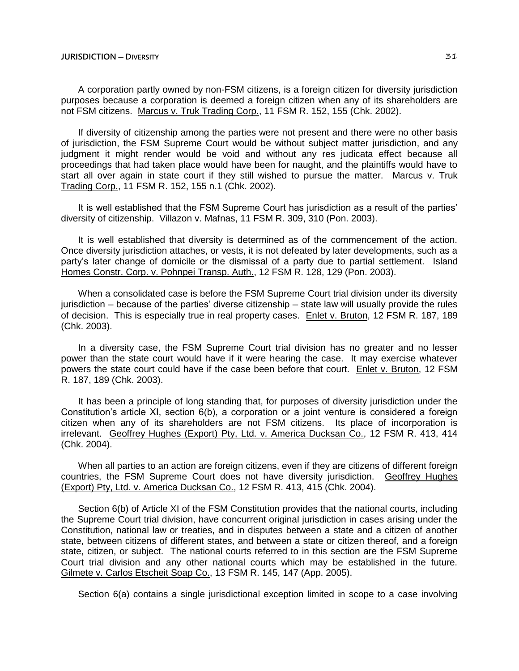A corporation partly owned by non-FSM citizens, is a foreign citizen for diversity jurisdiction purposes because a corporation is deemed a foreign citizen when any of its shareholders are not FSM citizens. Marcus v. Truk Trading Corp., 11 FSM R. 152, 155 (Chk. 2002).

If diversity of citizenship among the parties were not present and there were no other basis of jurisdiction, the FSM Supreme Court would be without subject matter jurisdiction, and any judgment it might render would be void and without any res judicata effect because all proceedings that had taken place would have been for naught, and the plaintiffs would have to start all over again in state court if they still wished to pursue the matter. Marcus v. Truk Trading Corp., 11 FSM R. 152, 155 n.1 (Chk. 2002).

It is well established that the FSM Supreme Court has jurisdiction as a result of the parties' diversity of citizenship. Villazon v. Mafnas, 11 FSM R. 309, 310 (Pon. 2003).

It is well established that diversity is determined as of the commencement of the action. Once diversity jurisdiction attaches, or vests, it is not defeated by later developments, such as a party's later change of domicile or the dismissal of a party due to partial settlement. Island Homes Constr. Corp. v. Pohnpei Transp. Auth., 12 FSM R. 128, 129 (Pon. 2003).

When a consolidated case is before the FSM Supreme Court trial division under its diversity jurisdiction ─ because of the parties' diverse citizenship ─ state law will usually provide the rules of decision. This is especially true in real property cases. Enlet v. Bruton, 12 FSM R. 187, 189 (Chk. 2003).

In a diversity case, the FSM Supreme Court trial division has no greater and no lesser power than the state court would have if it were hearing the case. It may exercise whatever powers the state court could have if the case been before that court. Enlet v. Bruton, 12 FSM R. 187, 189 (Chk. 2003).

It has been a principle of long standing that, for purposes of diversity jurisdiction under the Constitution's article XI, section 6(b), a corporation or a joint venture is considered a foreign citizen when any of its shareholders are not FSM citizens. Its place of incorporation is irrelevant. Geoffrey Hughes (Export) Pty, Ltd. v. America Ducksan Co., 12 FSM R. 413, 414 (Chk. 2004).

When all parties to an action are foreign citizens, even if they are citizens of different foreign countries, the FSM Supreme Court does not have diversity jurisdiction. Geoffrey Hughes (Export) Pty, Ltd. v. America Ducksan Co., 12 FSM R. 413, 415 (Chk. 2004).

Section 6(b) of Article XI of the FSM Constitution provides that the national courts, including the Supreme Court trial division, have concurrent original jurisdiction in cases arising under the Constitution, national law or treaties, and in disputes between a state and a citizen of another state, between citizens of different states, and between a state or citizen thereof, and a foreign state, citizen, or subject. The national courts referred to in this section are the FSM Supreme Court trial division and any other national courts which may be established in the future. Gilmete v. Carlos Etscheit Soap Co., 13 FSM R. 145, 147 (App. 2005).

Section 6(a) contains a single jurisdictional exception limited in scope to a case involving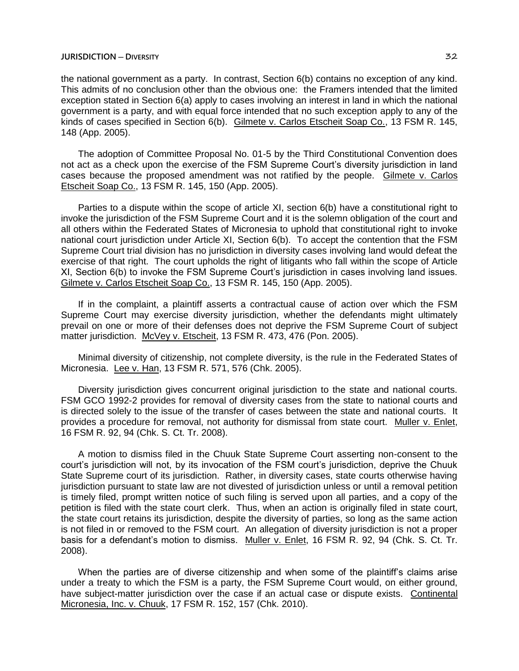the national government as a party. In contrast, Section 6(b) contains no exception of any kind. This admits of no conclusion other than the obvious one: the Framers intended that the limited exception stated in Section 6(a) apply to cases involving an interest in land in which the national government is a party, and with equal force intended that no such exception apply to any of the kinds of cases specified in Section 6(b). Gilmete v. Carlos Etscheit Soap Co., 13 FSM R. 145, 148 (App. 2005).

The adoption of Committee Proposal No. 01-5 by the Third Constitutional Convention does not act as a check upon the exercise of the FSM Supreme Court's diversity jurisdiction in land cases because the proposed amendment was not ratified by the people. Gilmete v. Carlos Etscheit Soap Co., 13 FSM R. 145, 150 (App. 2005).

Parties to a dispute within the scope of article XI, section 6(b) have a constitutional right to invoke the jurisdiction of the FSM Supreme Court and it is the solemn obligation of the court and all others within the Federated States of Micronesia to uphold that constitutional right to invoke national court jurisdiction under Article XI, Section 6(b). To accept the contention that the FSM Supreme Court trial division has no jurisdiction in diversity cases involving land would defeat the exercise of that right. The court upholds the right of litigants who fall within the scope of Article XI, Section 6(b) to invoke the FSM Supreme Court's jurisdiction in cases involving land issues. Gilmete v. Carlos Etscheit Soap Co., 13 FSM R. 145, 150 (App. 2005).

If in the complaint, a plaintiff asserts a contractual cause of action over which the FSM Supreme Court may exercise diversity jurisdiction, whether the defendants might ultimately prevail on one or more of their defenses does not deprive the FSM Supreme Court of subject matter jurisdiction. McVey v. Etscheit, 13 FSM R. 473, 476 (Pon. 2005).

Minimal diversity of citizenship, not complete diversity, is the rule in the Federated States of Micronesia. Lee v. Han, 13 FSM R. 571, 576 (Chk. 2005).

Diversity jurisdiction gives concurrent original jurisdiction to the state and national courts. FSM GCO 1992-2 provides for removal of diversity cases from the state to national courts and is directed solely to the issue of the transfer of cases between the state and national courts. It provides a procedure for removal, not authority for dismissal from state court. Muller v. Enlet, 16 FSM R. 92, 94 (Chk. S. Ct. Tr. 2008).

A motion to dismiss filed in the Chuuk State Supreme Court asserting non-consent to the court's jurisdiction will not, by its invocation of the FSM court's jurisdiction, deprive the Chuuk State Supreme court of its jurisdiction. Rather, in diversity cases, state courts otherwise having jurisdiction pursuant to state law are not divested of jurisdiction unless or until a removal petition is timely filed, prompt written notice of such filing is served upon all parties, and a copy of the petition is filed with the state court clerk. Thus, when an action is originally filed in state court, the state court retains its jurisdiction, despite the diversity of parties, so long as the same action is not filed in or removed to the FSM court. An allegation of diversity jurisdiction is not a proper basis for a defendant's motion to dismiss. Muller v. Enlet, 16 FSM R. 92, 94 (Chk. S. Ct. Tr. 2008).

When the parties are of diverse citizenship and when some of the plaintiff's claims arise under a treaty to which the FSM is a party, the FSM Supreme Court would, on either ground, have subject-matter jurisdiction over the case if an actual case or dispute exists. Continental Micronesia, Inc. v. Chuuk, 17 FSM R. 152, 157 (Chk. 2010).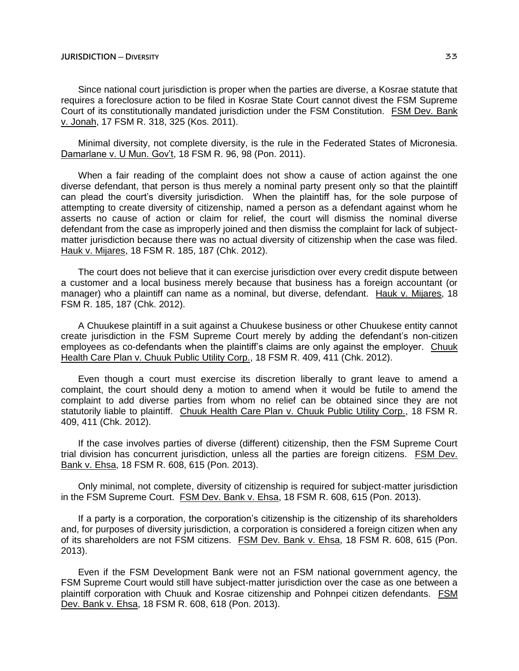Since national court jurisdiction is proper when the parties are diverse, a Kosrae statute that requires a foreclosure action to be filed in Kosrae State Court cannot divest the FSM Supreme Court of its constitutionally mandated jurisdiction under the FSM Constitution. FSM Dev. Bank v. Jonah, 17 FSM R. 318, 325 (Kos. 2011).

Minimal diversity, not complete diversity, is the rule in the Federated States of Micronesia. Damarlane v. U Mun. Gov't, 18 FSM R. 96, 98 (Pon. 2011).

When a fair reading of the complaint does not show a cause of action against the one diverse defendant, that person is thus merely a nominal party present only so that the plaintiff can plead the court's diversity jurisdiction. When the plaintiff has, for the sole purpose of attempting to create diversity of citizenship, named a person as a defendant against whom he asserts no cause of action or claim for relief, the court will dismiss the nominal diverse defendant from the case as improperly joined and then dismiss the complaint for lack of subjectmatter jurisdiction because there was no actual diversity of citizenship when the case was filed. Hauk v. Mijares, 18 FSM R. 185, 187 (Chk. 2012).

The court does not believe that it can exercise jurisdiction over every credit dispute between a customer and a local business merely because that business has a foreign accountant (or manager) who a plaintiff can name as a nominal, but diverse, defendant. Hauk v. Mijares, 18 FSM R. 185, 187 (Chk. 2012).

A Chuukese plaintiff in a suit against a Chuukese business or other Chuukese entity cannot create jurisdiction in the FSM Supreme Court merely by adding the defendant's non-citizen employees as co-defendants when the plaintiff's claims are only against the employer. Chuuk Health Care Plan v. Chuuk Public Utility Corp., 18 FSM R. 409, 411 (Chk. 2012).

Even though a court must exercise its discretion liberally to grant leave to amend a complaint, the court should deny a motion to amend when it would be futile to amend the complaint to add diverse parties from whom no relief can be obtained since they are not statutorily liable to plaintiff. Chuuk Health Care Plan v. Chuuk Public Utility Corp., 18 FSM R. 409, 411 (Chk. 2012).

If the case involves parties of diverse (different) citizenship, then the FSM Supreme Court trial division has concurrent jurisdiction, unless all the parties are foreign citizens. FSM Dev. Bank v. Ehsa, 18 FSM R. 608, 615 (Pon. 2013).

Only minimal, not complete, diversity of citizenship is required for subject-matter jurisdiction in the FSM Supreme Court. FSM Dev. Bank v. Ehsa, 18 FSM R. 608, 615 (Pon. 2013).

If a party is a corporation, the corporation's citizenship is the citizenship of its shareholders and, for purposes of diversity jurisdiction, a corporation is considered a foreign citizen when any of its shareholders are not FSM citizens. FSM Dev. Bank v. Ehsa, 18 FSM R. 608, 615 (Pon. 2013).

Even if the FSM Development Bank were not an FSM national government agency, the FSM Supreme Court would still have subject-matter jurisdiction over the case as one between a plaintiff corporation with Chuuk and Kosrae citizenship and Pohnpei citizen defendants. FSM Dev. Bank v. Ehsa, 18 FSM R. 608, 618 (Pon. 2013).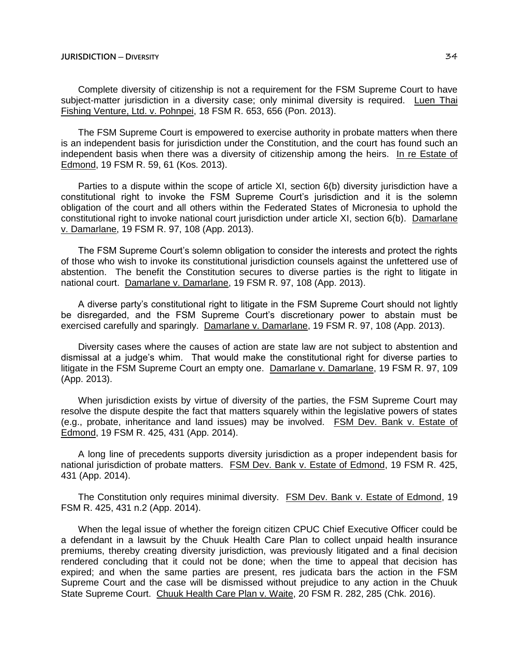Complete diversity of citizenship is not a requirement for the FSM Supreme Court to have subject-matter jurisdiction in a diversity case; only minimal diversity is required. Luen Thai Fishing Venture, Ltd. v. Pohnpei, 18 FSM R. 653, 656 (Pon. 2013).

The FSM Supreme Court is empowered to exercise authority in probate matters when there is an independent basis for jurisdiction under the Constitution, and the court has found such an independent basis when there was a diversity of citizenship among the heirs. In re Estate of Edmond, 19 FSM R. 59, 61 (Kos. 2013).

Parties to a dispute within the scope of article XI, section 6(b) diversity jurisdiction have a constitutional right to invoke the FSM Supreme Court's jurisdiction and it is the solemn obligation of the court and all others within the Federated States of Micronesia to uphold the constitutional right to invoke national court jurisdiction under article XI, section 6(b). Damarlane v. Damarlane, 19 FSM R. 97, 108 (App. 2013).

The FSM Supreme Court's solemn obligation to consider the interests and protect the rights of those who wish to invoke its constitutional jurisdiction counsels against the unfettered use of abstention. The benefit the Constitution secures to diverse parties is the right to litigate in national court. Damarlane v. Damarlane, 19 FSM R. 97, 108 (App. 2013).

A diverse party's constitutional right to litigate in the FSM Supreme Court should not lightly be disregarded, and the FSM Supreme Court's discretionary power to abstain must be exercised carefully and sparingly. Damarlane v. Damarlane, 19 FSM R. 97, 108 (App. 2013).

Diversity cases where the causes of action are state law are not subject to abstention and dismissal at a judge's whim. That would make the constitutional right for diverse parties to litigate in the FSM Supreme Court an empty one. Damarlane v. Damarlane, 19 FSM R. 97, 109 (App. 2013).

When jurisdiction exists by virtue of diversity of the parties, the FSM Supreme Court may resolve the dispute despite the fact that matters squarely within the legislative powers of states (e.g., probate, inheritance and land issues) may be involved. FSM Dev. Bank v. Estate of Edmond, 19 FSM R. 425, 431 (App. 2014).

A long line of precedents supports diversity jurisdiction as a proper independent basis for national jurisdiction of probate matters. FSM Dev. Bank v. Estate of Edmond, 19 FSM R. 425, 431 (App. 2014).

The Constitution only requires minimal diversity. FSM Dev. Bank v. Estate of Edmond, 19 FSM R. 425, 431 n.2 (App. 2014).

When the legal issue of whether the foreign citizen CPUC Chief Executive Officer could be a defendant in a lawsuit by the Chuuk Health Care Plan to collect unpaid health insurance premiums, thereby creating diversity jurisdiction, was previously litigated and a final decision rendered concluding that it could not be done; when the time to appeal that decision has expired; and when the same parties are present, res judicata bars the action in the FSM Supreme Court and the case will be dismissed without prejudice to any action in the Chuuk State Supreme Court. Chuuk Health Care Plan v. Waite, 20 FSM R. 282, 285 (Chk. 2016).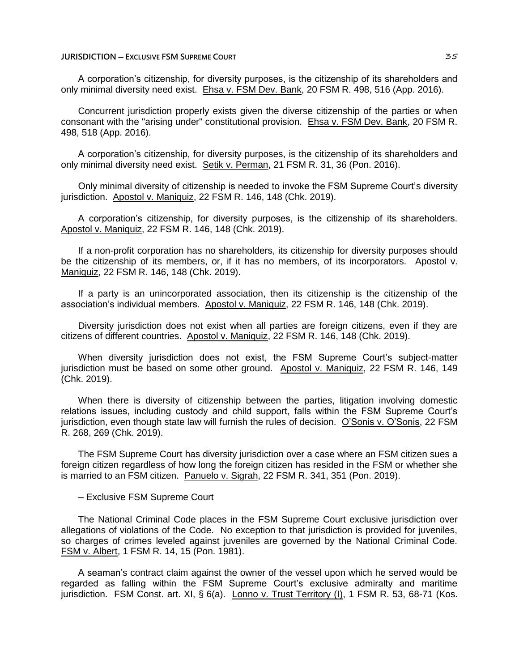A corporation's citizenship, for diversity purposes, is the citizenship of its shareholders and only minimal diversity need exist. Ehsa v. FSM Dev. Bank, 20 FSM R. 498, 516 (App. 2016).

Concurrent jurisdiction properly exists given the diverse citizenship of the parties or when consonant with the "arising under" constitutional provision. Ehsa v. FSM Dev. Bank, 20 FSM R. 498, 518 (App. 2016).

A corporation's citizenship, for diversity purposes, is the citizenship of its shareholders and only minimal diversity need exist. Setik v. Perman, 21 FSM R. 31, 36 (Pon. 2016).

Only minimal diversity of citizenship is needed to invoke the FSM Supreme Court's diversity jurisdiction. Apostol v. Maniquiz, 22 FSM R. 146, 148 (Chk. 2019).

A corporation's citizenship, for diversity purposes, is the citizenship of its shareholders. Apostol v. Maniquiz, 22 FSM R. 146, 148 (Chk. 2019).

If a non-profit corporation has no shareholders, its citizenship for diversity purposes should be the citizenship of its members, or, if it has no members, of its incorporators. Apostol v. Maniquiz, 22 FSM R. 146, 148 (Chk. 2019).

If a party is an unincorporated association, then its citizenship is the citizenship of the association's individual members. Apostol v. Maniquiz, 22 FSM R. 146, 148 (Chk. 2019).

Diversity jurisdiction does not exist when all parties are foreign citizens, even if they are citizens of different countries. Apostol v. Maniquiz, 22 FSM R. 146, 148 (Chk. 2019).

When diversity jurisdiction does not exist, the FSM Supreme Court's subject-matter jurisdiction must be based on some other ground. Apostol v. Maniquiz, 22 FSM R. 146, 149 (Chk. 2019).

When there is diversity of citizenship between the parties, litigation involving domestic relations issues, including custody and child support, falls within the FSM Supreme Court's jurisdiction, even though state law will furnish the rules of decision. O'Sonis v. O'Sonis, 22 FSM R. 268, 269 (Chk. 2019).

The FSM Supreme Court has diversity jurisdiction over a case where an FSM citizen sues a foreign citizen regardless of how long the foreign citizen has resided in the FSM or whether she is married to an FSM citizen. Panuelo v. Sigrah, 22 FSM R. 341, 351 (Pon. 2019).

─ Exclusive FSM Supreme Court

The National Criminal Code places in the FSM Supreme Court exclusive jurisdiction over allegations of violations of the Code. No exception to that jurisdiction is provided for juveniles, so charges of crimes leveled against juveniles are governed by the National Criminal Code. FSM v. Albert, 1 FSM R. 14, 15 (Pon. 1981).

A seaman's contract claim against the owner of the vessel upon which he served would be regarded as falling within the FSM Supreme Court's exclusive admiralty and maritime jurisdiction. FSM Const. art. XI, § 6(a). Lonno v. Trust Territory (I), 1 FSM R. 53, 68-71 (Kos.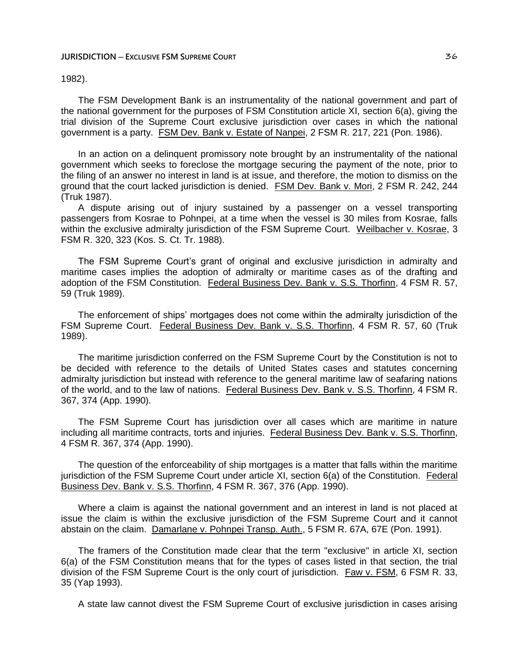#### **JURISDICTION ─ EXCLUSIVE FSM SUPREME COURT** 36

# 1982).

The FSM Development Bank is an instrumentality of the national government and part of the national government for the purposes of FSM Constitution article XI, section 6(a), giving the trial division of the Supreme Court exclusive jurisdiction over cases in which the national government is a party. FSM Dev. Bank v. Estate of Nanpei, 2 FSM R. 217, 221 (Pon. 1986).

In an action on a delinquent promissory note brought by an instrumentality of the national government which seeks to foreclose the mortgage securing the payment of the note, prior to the filing of an answer no interest in land is at issue, and therefore, the motion to dismiss on the ground that the court lacked jurisdiction is denied. FSM Dev. Bank v. Mori, 2 FSM R. 242, 244 (Truk 1987).

A dispute arising out of injury sustained by a passenger on a vessel transporting passengers from Kosrae to Pohnpei, at a time when the vessel is 30 miles from Kosrae, falls within the exclusive admiralty jurisdiction of the FSM Supreme Court. Weilbacher v. Kosrae, 3 FSM R. 320, 323 (Kos. S. Ct. Tr. 1988).

The FSM Supreme Court's grant of original and exclusive jurisdiction in admiralty and maritime cases implies the adoption of admiralty or maritime cases as of the drafting and adoption of the FSM Constitution. Federal Business Dev. Bank v. S.S. Thorfinn, 4 FSM R. 57, 59 (Truk 1989).

The enforcement of ships' mortgages does not come within the admiralty jurisdiction of the FSM Supreme Court. Federal Business Dev. Bank v. S.S. Thorfinn, 4 FSM R. 57, 60 (Truk 1989).

The maritime jurisdiction conferred on the FSM Supreme Court by the Constitution is not to be decided with reference to the details of United States cases and statutes concerning admiralty jurisdiction but instead with reference to the general maritime law of seafaring nations of the world, and to the law of nations. Federal Business Dev. Bank v. S.S. Thorfinn, 4 FSM R. 367, 374 (App. 1990).

The FSM Supreme Court has jurisdiction over all cases which are maritime in nature including all maritime contracts, torts and injuries. Federal Business Dev. Bank v. S.S. Thorfinn, 4 FSM R. 367, 374 (App. 1990).

The question of the enforceability of ship mortgages is a matter that falls within the maritime jurisdiction of the FSM Supreme Court under article XI, section 6(a) of the Constitution. Federal Business Dev. Bank v. S.S. Thorfinn, 4 FSM R. 367, 376 (App. 1990).

Where a claim is against the national government and an interest in land is not placed at issue the claim is within the exclusive jurisdiction of the FSM Supreme Court and it cannot abstain on the claim. Damarlane v. Pohnpei Transp. Auth., 5 FSM R. 67A, 67E (Pon. 1991).

The framers of the Constitution made clear that the term "exclusive" in article XI, section 6(a) of the FSM Constitution means that for the types of cases listed in that section, the trial division of the FSM Supreme Court is the only court of jurisdiction. Faw v. FSM, 6 FSM R. 33, 35 (Yap 1993).

A state law cannot divest the FSM Supreme Court of exclusive jurisdiction in cases arising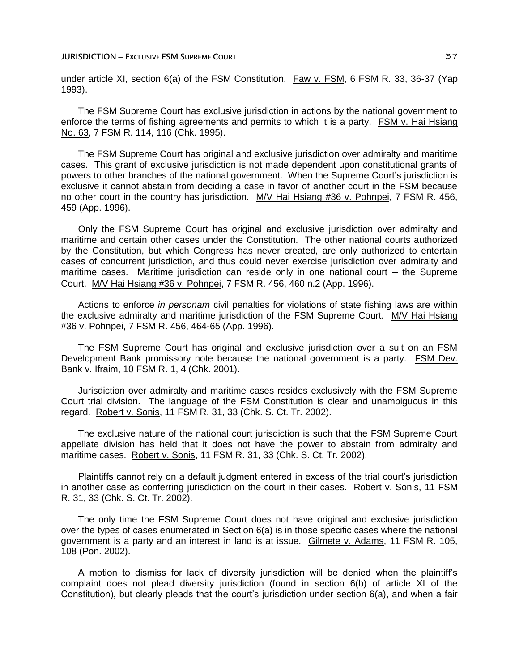under article XI, section 6(a) of the FSM Constitution. Faw v. FSM, 6 FSM R. 33, 36-37 (Yap 1993).

The FSM Supreme Court has exclusive jurisdiction in actions by the national government to enforce the terms of fishing agreements and permits to which it is a party. FSM v. Hai Hsiang No. 63, 7 FSM R. 114, 116 (Chk. 1995).

The FSM Supreme Court has original and exclusive jurisdiction over admiralty and maritime cases. This grant of exclusive jurisdiction is not made dependent upon constitutional grants of powers to other branches of the national government. When the Supreme Court's jurisdiction is exclusive it cannot abstain from deciding a case in favor of another court in the FSM because no other court in the country has jurisdiction. M/V Hai Hsiang #36 v. Pohnpei, 7 FSM R. 456, 459 (App. 1996).

Only the FSM Supreme Court has original and exclusive jurisdiction over admiralty and maritime and certain other cases under the Constitution. The other national courts authorized by the Constitution, but which Congress has never created, are only authorized to entertain cases of concurrent jurisdiction, and thus could never exercise jurisdiction over admiralty and maritime cases. Maritime jurisdiction can reside only in one national court  $-$  the Supreme Court. M/V Hai Hsiang #36 v. Pohnpei, 7 FSM R. 456, 460 n.2 (App. 1996).

Actions to enforce *in personam* civil penalties for violations of state fishing laws are within the exclusive admiralty and maritime jurisdiction of the FSM Supreme Court. M/V Hai Hsiang #36 v. Pohnpei, 7 FSM R. 456, 464-65 (App. 1996).

The FSM Supreme Court has original and exclusive jurisdiction over a suit on an FSM Development Bank promissory note because the national government is a party. FSM Dev. Bank v. Ifraim, 10 FSM R. 1, 4 (Chk. 2001).

Jurisdiction over admiralty and maritime cases resides exclusively with the FSM Supreme Court trial division. The language of the FSM Constitution is clear and unambiguous in this regard. Robert v. Sonis, 11 FSM R. 31, 33 (Chk. S. Ct. Tr. 2002).

The exclusive nature of the national court jurisdiction is such that the FSM Supreme Court appellate division has held that it does not have the power to abstain from admiralty and maritime cases. Robert v. Sonis, 11 FSM R. 31, 33 (Chk. S. Ct. Tr. 2002).

Plaintiffs cannot rely on a default judgment entered in excess of the trial court's jurisdiction in another case as conferring jurisdiction on the court in their cases. Robert v. Sonis, 11 FSM R. 31, 33 (Chk. S. Ct. Tr. 2002).

The only time the FSM Supreme Court does not have original and exclusive jurisdiction over the types of cases enumerated in Section 6(a) is in those specific cases where the national government is a party and an interest in land is at issue. Gilmete v. Adams, 11 FSM R. 105, 108 (Pon. 2002).

A motion to dismiss for lack of diversity jurisdiction will be denied when the plaintiff's complaint does not plead diversity jurisdiction (found in section 6(b) of article XI of the Constitution), but clearly pleads that the court's jurisdiction under section 6(a), and when a fair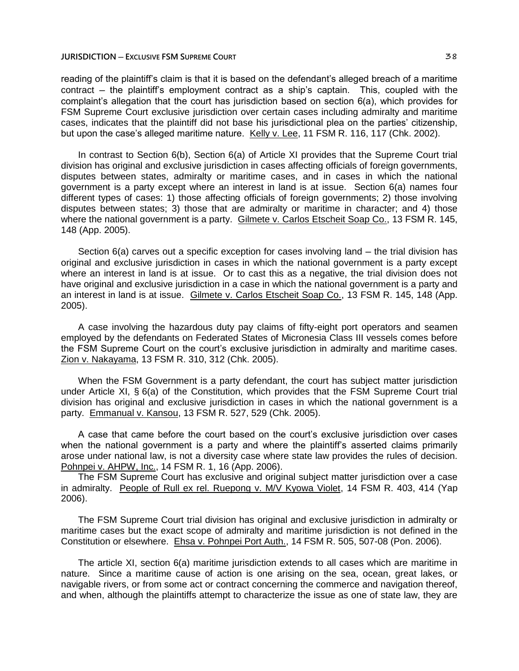reading of the plaintiff's claim is that it is based on the defendant's alleged breach of a maritime contract – the plaintiff's employment contract as a ship's captain. This, coupled with the complaint's allegation that the court has jurisdiction based on section 6(a), which provides for FSM Supreme Court exclusive jurisdiction over certain cases including admiralty and maritime cases, indicates that the plaintiff did not base his jurisdictional plea on the parties' citizenship, but upon the case's alleged maritime nature. Kelly v. Lee, 11 FSM R. 116, 117 (Chk. 2002).

In contrast to Section 6(b), Section 6(a) of Article XI provides that the Supreme Court trial division has original and exclusive jurisdiction in cases affecting officials of foreign governments, disputes between states, admiralty or maritime cases, and in cases in which the national government is a party except where an interest in land is at issue. Section 6(a) names four different types of cases: 1) those affecting officials of foreign governments; 2) those involving disputes between states; 3) those that are admiralty or maritime in character; and 4) those where the national government is a party. Gilmete v. Carlos Etscheit Soap Co., 13 FSM R. 145, 148 (App. 2005).

Section  $6(a)$  carves out a specific exception for cases involving land  $-$  the trial division has original and exclusive jurisdiction in cases in which the national government is a party except where an interest in land is at issue. Or to cast this as a negative, the trial division does not have original and exclusive jurisdiction in a case in which the national government is a party and an interest in land is at issue. Gilmete v. Carlos Etscheit Soap Co., 13 FSM R. 145, 148 (App. 2005).

A case involving the hazardous duty pay claims of fifty-eight port operators and seamen employed by the defendants on Federated States of Micronesia Class III vessels comes before the FSM Supreme Court on the court's exclusive jurisdiction in admiralty and maritime cases. Zion v. Nakayama, 13 FSM R. 310, 312 (Chk. 2005).

When the FSM Government is a party defendant, the court has subject matter jurisdiction under Article XI, § 6(a) of the Constitution, which provides that the FSM Supreme Court trial division has original and exclusive jurisdiction in cases in which the national government is a party. Emmanual v. Kansou, 13 FSM R. 527, 529 (Chk. 2005).

A case that came before the court based on the court's exclusive jurisdiction over cases when the national government is a party and where the plaintiff's asserted claims primarily arose under national law, is not a diversity case where state law provides the rules of decision. Pohnpei v. AHPW, Inc., 14 FSM R. 1, 16 (App. 2006).

The FSM Supreme Court has exclusive and original subject matter jurisdiction over a case in admiralty. People of Rull ex rel. Ruepong v. M/V Kyowa Violet, 14 FSM R. 403, 414 (Yap 2006).

The FSM Supreme Court trial division has original and exclusive jurisdiction in admiralty or maritime cases but the exact scope of admiralty and maritime jurisdiction is not defined in the Constitution or elsewhere. Ehsa v. Pohnpei Port Auth., 14 FSM R. 505, 507-08 (Pon. 2006).

The article XI, section 6(a) maritime jurisdiction extends to all cases which are maritime in nature. Since a maritime cause of action is one arising on the sea, ocean, great lakes, or navigable rivers, or from some act or contract concerning the commerce and navigation thereof, and when, although the plaintiffs attempt to characterize the issue as one of state law, they are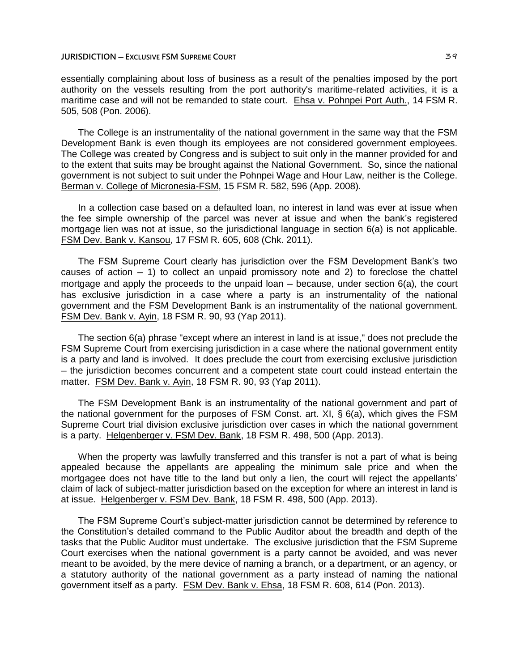essentially complaining about loss of business as a result of the penalties imposed by the port authority on the vessels resulting from the port authority's maritime-related activities, it is a maritime case and will not be remanded to state court. Ehsa v. Pohnpei Port Auth., 14 FSM R. 505, 508 (Pon. 2006).

The College is an instrumentality of the national government in the same way that the FSM Development Bank is even though its employees are not considered government employees. The College was created by Congress and is subject to suit only in the manner provided for and to the extent that suits may be brought against the National Government. So, since the national government is not subject to suit under the Pohnpei Wage and Hour Law, neither is the College. Berman v. College of Micronesia-FSM, 15 FSM R. 582, 596 (App. 2008).

In a collection case based on a defaulted loan, no interest in land was ever at issue when the fee simple ownership of the parcel was never at issue and when the bank's registered mortgage lien was not at issue, so the jurisdictional language in section 6(a) is not applicable. FSM Dev. Bank v. Kansou, 17 FSM R. 605, 608 (Chk. 2011).

The FSM Supreme Court clearly has jurisdiction over the FSM Development Bank's two causes of action  $-1$ ) to collect an unpaid promissory note and 2) to foreclose the chattel mortgage and apply the proceeds to the unpaid loan  $-$  because, under section  $6(a)$ , the court has exclusive jurisdiction in a case where a party is an instrumentality of the national government and the FSM Development Bank is an instrumentality of the national government. FSM Dev. Bank v. Ayin, 18 FSM R. 90, 93 (Yap 2011).

The section 6(a) phrase "except where an interest in land is at issue," does not preclude the FSM Supreme Court from exercising jurisdiction in a case where the national government entity is a party and land is involved. It does preclude the court from exercising exclusive jurisdiction ─ the jurisdiction becomes concurrent and a competent state court could instead entertain the matter. FSM Dev. Bank v. Ayin, 18 FSM R. 90, 93 (Yap 2011).

The FSM Development Bank is an instrumentality of the national government and part of the national government for the purposes of FSM Const. art. XI, § 6(a), which gives the FSM Supreme Court trial division exclusive jurisdiction over cases in which the national government is a party. Helgenberger v. FSM Dev. Bank, 18 FSM R. 498, 500 (App. 2013).

When the property was lawfully transferred and this transfer is not a part of what is being appealed because the appellants are appealing the minimum sale price and when the mortgagee does not have title to the land but only a lien, the court will reject the appellants' claim of lack of subject-matter jurisdiction based on the exception for where an interest in land is at issue. Helgenberger v. FSM Dev. Bank, 18 FSM R. 498, 500 (App. 2013).

The FSM Supreme Court's subject-matter jurisdiction cannot be determined by reference to the Constitution's detailed command to the Public Auditor about the breadth and depth of the tasks that the Public Auditor must undertake. The exclusive jurisdiction that the FSM Supreme Court exercises when the national government is a party cannot be avoided, and was never meant to be avoided, by the mere device of naming a branch, or a department, or an agency, or a statutory authority of the national government as a party instead of naming the national government itself as a party. FSM Dev. Bank v. Ehsa, 18 FSM R. 608, 614 (Pon. 2013).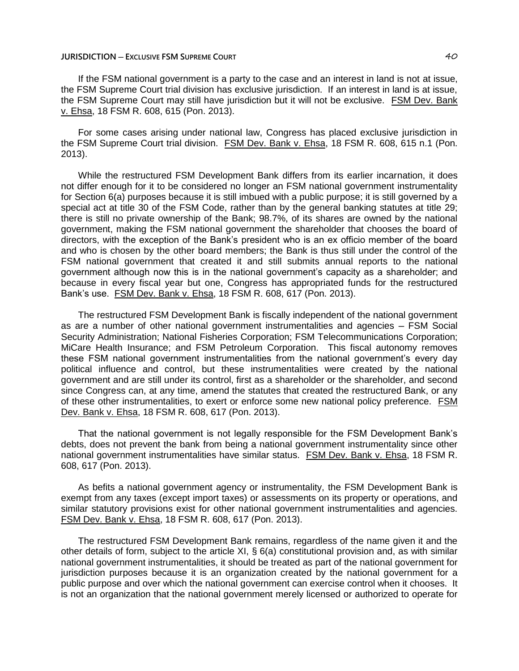If the FSM national government is a party to the case and an interest in land is not at issue, the FSM Supreme Court trial division has exclusive jurisdiction. If an interest in land is at issue, the FSM Supreme Court may still have jurisdiction but it will not be exclusive. FSM Dev. Bank v. Ehsa, 18 FSM R. 608, 615 (Pon. 2013).

For some cases arising under national law, Congress has placed exclusive jurisdiction in the FSM Supreme Court trial division. FSM Dev. Bank v. Ehsa, 18 FSM R. 608, 615 n.1 (Pon. 2013).

While the restructured FSM Development Bank differs from its earlier incarnation, it does not differ enough for it to be considered no longer an FSM national government instrumentality for Section 6(a) purposes because it is still imbued with a public purpose; it is still governed by a special act at title 30 of the FSM Code, rather than by the general banking statutes at title 29; there is still no private ownership of the Bank; 98.7%, of its shares are owned by the national government, making the FSM national government the shareholder that chooses the board of directors, with the exception of the Bank's president who is an ex officio member of the board and who is chosen by the other board members; the Bank is thus still under the control of the FSM national government that created it and still submits annual reports to the national government although now this is in the national government's capacity as a shareholder; and because in every fiscal year but one, Congress has appropriated funds for the restructured Bank's use. FSM Dev. Bank v. Ehsa, 18 FSM R. 608, 617 (Pon. 2013).

The restructured FSM Development Bank is fiscally independent of the national government as are a number of other national government instrumentalities and agencies – FSM Social Security Administration; National Fisheries Corporation; FSM Telecommunications Corporation; MiCare Health Insurance; and FSM Petroleum Corporation. This fiscal autonomy removes these FSM national government instrumentalities from the national government's every day political influence and control, but these instrumentalities were created by the national government and are still under its control, first as a shareholder or the shareholder, and second since Congress can, at any time, amend the statutes that created the restructured Bank, or any of these other instrumentalities, to exert or enforce some new national policy preference. FSM Dev. Bank v. Ehsa, 18 FSM R. 608, 617 (Pon. 2013).

That the national government is not legally responsible for the FSM Development Bank's debts, does not prevent the bank from being a national government instrumentality since other national government instrumentalities have similar status. FSM Dev. Bank v. Ehsa, 18 FSM R. 608, 617 (Pon. 2013).

As befits a national government agency or instrumentality, the FSM Development Bank is exempt from any taxes (except import taxes) or assessments on its property or operations, and similar statutory provisions exist for other national government instrumentalities and agencies. FSM Dev. Bank v. Ehsa, 18 FSM R. 608, 617 (Pon. 2013).

The restructured FSM Development Bank remains, regardless of the name given it and the other details of form, subject to the article XI, § 6(a) constitutional provision and, as with similar national government instrumentalities, it should be treated as part of the national government for jurisdiction purposes because it is an organization created by the national government for a public purpose and over which the national government can exercise control when it chooses. It is not an organization that the national government merely licensed or authorized to operate for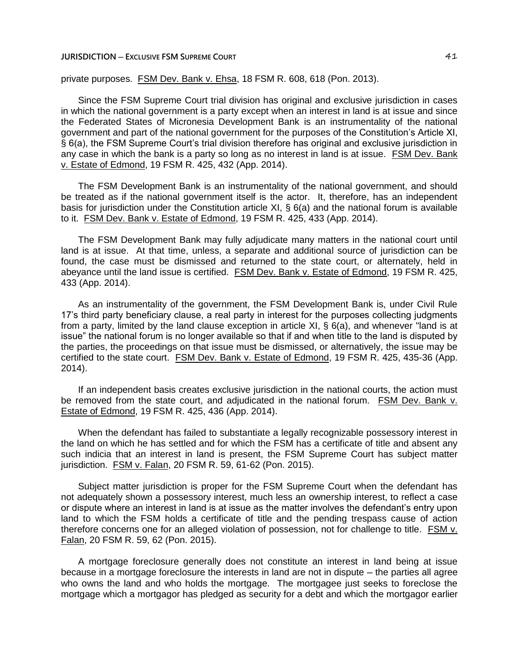private purposes. FSM Dev. Bank v. Ehsa, 18 FSM R. 608, 618 (Pon. 2013).

Since the FSM Supreme Court trial division has original and exclusive jurisdiction in cases in which the national government is a party except when an interest in land is at issue and since the Federated States of Micronesia Development Bank is an instrumentality of the national government and part of the national government for the purposes of the Constitution's Article XI, § 6(a), the FSM Supreme Court's trial division therefore has original and exclusive jurisdiction in any case in which the bank is a party so long as no interest in land is at issue. FSM Dev. Bank v. Estate of Edmond, 19 FSM R. 425, 432 (App. 2014).

The FSM Development Bank is an instrumentality of the national government, and should be treated as if the national government itself is the actor. It, therefore, has an independent basis for jurisdiction under the Constitution article XI, § 6(a) and the national forum is available to it. FSM Dev. Bank v. Estate of Edmond, 19 FSM R. 425, 433 (App. 2014).

The FSM Development Bank may fully adjudicate many matters in the national court until land is at issue. At that time, unless, a separate and additional source of jurisdiction can be found, the case must be dismissed and returned to the state court, or alternately, held in abeyance until the land issue is certified. FSM Dev. Bank v. Estate of Edmond, 19 FSM R. 425, 433 (App. 2014).

As an instrumentality of the government, the FSM Development Bank is, under Civil Rule 17's third party beneficiary clause, a real party in interest for the purposes collecting judgments from a party, limited by the land clause exception in article XI, § 6(a), and whenever "land is at issue" the national forum is no longer available so that if and when title to the land is disputed by the parties, the proceedings on that issue must be dismissed, or alternatively, the issue may be certified to the state court. FSM Dev. Bank v. Estate of Edmond, 19 FSM R. 425, 435-36 (App. 2014).

If an independent basis creates exclusive jurisdiction in the national courts, the action must be removed from the state court, and adjudicated in the national forum. FSM Dev. Bank v. Estate of Edmond, 19 FSM R. 425, 436 (App. 2014).

When the defendant has failed to substantiate a legally recognizable possessory interest in the land on which he has settled and for which the FSM has a certificate of title and absent any such indicia that an interest in land is present, the FSM Supreme Court has subject matter jurisdiction. FSM v. Falan, 20 FSM R. 59, 61-62 (Pon. 2015).

Subject matter jurisdiction is proper for the FSM Supreme Court when the defendant has not adequately shown a possessory interest, much less an ownership interest, to reflect a case or dispute where an interest in land is at issue as the matter involves the defendant's entry upon land to which the FSM holds a certificate of title and the pending trespass cause of action therefore concerns one for an alleged violation of possession, not for challenge to title. FSM v. Falan, 20 FSM R. 59, 62 (Pon. 2015).

A mortgage foreclosure generally does not constitute an interest in land being at issue because in a mortgage foreclosure the interests in land are not in dispute – the parties all agree who owns the land and who holds the mortgage. The mortgagee just seeks to foreclose the mortgage which a mortgagor has pledged as security for a debt and which the mortgagor earlier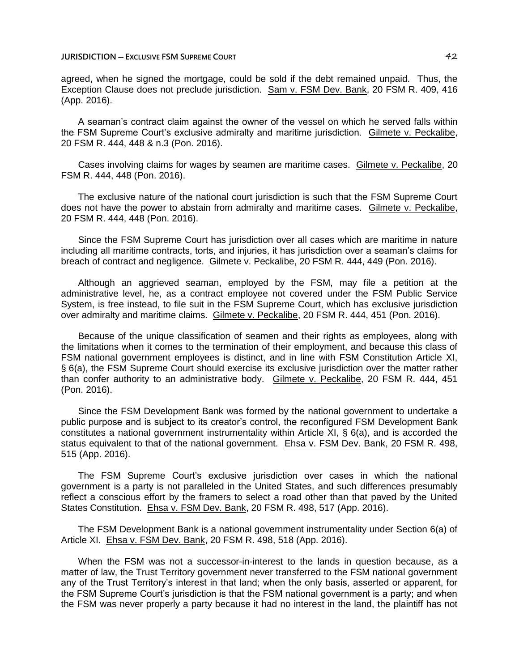agreed, when he signed the mortgage, could be sold if the debt remained unpaid. Thus, the Exception Clause does not preclude jurisdiction. Sam v. FSM Dev. Bank, 20 FSM R. 409, 416 (App. 2016).

A seaman's contract claim against the owner of the vessel on which he served falls within the FSM Supreme Court's exclusive admiralty and maritime jurisdiction. Gilmete v. Peckalibe, 20 FSM R. 444, 448 & n.3 (Pon. 2016).

Cases involving claims for wages by seamen are maritime cases. Gilmete v. Peckalibe, 20 FSM R. 444, 448 (Pon. 2016).

The exclusive nature of the national court jurisdiction is such that the FSM Supreme Court does not have the power to abstain from admiralty and maritime cases. Gilmete v. Peckalibe, 20 FSM R. 444, 448 (Pon. 2016).

Since the FSM Supreme Court has jurisdiction over all cases which are maritime in nature including all maritime contracts, torts, and injuries, it has jurisdiction over a seaman's claims for breach of contract and negligence. Gilmete v. Peckalibe, 20 FSM R. 444, 449 (Pon. 2016).

Although an aggrieved seaman, employed by the FSM, may file a petition at the administrative level, he, as a contract employee not covered under the FSM Public Service System, is free instead, to file suit in the FSM Supreme Court, which has exclusive jurisdiction over admiralty and maritime claims. Gilmete v. Peckalibe, 20 FSM R. 444, 451 (Pon. 2016).

Because of the unique classification of seamen and their rights as employees, along with the limitations when it comes to the termination of their employment, and because this class of FSM national government employees is distinct, and in line with FSM Constitution Article XI, § 6(a), the FSM Supreme Court should exercise its exclusive jurisdiction over the matter rather than confer authority to an administrative body. Gilmete v. Peckalibe, 20 FSM R. 444, 451 (Pon. 2016).

Since the FSM Development Bank was formed by the national government to undertake a public purpose and is subject to its creator's control, the reconfigured FSM Development Bank constitutes a national government instrumentality within Article XI, § 6(a), and is accorded the status equivalent to that of the national government. Ehsa v. FSM Dev. Bank, 20 FSM R. 498, 515 (App. 2016).

The FSM Supreme Court's exclusive jurisdiction over cases in which the national government is a party is not paralleled in the United States, and such differences presumably reflect a conscious effort by the framers to select a road other than that paved by the United States Constitution. Ehsa v. FSM Dev. Bank, 20 FSM R. 498, 517 (App. 2016).

The FSM Development Bank is a national government instrumentality under Section 6(a) of Article XI. Ehsa v. FSM Dev. Bank, 20 FSM R. 498, 518 (App. 2016).

When the FSM was not a successor-in-interest to the lands in question because, as a matter of law, the Trust Territory government never transferred to the FSM national government any of the Trust Territory's interest in that land; when the only basis, asserted or apparent, for the FSM Supreme Court's jurisdiction is that the FSM national government is a party; and when the FSM was never properly a party because it had no interest in the land, the plaintiff has not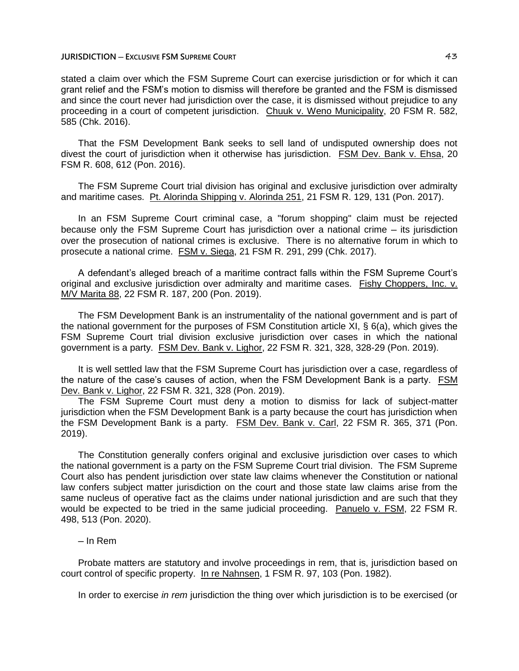stated a claim over which the FSM Supreme Court can exercise jurisdiction or for which it can grant relief and the FSM's motion to dismiss will therefore be granted and the FSM is dismissed and since the court never had jurisdiction over the case, it is dismissed without prejudice to any proceeding in a court of competent jurisdiction. Chuuk v. Weno Municipality, 20 FSM R. 582, 585 (Chk. 2016).

That the FSM Development Bank seeks to sell land of undisputed ownership does not divest the court of jurisdiction when it otherwise has jurisdiction. FSM Dev. Bank v. Ehsa, 20 FSM R. 608, 612 (Pon. 2016).

The FSM Supreme Court trial division has original and exclusive jurisdiction over admiralty and maritime cases. Pt. Alorinda Shipping v. Alorinda 251, 21 FSM R. 129, 131 (Pon. 2017).

In an FSM Supreme Court criminal case, a "forum shopping" claim must be rejected because only the FSM Supreme Court has jurisdiction over a national crime – its jurisdiction over the prosecution of national crimes is exclusive. There is no alternative forum in which to prosecute a national crime. FSM v. Siega, 21 FSM R. 291, 299 (Chk. 2017).

A defendant's alleged breach of a maritime contract falls within the FSM Supreme Court's original and exclusive jurisdiction over admiralty and maritime cases. Fishy Choppers, Inc. v. M/V Marita 88, 22 FSM R. 187, 200 (Pon. 2019).

The FSM Development Bank is an instrumentality of the national government and is part of the national government for the purposes of FSM Constitution article XI, § 6(a), which gives the FSM Supreme Court trial division exclusive jurisdiction over cases in which the national government is a party. FSM Dev. Bank v. Lighor, 22 FSM R. 321, 328, 328-29 (Pon. 2019).

It is well settled law that the FSM Supreme Court has jurisdiction over a case, regardless of the nature of the case's causes of action, when the FSM Development Bank is a party. FSM Dev. Bank v. Lighor, 22 FSM R. 321, 328 (Pon. 2019).

The FSM Supreme Court must deny a motion to dismiss for lack of subject-matter jurisdiction when the FSM Development Bank is a party because the court has jurisdiction when the FSM Development Bank is a party. FSM Dev. Bank v. Carl, 22 FSM R. 365, 371 (Pon. 2019).

The Constitution generally confers original and exclusive jurisdiction over cases to which the national government is a party on the FSM Supreme Court trial division. The FSM Supreme Court also has pendent jurisdiction over state law claims whenever the Constitution or national law confers subject matter jurisdiction on the court and those state law claims arise from the same nucleus of operative fact as the claims under national jurisdiction and are such that they would be expected to be tried in the same judicial proceeding. Panuelo v. FSM, 22 FSM R. 498, 513 (Pon. 2020).

# ─ In Rem

Probate matters are statutory and involve proceedings in rem, that is, jurisdiction based on court control of specific property. In re Nahnsen, 1 FSM R. 97, 103 (Pon. 1982).

In order to exercise *in rem* jurisdiction the thing over which jurisdiction is to be exercised (or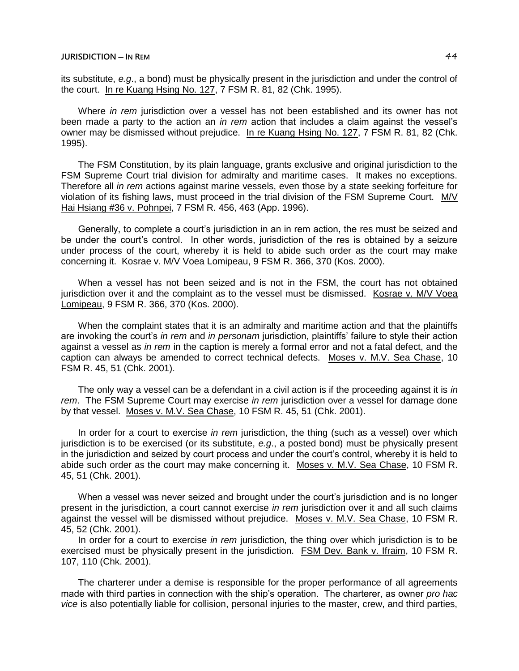its substitute, *e.g*., a bond) must be physically present in the jurisdiction and under the control of the court. In re Kuang Hsing No. 127, 7 FSM R. 81, 82 (Chk. 1995).

Where *in rem* jurisdiction over a vessel has not been established and its owner has not been made a party to the action an *in rem* action that includes a claim against the vessel's owner may be dismissed without prejudice. In re Kuang Hsing No. 127, 7 FSM R. 81, 82 (Chk. 1995).

The FSM Constitution, by its plain language, grants exclusive and original jurisdiction to the FSM Supreme Court trial division for admiralty and maritime cases. It makes no exceptions. Therefore all *in rem* actions against marine vessels, even those by a state seeking forfeiture for violation of its fishing laws, must proceed in the trial division of the FSM Supreme Court. M/V Hai Hsiang #36 v. Pohnpei, 7 FSM R. 456, 463 (App. 1996).

Generally, to complete a court's jurisdiction in an in rem action, the res must be seized and be under the court's control. In other words, jurisdiction of the res is obtained by a seizure under process of the court, whereby it is held to abide such order as the court may make concerning it. Kosrae v. M/V Voea Lomipeau, 9 FSM R. 366, 370 (Kos. 2000).

When a vessel has not been seized and is not in the FSM, the court has not obtained jurisdiction over it and the complaint as to the vessel must be dismissed. Kosrae v. M/V Voea Lomipeau, 9 FSM R. 366, 370 (Kos. 2000).

When the complaint states that it is an admiralty and maritime action and that the plaintiffs are invoking the court's *in rem* and *in personam* jurisdiction, plaintiffs' failure to style their action against a vessel as *in rem* in the caption is merely a formal error and not a fatal defect, and the caption can always be amended to correct technical defects. Moses v. M.V. Sea Chase, 10 FSM R. 45, 51 (Chk. 2001).

The only way a vessel can be a defendant in a civil action is if the proceeding against it is *in rem*. The FSM Supreme Court may exercise *in rem* jurisdiction over a vessel for damage done by that vessel. Moses v. M.V. Sea Chase, 10 FSM R. 45, 51 (Chk. 2001).

In order for a court to exercise *in rem* jurisdiction, the thing (such as a vessel) over which jurisdiction is to be exercised (or its substitute, *e.g*., a posted bond) must be physically present in the jurisdiction and seized by court process and under the court's control, whereby it is held to abide such order as the court may make concerning it. Moses v. M.V. Sea Chase, 10 FSM R. 45, 51 (Chk. 2001).

When a vessel was never seized and brought under the court's jurisdiction and is no longer present in the jurisdiction, a court cannot exercise *in rem* jurisdiction over it and all such claims against the vessel will be dismissed without prejudice. Moses v. M.V. Sea Chase, 10 FSM R. 45, 52 (Chk. 2001).

In order for a court to exercise *in rem* jurisdiction, the thing over which jurisdiction is to be exercised must be physically present in the jurisdiction. FSM Dev. Bank v. Ifraim, 10 FSM R. 107, 110 (Chk. 2001).

The charterer under a demise is responsible for the proper performance of all agreements made with third parties in connection with the ship's operation. The charterer, as owner *pro hac vice* is also potentially liable for collision, personal injuries to the master, crew, and third parties,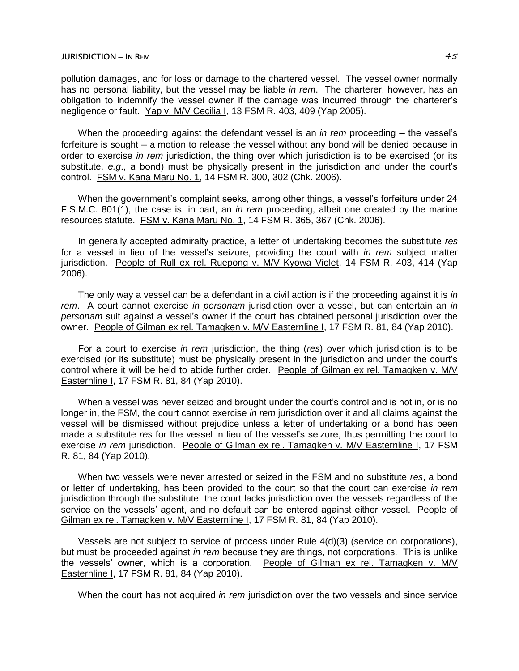pollution damages, and for loss or damage to the chartered vessel. The vessel owner normally has no personal liability, but the vessel may be liable *in rem*. The charterer, however, has an obligation to indemnify the vessel owner if the damage was incurred through the charterer's negligence or fault. Yap v. M/V Cecilia I, 13 FSM R. 403, 409 (Yap 2005).

When the proceeding against the defendant vessel is an *in rem* proceeding — the vessel's forfeiture is sought — a motion to release the vessel without any bond will be denied because in order to exercise *in rem* jurisdiction, the thing over which jurisdiction is to be exercised (or its substitute, *e.g*., a bond) must be physically present in the jurisdiction and under the court's control. FSM v. Kana Maru No. 1, 14 FSM R. 300, 302 (Chk. 2006).

When the government's complaint seeks, among other things, a vessel's forfeiture under 24 F.S.M.C. 801(1), the case is, in part, an *in rem* proceeding, albeit one created by the marine resources statute. FSM v. Kana Maru No. 1, 14 FSM R. 365, 367 (Chk. 2006).

In generally accepted admiralty practice, a letter of undertaking becomes the substitute *res* for a vessel in lieu of the vessel's seizure, providing the court with *in rem* subject matter jurisdiction. People of Rull ex rel. Ruepong v. M/V Kyowa Violet, 14 FSM R. 403, 414 (Yap 2006).

The only way a vessel can be a defendant in a civil action is if the proceeding against it is *in rem*. A court cannot exercise *in personam* jurisdiction over a vessel, but can entertain an *in personam* suit against a vessel's owner if the court has obtained personal jurisdiction over the owner. People of Gilman ex rel. Tamagken v. M/V Easternline I, 17 FSM R. 81, 84 (Yap 2010).

For a court to exercise *in rem* jurisdiction, the thing (*res*) over which jurisdiction is to be exercised (or its substitute) must be physically present in the jurisdiction and under the court's control where it will be held to abide further order. People of Gilman ex rel. Tamagken v. M/V Easternline I, 17 FSM R. 81, 84 (Yap 2010).

When a vessel was never seized and brought under the court's control and is not in, or is no longer in, the FSM, the court cannot exercise *in rem* jurisdiction over it and all claims against the vessel will be dismissed without prejudice unless a letter of undertaking or a bond has been made a substitute *res* for the vessel in lieu of the vessel's seizure, thus permitting the court to exercise *in rem* jurisdiction. People of Gilman ex rel. Tamagken v. M/V Easternline I, 17 FSM R. 81, 84 (Yap 2010).

When two vessels were never arrested or seized in the FSM and no substitute *res*, a bond or letter of undertaking, has been provided to the court so that the court can exercise *in rem* jurisdiction through the substitute, the court lacks jurisdiction over the vessels regardless of the service on the vessels' agent, and no default can be entered against either vessel. People of Gilman ex rel. Tamagken v. M/V Easternline I, 17 FSM R. 81, 84 (Yap 2010).

Vessels are not subject to service of process under Rule 4(d)(3) (service on corporations), but must be proceeded against *in rem* because they are things, not corporations. This is unlike the vessels' owner, which is a corporation. People of Gilman ex rel. Tamagken v. M/V Easternline I, 17 FSM R. 81, 84 (Yap 2010).

When the court has not acquired *in rem* jurisdiction over the two vessels and since service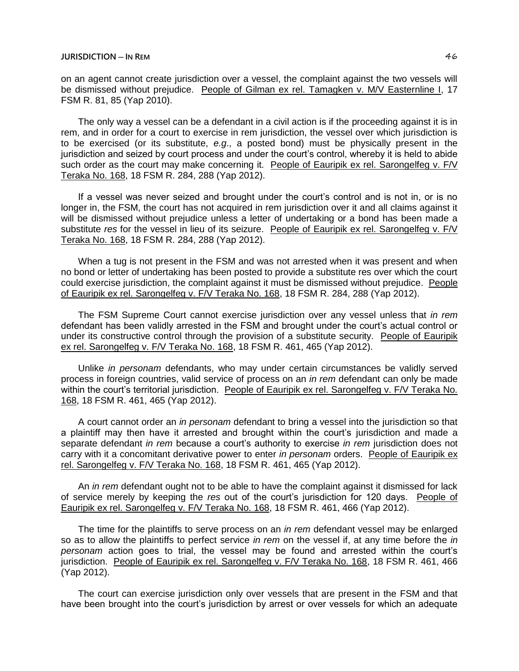## **JURISDICTION ─ IN REM** 46

on an agent cannot create jurisdiction over a vessel, the complaint against the two vessels will be dismissed without prejudice. People of Gilman ex rel. Tamagken v. M/V Easternline I, 17 FSM R. 81, 85 (Yap 2010).

The only way a vessel can be a defendant in a civil action is if the proceeding against it is in rem, and in order for a court to exercise in rem jurisdiction, the vessel over which jurisdiction is to be exercised (or its substitute, *e.g*., a posted bond) must be physically present in the jurisdiction and seized by court process and under the court's control, whereby it is held to abide such order as the court may make concerning it. People of Eauripik ex rel. Sarongelfeg v. F/V Teraka No. 168, 18 FSM R. 284, 288 (Yap 2012).

If a vessel was never seized and brought under the court's control and is not in, or is no longer in, the FSM, the court has not acquired in rem jurisdiction over it and all claims against it will be dismissed without prejudice unless a letter of undertaking or a bond has been made a substitute *res* for the vessel in lieu of its seizure. People of Eauripik ex rel. Sarongelfeg v. F/V Teraka No. 168, 18 FSM R. 284, 288 (Yap 2012).

When a tug is not present in the FSM and was not arrested when it was present and when no bond or letter of undertaking has been posted to provide a substitute res over which the court could exercise jurisdiction, the complaint against it must be dismissed without prejudice. People of Eauripik ex rel. Sarongelfeg v. F/V Teraka No. 168, 18 FSM R. 284, 288 (Yap 2012).

The FSM Supreme Court cannot exercise jurisdiction over any vessel unless that *in rem* defendant has been validly arrested in the FSM and brought under the court's actual control or under its constructive control through the provision of a substitute security. People of Eauripik ex rel. Sarongelfeg v. F/V Teraka No. 168, 18 FSM R. 461, 465 (Yap 2012).

Unlike *in personam* defendants, who may under certain circumstances be validly served process in foreign countries, valid service of process on an *in rem* defendant can only be made within the court's territorial jurisdiction. People of Eauripik ex rel. Sarongelfeg v. F/V Teraka No. 168, 18 FSM R. 461, 465 (Yap 2012).

A court cannot order an *in personam* defendant to bring a vessel into the jurisdiction so that a plaintiff may then have it arrested and brought within the court's jurisdiction and made a separate defendant *in rem* because a court's authority to exercise *in rem* jurisdiction does not carry with it a concomitant derivative power to enter *in personam* orders. People of Eauripik ex rel. Sarongelfeg v. F/V Teraka No. 168, 18 FSM R. 461, 465 (Yap 2012).

An *in rem* defendant ought not to be able to have the complaint against it dismissed for lack of service merely by keeping the *res* out of the court's jurisdiction for 120 days. People of Eauripik ex rel. Sarongelfeg v. F/V Teraka No. 168, 18 FSM R. 461, 466 (Yap 2012).

The time for the plaintiffs to serve process on an *in rem* defendant vessel may be enlarged so as to allow the plaintiffs to perfect service *in rem* on the vessel if, at any time before the *in personam* action goes to trial, the vessel may be found and arrested within the court's jurisdiction. People of Eauripik ex rel. Sarongelfeg v. F/V Teraka No. 168, 18 FSM R. 461, 466 (Yap 2012).

The court can exercise jurisdiction only over vessels that are present in the FSM and that have been brought into the court's jurisdiction by arrest or over vessels for which an adequate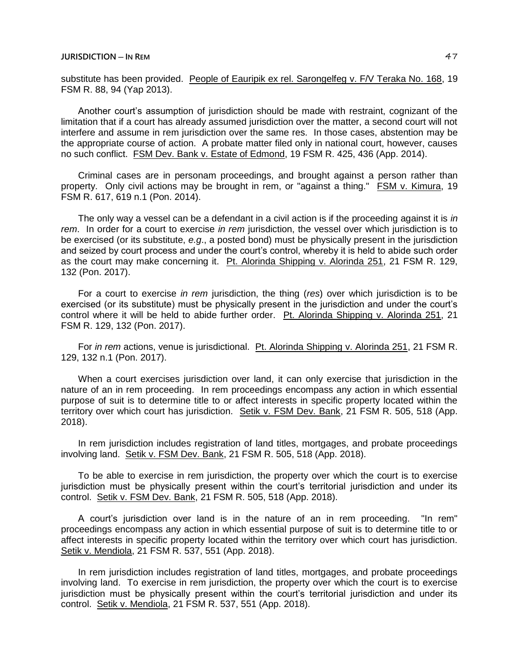substitute has been provided. People of Eauripik ex rel. Sarongelfeg v. F/V Teraka No. 168, 19 FSM R. 88, 94 (Yap 2013).

Another court's assumption of jurisdiction should be made with restraint, cognizant of the limitation that if a court has already assumed jurisdiction over the matter, a second court will not interfere and assume in rem jurisdiction over the same res. In those cases, abstention may be the appropriate course of action. A probate matter filed only in national court, however, causes no such conflict. FSM Dev. Bank v. Estate of Edmond, 19 FSM R. 425, 436 (App. 2014).

Criminal cases are in personam proceedings, and brought against a person rather than property. Only civil actions may be brought in rem, or "against a thing." FSM v. Kimura, 19 FSM R. 617, 619 n.1 (Pon. 2014).

The only way a vessel can be a defendant in a civil action is if the proceeding against it is *in rem*. In order for a court to exercise *in rem* jurisdiction, the vessel over which jurisdiction is to be exercised (or its substitute, *e.g*., a posted bond) must be physically present in the jurisdiction and seized by court process and under the court's control, whereby it is held to abide such order as the court may make concerning it. Pt. Alorinda Shipping v. Alorinda 251, 21 FSM R. 129, 132 (Pon. 2017).

For a court to exercise *in rem* jurisdiction, the thing (*res*) over which jurisdiction is to be exercised (or its substitute) must be physically present in the jurisdiction and under the court's control where it will be held to abide further order. Pt. Alorinda Shipping v. Alorinda 251, 21 FSM R. 129, 132 (Pon. 2017).

For *in rem* actions, venue is jurisdictional. Pt. Alorinda Shipping v. Alorinda 251, 21 FSM R. 129, 132 n.1 (Pon. 2017).

When a court exercises jurisdiction over land, it can only exercise that jurisdiction in the nature of an in rem proceeding. In rem proceedings encompass any action in which essential purpose of suit is to determine title to or affect interests in specific property located within the territory over which court has jurisdiction. Setik v. FSM Dev. Bank, 21 FSM R. 505, 518 (App. 2018).

In rem jurisdiction includes registration of land titles, mortgages, and probate proceedings involving land. Setik v. FSM Dev. Bank, 21 FSM R. 505, 518 (App. 2018).

To be able to exercise in rem jurisdiction, the property over which the court is to exercise jurisdiction must be physically present within the court's territorial jurisdiction and under its control. Setik v. FSM Dev. Bank, 21 FSM R. 505, 518 (App. 2018).

A court's jurisdiction over land is in the nature of an in rem proceeding. "In rem" proceedings encompass any action in which essential purpose of suit is to determine title to or affect interests in specific property located within the territory over which court has jurisdiction. Setik v. Mendiola, 21 FSM R. 537, 551 (App. 2018).

In rem jurisdiction includes registration of land titles, mortgages, and probate proceedings involving land. To exercise in rem jurisdiction, the property over which the court is to exercise jurisdiction must be physically present within the court's territorial jurisdiction and under its control. Setik v. Mendiola, 21 FSM R. 537, 551 (App. 2018).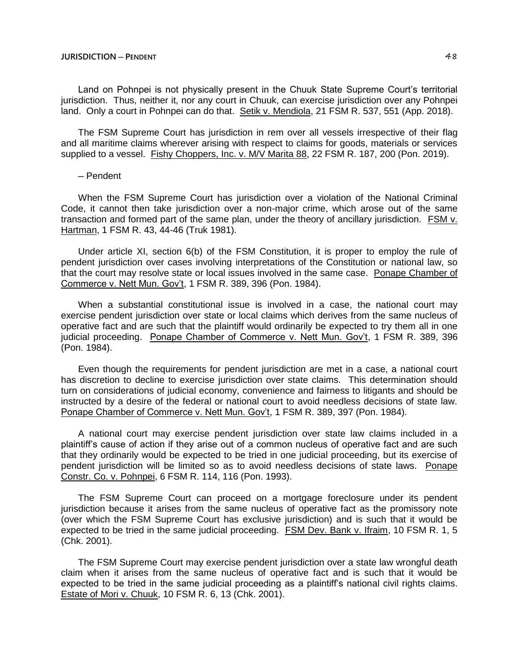Land on Pohnpei is not physically present in the Chuuk State Supreme Court's territorial jurisdiction. Thus, neither it, nor any court in Chuuk, can exercise jurisdiction over any Pohnpei land. Only a court in Pohnpei can do that. Setik v. Mendiola, 21 FSM R. 537, 551 (App. 2018).

The FSM Supreme Court has jurisdiction in rem over all vessels irrespective of their flag and all maritime claims wherever arising with respect to claims for goods, materials or services supplied to a vessel. Fishy Choppers, Inc. v. M/V Marita 88, 22 FSM R. 187, 200 (Pon. 2019).

#### ─ Pendent

When the FSM Supreme Court has jurisdiction over a violation of the National Criminal Code, it cannot then take jurisdiction over a non-major crime, which arose out of the same transaction and formed part of the same plan, under the theory of ancillary jurisdiction. FSM v. Hartman, 1 FSM R. 43, 44-46 (Truk 1981).

Under article XI, section 6(b) of the FSM Constitution, it is proper to employ the rule of pendent jurisdiction over cases involving interpretations of the Constitution or national law, so that the court may resolve state or local issues involved in the same case. Ponape Chamber of Commerce v. Nett Mun. Gov't, 1 FSM R. 389, 396 (Pon. 1984).

When a substantial constitutional issue is involved in a case, the national court may exercise pendent jurisdiction over state or local claims which derives from the same nucleus of operative fact and are such that the plaintiff would ordinarily be expected to try them all in one judicial proceeding. Ponape Chamber of Commerce v. Nett Mun. Gov't, 1 FSM R. 389, 396 (Pon. 1984).

Even though the requirements for pendent jurisdiction are met in a case, a national court has discretion to decline to exercise jurisdiction over state claims. This determination should turn on considerations of judicial economy, convenience and fairness to litigants and should be instructed by a desire of the federal or national court to avoid needless decisions of state law. Ponape Chamber of Commerce v. Nett Mun. Gov't, 1 FSM R. 389, 397 (Pon. 1984).

A national court may exercise pendent jurisdiction over state law claims included in a plaintiff's cause of action if they arise out of a common nucleus of operative fact and are such that they ordinarily would be expected to be tried in one judicial proceeding, but its exercise of pendent jurisdiction will be limited so as to avoid needless decisions of state laws. Ponape Constr. Co. v. Pohnpei, 6 FSM R. 114, 116 (Pon. 1993).

The FSM Supreme Court can proceed on a mortgage foreclosure under its pendent jurisdiction because it arises from the same nucleus of operative fact as the promissory note (over which the FSM Supreme Court has exclusive jurisdiction) and is such that it would be expected to be tried in the same judicial proceeding. FSM Dev. Bank v. Ifraim, 10 FSM R. 1, 5 (Chk. 2001).

The FSM Supreme Court may exercise pendent jurisdiction over a state law wrongful death claim when it arises from the same nucleus of operative fact and is such that it would be expected to be tried in the same judicial proceeding as a plaintiff's national civil rights claims. Estate of Mori v. Chuuk, 10 FSM R. 6, 13 (Chk. 2001).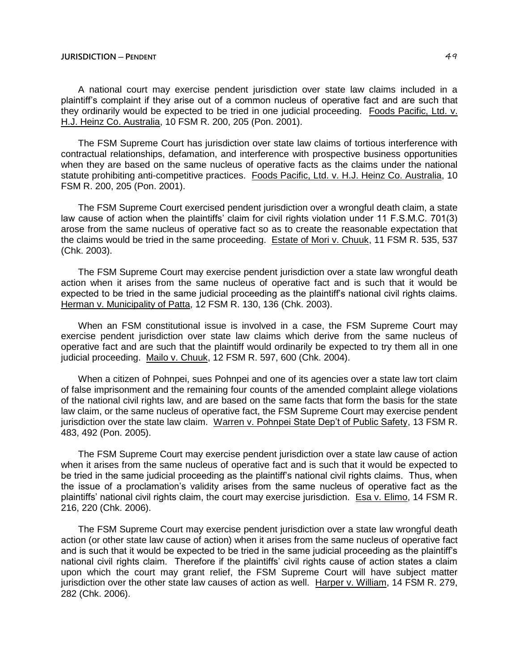A national court may exercise pendent jurisdiction over state law claims included in a plaintiff's complaint if they arise out of a common nucleus of operative fact and are such that they ordinarily would be expected to be tried in one judicial proceeding. Foods Pacific, Ltd. v. H.J. Heinz Co. Australia, 10 FSM R. 200, 205 (Pon. 2001).

The FSM Supreme Court has jurisdiction over state law claims of tortious interference with contractual relationships, defamation, and interference with prospective business opportunities when they are based on the same nucleus of operative facts as the claims under the national statute prohibiting anti-competitive practices. Foods Pacific, Ltd. v. H.J. Heinz Co. Australia, 10 FSM R. 200, 205 (Pon. 2001).

The FSM Supreme Court exercised pendent jurisdiction over a wrongful death claim, a state law cause of action when the plaintiffs' claim for civil rights violation under 11 F.S.M.C. 701(3) arose from the same nucleus of operative fact so as to create the reasonable expectation that the claims would be tried in the same proceeding. Estate of Mori v. Chuuk, 11 FSM R. 535, 537 (Chk. 2003).

The FSM Supreme Court may exercise pendent jurisdiction over a state law wrongful death action when it arises from the same nucleus of operative fact and is such that it would be expected to be tried in the same judicial proceeding as the plaintiff's national civil rights claims. Herman v. Municipality of Patta, 12 FSM R. 130, 136 (Chk. 2003).

When an FSM constitutional issue is involved in a case, the FSM Supreme Court may exercise pendent jurisdiction over state law claims which derive from the same nucleus of operative fact and are such that the plaintiff would ordinarily be expected to try them all in one judicial proceeding. Mailo v. Chuuk, 12 FSM R. 597, 600 (Chk. 2004).

When a citizen of Pohnpei, sues Pohnpei and one of its agencies over a state law tort claim of false imprisonment and the remaining four counts of the amended complaint allege violations of the national civil rights law, and are based on the same facts that form the basis for the state law claim, or the same nucleus of operative fact, the FSM Supreme Court may exercise pendent jurisdiction over the state law claim. Warren v. Pohnpei State Dep't of Public Safety, 13 FSM R. 483, 492 (Pon. 2005).

The FSM Supreme Court may exercise pendent jurisdiction over a state law cause of action when it arises from the same nucleus of operative fact and is such that it would be expected to be tried in the same judicial proceeding as the plaintiff's national civil rights claims. Thus, when the issue of a proclamation's validity arises from the same nucleus of operative fact as the plaintiffs' national civil rights claim, the court may exercise jurisdiction. Esa v. Elimo, 14 FSM R. 216, 220 (Chk. 2006).

The FSM Supreme Court may exercise pendent jurisdiction over a state law wrongful death action (or other state law cause of action) when it arises from the same nucleus of operative fact and is such that it would be expected to be tried in the same judicial proceeding as the plaintiff's national civil rights claim. Therefore if the plaintiffs' civil rights cause of action states a claim upon which the court may grant relief, the FSM Supreme Court will have subject matter jurisdiction over the other state law causes of action as well. Harper v. William, 14 FSM R. 279, 282 (Chk. 2006).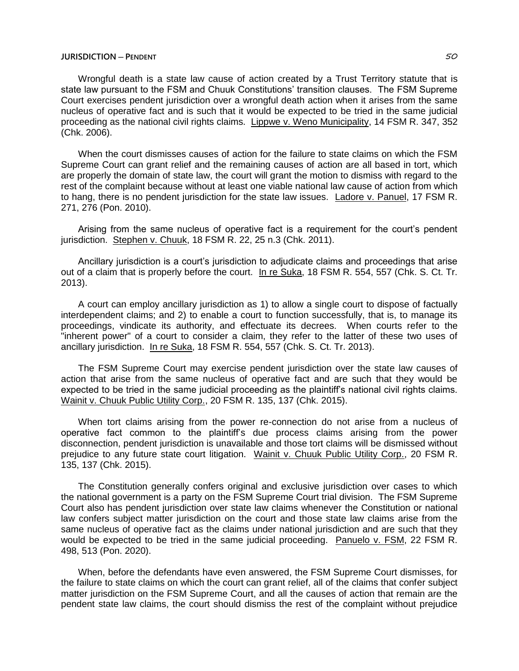Wrongful death is a state law cause of action created by a Trust Territory statute that is state law pursuant to the FSM and Chuuk Constitutions' transition clauses. The FSM Supreme Court exercises pendent jurisdiction over a wrongful death action when it arises from the same nucleus of operative fact and is such that it would be expected to be tried in the same judicial proceeding as the national civil rights claims. Lippwe v. Weno Municipality, 14 FSM R. 347, 352 (Chk. 2006).

When the court dismisses causes of action for the failure to state claims on which the FSM Supreme Court can grant relief and the remaining causes of action are all based in tort, which are properly the domain of state law, the court will grant the motion to dismiss with regard to the rest of the complaint because without at least one viable national law cause of action from which to hang, there is no pendent jurisdiction for the state law issues. Ladore v. Panuel, 17 FSM R. 271, 276 (Pon. 2010).

Arising from the same nucleus of operative fact is a requirement for the court's pendent jurisdiction. Stephen v. Chuuk, 18 FSM R. 22, 25 n.3 (Chk. 2011).

Ancillary jurisdiction is a court's jurisdiction to adjudicate claims and proceedings that arise out of a claim that is properly before the court. In re Suka, 18 FSM R. 554, 557 (Chk. S. Ct. Tr. 2013).

A court can employ ancillary jurisdiction as 1) to allow a single court to dispose of factually interdependent claims; and 2) to enable a court to function successfully, that is, to manage its proceedings, vindicate its authority, and effectuate its decrees. When courts refer to the "inherent power" of a court to consider a claim, they refer to the latter of these two uses of ancillary jurisdiction. In re Suka, 18 FSM R. 554, 557 (Chk. S. Ct. Tr. 2013).

The FSM Supreme Court may exercise pendent jurisdiction over the state law causes of action that arise from the same nucleus of operative fact and are such that they would be expected to be tried in the same judicial proceeding as the plaintiff's national civil rights claims. Wainit v. Chuuk Public Utility Corp., 20 FSM R. 135, 137 (Chk. 2015).

When tort claims arising from the power re-connection do not arise from a nucleus of operative fact common to the plaintiff's due process claims arising from the power disconnection, pendent jurisdiction is unavailable and those tort claims will be dismissed without prejudice to any future state court litigation. Wainit v. Chuuk Public Utility Corp., 20 FSM R. 135, 137 (Chk. 2015).

The Constitution generally confers original and exclusive jurisdiction over cases to which the national government is a party on the FSM Supreme Court trial division. The FSM Supreme Court also has pendent jurisdiction over state law claims whenever the Constitution or national law confers subject matter jurisdiction on the court and those state law claims arise from the same nucleus of operative fact as the claims under national jurisdiction and are such that they would be expected to be tried in the same judicial proceeding. Panuelo v. FSM, 22 FSM R. 498, 513 (Pon. 2020).

When, before the defendants have even answered, the FSM Supreme Court dismisses, for the failure to state claims on which the court can grant relief, all of the claims that confer subject matter jurisdiction on the FSM Supreme Court, and all the causes of action that remain are the pendent state law claims, the court should dismiss the rest of the complaint without prejudice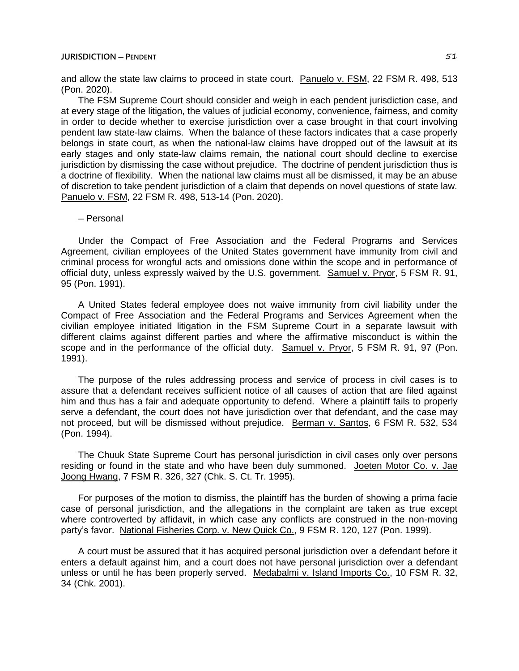and allow the state law claims to proceed in state court. Panuelo v. FSM, 22 FSM R. 498, 513 (Pon. 2020).

The FSM Supreme Court should consider and weigh in each pendent jurisdiction case, and at every stage of the litigation, the values of judicial economy, convenience, fairness, and comity in order to decide whether to exercise jurisdiction over a case brought in that court involving pendent law state-law claims. When the balance of these factors indicates that a case properly belongs in state court, as when the national-law claims have dropped out of the lawsuit at its early stages and only state-law claims remain, the national court should decline to exercise jurisdiction by dismissing the case without prejudice. The doctrine of pendent jurisdiction thus is a doctrine of flexibility. When the national law claims must all be dismissed, it may be an abuse of discretion to take pendent jurisdiction of a claim that depends on novel questions of state law. Panuelo v. FSM, 22 FSM R. 498, 513-14 (Pon. 2020).

## ─ Personal

Under the Compact of Free Association and the Federal Programs and Services Agreement, civilian employees of the United States government have immunity from civil and criminal process for wrongful acts and omissions done within the scope and in performance of official duty, unless expressly waived by the U.S. government. Samuel v. Pryor, 5 FSM R. 91, 95 (Pon. 1991).

A United States federal employee does not waive immunity from civil liability under the Compact of Free Association and the Federal Programs and Services Agreement when the civilian employee initiated litigation in the FSM Supreme Court in a separate lawsuit with different claims against different parties and where the affirmative misconduct is within the scope and in the performance of the official duty. Samuel v. Pryor, 5 FSM R. 91, 97 (Pon. 1991).

The purpose of the rules addressing process and service of process in civil cases is to assure that a defendant receives sufficient notice of all causes of action that are filed against him and thus has a fair and adequate opportunity to defend. Where a plaintiff fails to properly serve a defendant, the court does not have jurisdiction over that defendant, and the case may not proceed, but will be dismissed without prejudice. Berman v. Santos, 6 FSM R. 532, 534 (Pon. 1994).

The Chuuk State Supreme Court has personal jurisdiction in civil cases only over persons residing or found in the state and who have been duly summoned. Joeten Motor Co. v. Jae Joong Hwang, 7 FSM R. 326, 327 (Chk. S. Ct. Tr. 1995).

For purposes of the motion to dismiss, the plaintiff has the burden of showing a prima facie case of personal jurisdiction, and the allegations in the complaint are taken as true except where controverted by affidavit, in which case any conflicts are construed in the non-moving party's favor. National Fisheries Corp. v. New Quick Co., 9 FSM R. 120, 127 (Pon. 1999).

A court must be assured that it has acquired personal jurisdiction over a defendant before it enters a default against him, and a court does not have personal jurisdiction over a defendant unless or until he has been properly served. Medabalmi v. Island Imports Co., 10 FSM R. 32, 34 (Chk. 2001).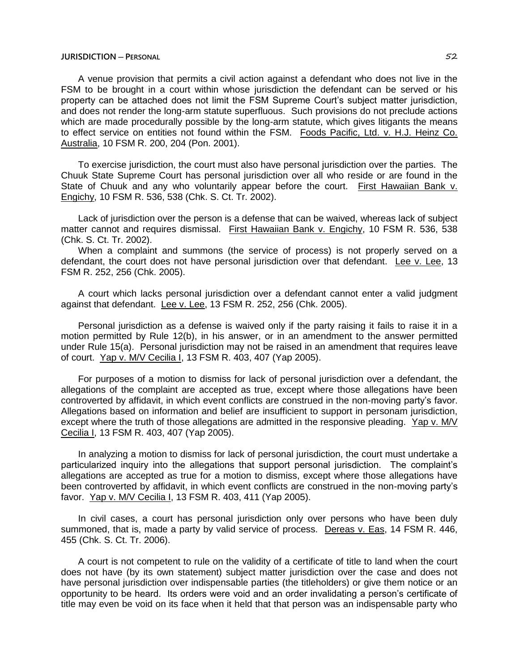## **JURISDICTION ─ PERSONAL** 52

A venue provision that permits a civil action against a defendant who does not live in the FSM to be brought in a court within whose jurisdiction the defendant can be served or his property can be attached does not limit the FSM Supreme Court's subject matter jurisdiction, and does not render the long-arm statute superfluous. Such provisions do not preclude actions which are made procedurally possible by the long-arm statute, which gives litigants the means to effect service on entities not found within the FSM. Foods Pacific, Ltd. v. H.J. Heinz Co. Australia, 10 FSM R. 200, 204 (Pon. 2001).

To exercise jurisdiction, the court must also have personal jurisdiction over the parties. The Chuuk State Supreme Court has personal jurisdiction over all who reside or are found in the State of Chuuk and any who voluntarily appear before the court. First Hawaiian Bank v. Engichy, 10 FSM R. 536, 538 (Chk. S. Ct. Tr. 2002).

Lack of jurisdiction over the person is a defense that can be waived, whereas lack of subject matter cannot and requires dismissal. First Hawaiian Bank v. Engichy, 10 FSM R. 536, 538 (Chk. S. Ct. Tr. 2002).

When a complaint and summons (the service of process) is not properly served on a defendant, the court does not have personal jurisdiction over that defendant. Lee v. Lee, 13 FSM R. 252, 256 (Chk. 2005).

A court which lacks personal jurisdiction over a defendant cannot enter a valid judgment against that defendant. Lee v. Lee, 13 FSM R. 252, 256 (Chk. 2005).

Personal jurisdiction as a defense is waived only if the party raising it fails to raise it in a motion permitted by Rule 12(b), in his answer, or in an amendment to the answer permitted under Rule 15(a). Personal jurisdiction may not be raised in an amendment that requires leave of court. Yap v. M/V Cecilia I, 13 FSM R. 403, 407 (Yap 2005).

For purposes of a motion to dismiss for lack of personal jurisdiction over a defendant, the allegations of the complaint are accepted as true, except where those allegations have been controverted by affidavit, in which event conflicts are construed in the non-moving party's favor. Allegations based on information and belief are insufficient to support in personam jurisdiction, except where the truth of those allegations are admitted in the responsive pleading. Yap v. M/V Cecilia I, 13 FSM R. 403, 407 (Yap 2005).

In analyzing a motion to dismiss for lack of personal jurisdiction, the court must undertake a particularized inquiry into the allegations that support personal jurisdiction. The complaint's allegations are accepted as true for a motion to dismiss, except where those allegations have been controverted by affidavit, in which event conflicts are construed in the non-moving party's favor. Yap v. M/V Cecilia I, 13 FSM R. 403, 411 (Yap 2005).

In civil cases, a court has personal jurisdiction only over persons who have been duly summoned, that is, made a party by valid service of process. Dereas v. Eas, 14 FSM R. 446, 455 (Chk. S. Ct. Tr. 2006).

A court is not competent to rule on the validity of a certificate of title to land when the court does not have (by its own statement) subject matter jurisdiction over the case and does not have personal jurisdiction over indispensable parties (the titleholders) or give them notice or an opportunity to be heard. Its orders were void and an order invalidating a person's certificate of title may even be void on its face when it held that that person was an indispensable party who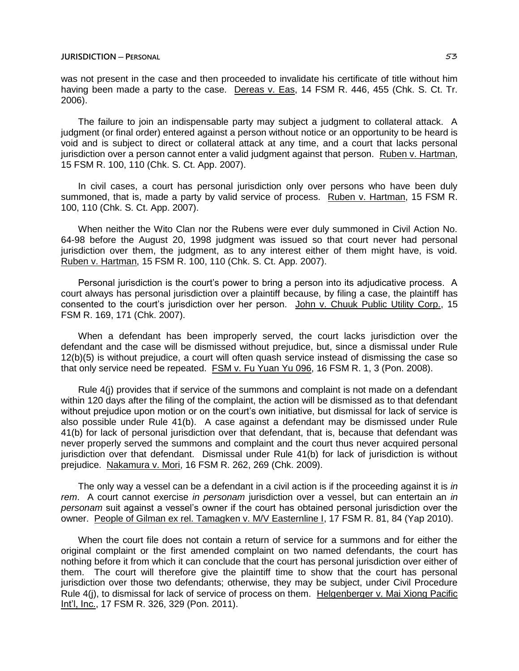was not present in the case and then proceeded to invalidate his certificate of title without him having been made a party to the case. Dereas v. Eas, 14 FSM R. 446, 455 (Chk. S. Ct. Tr. 2006).

The failure to join an indispensable party may subject a judgment to collateral attack. A judgment (or final order) entered against a person without notice or an opportunity to be heard is void and is subject to direct or collateral attack at any time, and a court that lacks personal jurisdiction over a person cannot enter a valid judgment against that person. Ruben v. Hartman, 15 FSM R. 100, 110 (Chk. S. Ct. App. 2007).

In civil cases, a court has personal jurisdiction only over persons who have been duly summoned, that is, made a party by valid service of process. Ruben v. Hartman, 15 FSM R. 100, 110 (Chk. S. Ct. App. 2007).

When neither the Wito Clan nor the Rubens were ever duly summoned in Civil Action No. 64-98 before the August 20, 1998 judgment was issued so that court never had personal jurisdiction over them, the judgment, as to any interest either of them might have, is void. Ruben v. Hartman, 15 FSM R. 100, 110 (Chk. S. Ct. App. 2007).

Personal jurisdiction is the court's power to bring a person into its adjudicative process. A court always has personal jurisdiction over a plaintiff because, by filing a case, the plaintiff has consented to the court's jurisdiction over her person. John v. Chuuk Public Utility Corp., 15 FSM R. 169, 171 (Chk. 2007).

When a defendant has been improperly served, the court lacks jurisdiction over the defendant and the case will be dismissed without prejudice, but, since a dismissal under Rule 12(b)(5) is without prejudice, a court will often quash service instead of dismissing the case so that only service need be repeated. FSM v. Fu Yuan Yu 096, 16 FSM R. 1, 3 (Pon. 2008).

Rule 4(j) provides that if service of the summons and complaint is not made on a defendant within 120 days after the filing of the complaint, the action will be dismissed as to that defendant without prejudice upon motion or on the court's own initiative, but dismissal for lack of service is also possible under Rule 41(b). A case against a defendant may be dismissed under Rule 41(b) for lack of personal jurisdiction over that defendant, that is, because that defendant was never properly served the summons and complaint and the court thus never acquired personal jurisdiction over that defendant. Dismissal under Rule 41(b) for lack of jurisdiction is without prejudice. Nakamura v. Mori, 16 FSM R. 262, 269 (Chk. 2009).

The only way a vessel can be a defendant in a civil action is if the proceeding against it is *in rem*. A court cannot exercise *in personam* jurisdiction over a vessel, but can entertain an *in personam* suit against a vessel's owner if the court has obtained personal jurisdiction over the owner. People of Gilman ex rel. Tamagken v. M/V Easternline I, 17 FSM R. 81, 84 (Yap 2010).

When the court file does not contain a return of service for a summons and for either the original complaint or the first amended complaint on two named defendants, the court has nothing before it from which it can conclude that the court has personal jurisdiction over either of them. The court will therefore give the plaintiff time to show that the court has personal jurisdiction over those two defendants; otherwise, they may be subject, under Civil Procedure Rule 4(j), to dismissal for lack of service of process on them. Helgenberger v. Mai Xiong Pacific Int'l, Inc., 17 FSM R. 326, 329 (Pon. 2011).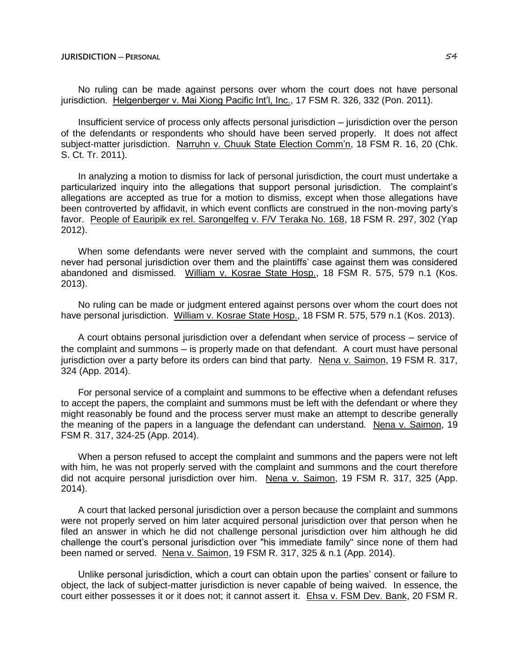No ruling can be made against persons over whom the court does not have personal jurisdiction. Helgenberger v. Mai Xiong Pacific Int'l, Inc., 17 FSM R. 326, 332 (Pon. 2011).

Insufficient service of process only affects personal jurisdiction — jurisdiction over the person of the defendants or respondents who should have been served properly. It does not affect subject-matter jurisdiction. Narruhn v. Chuuk State Election Comm'n, 18 FSM R. 16, 20 (Chk. S. Ct. Tr. 2011).

In analyzing a motion to dismiss for lack of personal jurisdiction, the court must undertake a particularized inquiry into the allegations that support personal jurisdiction. The complaint's allegations are accepted as true for a motion to dismiss, except when those allegations have been controverted by affidavit, in which event conflicts are construed in the non-moving party's favor. People of Eauripik ex rel. Sarongelfeg v. F/V Teraka No. 168, 18 FSM R. 297, 302 (Yap 2012).

When some defendants were never served with the complaint and summons, the court never had personal jurisdiction over them and the plaintiffs' case against them was considered abandoned and dismissed. William v. Kosrae State Hosp., 18 FSM R. 575, 579 n.1 (Kos. 2013).

No ruling can be made or judgment entered against persons over whom the court does not have personal jurisdiction. William v. Kosrae State Hosp., 18 FSM R. 575, 579 n.1 (Kos. 2013).

A court obtains personal jurisdiction over a defendant when service of process ─ service of the complaint and summons — is properly made on that defendant. A court must have personal jurisdiction over a party before its orders can bind that party. Nena v. Saimon, 19 FSM R. 317, 324 (App. 2014).

For personal service of a complaint and summons to be effective when a defendant refuses to accept the papers, the complaint and summons must be left with the defendant or where they might reasonably be found and the process server must make an attempt to describe generally the meaning of the papers in a language the defendant can understand. Nena v. Saimon, 19 FSM R. 317, 324-25 (App. 2014).

When a person refused to accept the complaint and summons and the papers were not left with him, he was not properly served with the complaint and summons and the court therefore did not acquire personal jurisdiction over him. Nena v. Saimon, 19 FSM R. 317, 325 (App. 2014).

A court that lacked personal jurisdiction over a person because the complaint and summons were not properly served on him later acquired personal jurisdiction over that person when he filed an answer in which he did not challenge personal jurisdiction over him although he did challenge the court's personal jurisdiction over "his immediate family" since none of them had been named or served. Nena v. Saimon, 19 FSM R. 317, 325 & n.1 (App. 2014).

Unlike personal jurisdiction, which a court can obtain upon the parties' consent or failure to object, the lack of subject-matter jurisdiction is never capable of being waived. In essence, the court either possesses it or it does not; it cannot assert it. Ehsa v. FSM Dev. Bank, 20 FSM R.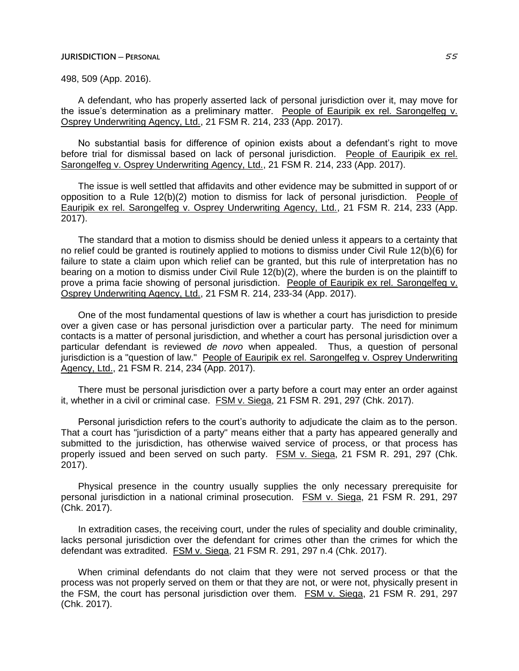#### **JURISDICTION ─ PERSONAL** 55

498, 509 (App. 2016).

A defendant, who has properly asserted lack of personal jurisdiction over it, may move for the issue's determination as a preliminary matter. People of Eauripik ex rel. Sarongelfeg v. Osprey Underwriting Agency, Ltd., 21 FSM R. 214, 233 (App. 2017).

No substantial basis for difference of opinion exists about a defendant's right to move before trial for dismissal based on lack of personal jurisdiction. People of Eauripik ex rel. Sarongelfeg v. Osprey Underwriting Agency, Ltd., 21 FSM R. 214, 233 (App. 2017).

The issue is well settled that affidavits and other evidence may be submitted in support of or opposition to a Rule 12(b)(2) motion to dismiss for lack of personal jurisdiction. People of Eauripik ex rel. Sarongelfeg v. Osprey Underwriting Agency, Ltd., 21 FSM R. 214, 233 (App. 2017).

The standard that a motion to dismiss should be denied unless it appears to a certainty that no relief could be granted is routinely applied to motions to dismiss under Civil Rule 12(b)(6) for failure to state a claim upon which relief can be granted, but this rule of interpretation has no bearing on a motion to dismiss under Civil Rule 12(b)(2), where the burden is on the plaintiff to prove a prima facie showing of personal jurisdiction. People of Eauripik ex rel. Sarongelfeg v. Osprey Underwriting Agency, Ltd., 21 FSM R. 214, 233-34 (App. 2017).

One of the most fundamental questions of law is whether a court has jurisdiction to preside over a given case or has personal jurisdiction over a particular party. The need for minimum contacts is a matter of personal jurisdiction, and whether a court has personal jurisdiction over a particular defendant is reviewed *de novo* when appealed. Thus, a question of personal jurisdiction is a "question of law." People of Eauripik ex rel. Sarongelfeg v. Osprey Underwriting Agency, Ltd., 21 FSM R. 214, 234 (App. 2017).

There must be personal jurisdiction over a party before a court may enter an order against it, whether in a civil or criminal case. FSM v. Siega, 21 FSM R. 291, 297 (Chk. 2017).

Personal jurisdiction refers to the court's authority to adjudicate the claim as to the person. That a court has "jurisdiction of a party" means either that a party has appeared generally and submitted to the jurisdiction, has otherwise waived service of process, or that process has properly issued and been served on such party. FSM v. Siega, 21 FSM R. 291, 297 (Chk. 2017).

Physical presence in the country usually supplies the only necessary prerequisite for personal jurisdiction in a national criminal prosecution. FSM v. Siega, 21 FSM R. 291, 297 (Chk. 2017).

In extradition cases, the receiving court, under the rules of speciality and double criminality, lacks personal jurisdiction over the defendant for crimes other than the crimes for which the defendant was extradited. FSM v. Siega, 21 FSM R. 291, 297 n.4 (Chk. 2017).

When criminal defendants do not claim that they were not served process or that the process was not properly served on them or that they are not, or were not, physically present in the FSM, the court has personal jurisdiction over them. FSM v. Siega, 21 FSM R. 291, 297 (Chk. 2017).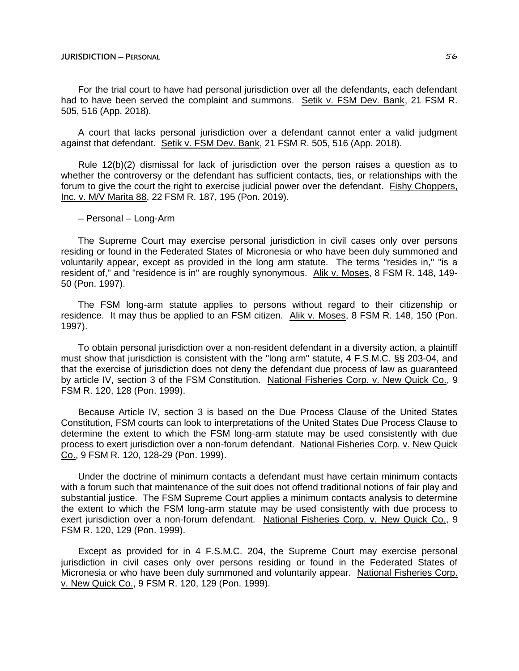## **JURISDICTION ─ PERSONAL** 56

For the trial court to have had personal jurisdiction over all the defendants, each defendant had to have been served the complaint and summons. Setik v. FSM Dev. Bank, 21 FSM R. 505, 516 (App. 2018).

A court that lacks personal jurisdiction over a defendant cannot enter a valid judgment against that defendant. Setik v. FSM Dev. Bank, 21 FSM R. 505, 516 (App. 2018).

Rule 12(b)(2) dismissal for lack of jurisdiction over the person raises a question as to whether the controversy or the defendant has sufficient contacts, ties, or relationships with the forum to give the court the right to exercise judicial power over the defendant. Fishy Choppers, Inc. v. M/V Marita 88, 22 FSM R. 187, 195 (Pon. 2019).

─ Personal ─ Long-Arm

The Supreme Court may exercise personal jurisdiction in civil cases only over persons residing or found in the Federated States of Micronesia or who have been duly summoned and voluntarily appear, except as provided in the long arm statute. The terms "resides in," "is a resident of," and "residence is in" are roughly synonymous. Alik v. Moses, 8 FSM R. 148, 149- 50 (Pon. 1997).

The FSM long-arm statute applies to persons without regard to their citizenship or residence. It may thus be applied to an FSM citizen. Alik v. Moses, 8 FSM R. 148, 150 (Pon. 1997).

To obtain personal jurisdiction over a non-resident defendant in a diversity action, a plaintiff must show that jurisdiction is consistent with the "long arm" statute, 4 F.S.M.C. §§ 203-04, and that the exercise of jurisdiction does not deny the defendant due process of law as guaranteed by article IV, section 3 of the FSM Constitution. National Fisheries Corp. v. New Quick Co., 9 FSM R. 120, 128 (Pon. 1999).

Because Article IV, section 3 is based on the Due Process Clause of the United States Constitution, FSM courts can look to interpretations of the United States Due Process Clause to determine the extent to which the FSM long-arm statute may be used consistently with due process to exert jurisdiction over a non-forum defendant. National Fisheries Corp. v. New Quick Co., 9 FSM R. 120, 128-29 (Pon. 1999).

Under the doctrine of minimum contacts a defendant must have certain minimum contacts with a forum such that maintenance of the suit does not offend traditional notions of fair play and substantial justice. The FSM Supreme Court applies a minimum contacts analysis to determine the extent to which the FSM long-arm statute may be used consistently with due process to exert jurisdiction over a non-forum defendant. National Fisheries Corp. v. New Quick Co., 9 FSM R. 120, 129 (Pon. 1999).

Except as provided for in 4 F.S.M.C. 204, the Supreme Court may exercise personal jurisdiction in civil cases only over persons residing or found in the Federated States of Micronesia or who have been duly summoned and voluntarily appear. National Fisheries Corp. v. New Quick Co., 9 FSM R. 120, 129 (Pon. 1999).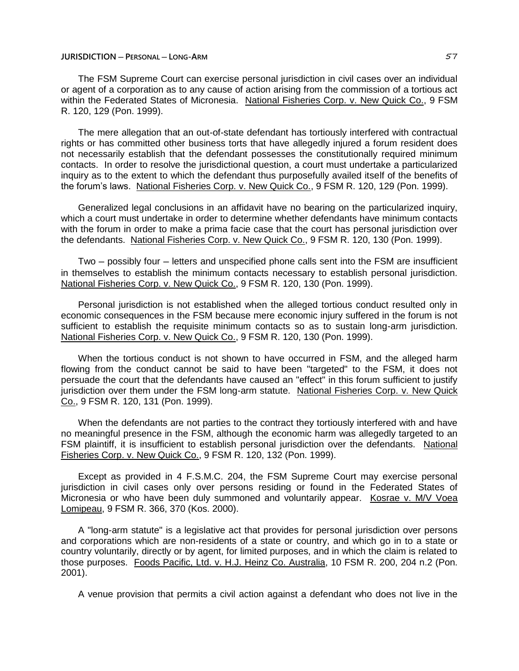The FSM Supreme Court can exercise personal jurisdiction in civil cases over an individual or agent of a corporation as to any cause of action arising from the commission of a tortious act within the Federated States of Micronesia. National Fisheries Corp. v. New Quick Co., 9 FSM R. 120, 129 (Pon. 1999).

The mere allegation that an out-of-state defendant has tortiously interfered with contractual rights or has committed other business torts that have allegedly injured a forum resident does not necessarily establish that the defendant possesses the constitutionally required minimum contacts. In order to resolve the jurisdictional question, a court must undertake a particularized inquiry as to the extent to which the defendant thus purposefully availed itself of the benefits of the forum's laws. National Fisheries Corp. v. New Quick Co., 9 FSM R. 120, 129 (Pon. 1999).

Generalized legal conclusions in an affidavit have no bearing on the particularized inquiry, which a court must undertake in order to determine whether defendants have minimum contacts with the forum in order to make a prima facie case that the court has personal jurisdiction over the defendants. National Fisheries Corp. v. New Quick Co., 9 FSM R. 120, 130 (Pon. 1999).

Two – possibly four – letters and unspecified phone calls sent into the FSM are insufficient in themselves to establish the minimum contacts necessary to establish personal jurisdiction. National Fisheries Corp. v. New Quick Co., 9 FSM R. 120, 130 (Pon. 1999).

Personal jurisdiction is not established when the alleged tortious conduct resulted only in economic consequences in the FSM because mere economic injury suffered in the forum is not sufficient to establish the requisite minimum contacts so as to sustain long-arm jurisdiction. National Fisheries Corp. v. New Quick Co., 9 FSM R. 120, 130 (Pon. 1999).

When the tortious conduct is not shown to have occurred in FSM, and the alleged harm flowing from the conduct cannot be said to have been "targeted" to the FSM, it does not persuade the court that the defendants have caused an "effect" in this forum sufficient to justify jurisdiction over them under the FSM long-arm statute. National Fisheries Corp. v. New Quick Co., 9 FSM R. 120, 131 (Pon. 1999).

When the defendants are not parties to the contract they tortiously interfered with and have no meaningful presence in the FSM, although the economic harm was allegedly targeted to an FSM plaintiff, it is insufficient to establish personal jurisdiction over the defendants. National Fisheries Corp. v. New Quick Co., 9 FSM R. 120, 132 (Pon. 1999).

Except as provided in 4 F.S.M.C. 204, the FSM Supreme Court may exercise personal jurisdiction in civil cases only over persons residing or found in the Federated States of Micronesia or who have been duly summoned and voluntarily appear. Kosrae v. M/V Voea Lomipeau, 9 FSM R. 366, 370 (Kos. 2000).

A "long-arm statute" is a legislative act that provides for personal jurisdiction over persons and corporations which are non-residents of a state or country, and which go in to a state or country voluntarily, directly or by agent, for limited purposes, and in which the claim is related to those purposes. Foods Pacific, Ltd. v. H.J. Heinz Co. Australia, 10 FSM R. 200, 204 n.2 (Pon. 2001).

A venue provision that permits a civil action against a defendant who does not live in the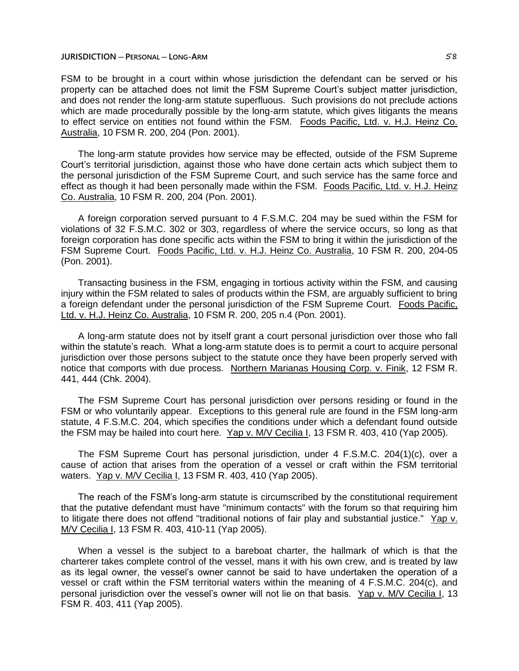FSM to be brought in a court within whose jurisdiction the defendant can be served or his property can be attached does not limit the FSM Supreme Court's subject matter jurisdiction, and does not render the long-arm statute superfluous. Such provisions do not preclude actions which are made procedurally possible by the long-arm statute, which gives litigants the means to effect service on entities not found within the FSM. Foods Pacific, Ltd. v. H.J. Heinz Co. Australia, 10 FSM R. 200, 204 (Pon. 2001).

The long-arm statute provides how service may be effected, outside of the FSM Supreme Court's territorial jurisdiction, against those who have done certain acts which subject them to the personal jurisdiction of the FSM Supreme Court, and such service has the same force and effect as though it had been personally made within the FSM. Foods Pacific, Ltd. v. H.J. Heinz Co. Australia, 10 FSM R. 200, 204 (Pon. 2001).

A foreign corporation served pursuant to 4 F.S.M.C. 204 may be sued within the FSM for violations of 32 F.S.M.C. 302 or 303, regardless of where the service occurs, so long as that foreign corporation has done specific acts within the FSM to bring it within the jurisdiction of the FSM Supreme Court. Foods Pacific, Ltd. v. H.J. Heinz Co. Australia, 10 FSM R. 200, 204-05 (Pon. 2001).

Transacting business in the FSM, engaging in tortious activity within the FSM, and causing injury within the FSM related to sales of products within the FSM, are arguably sufficient to bring a foreign defendant under the personal jurisdiction of the FSM Supreme Court. Foods Pacific, Ltd. v. H.J. Heinz Co. Australia, 10 FSM R. 200, 205 n.4 (Pon. 2001).

A long-arm statute does not by itself grant a court personal jurisdiction over those who fall within the statute's reach. What a long-arm statute does is to permit a court to acquire personal jurisdiction over those persons subject to the statute once they have been properly served with notice that comports with due process. Northern Marianas Housing Corp. v. Finik, 12 FSM R. 441, 444 (Chk. 2004).

The FSM Supreme Court has personal jurisdiction over persons residing or found in the FSM or who voluntarily appear. Exceptions to this general rule are found in the FSM long-arm statute, 4 F.S.M.C. 204, which specifies the conditions under which a defendant found outside the FSM may be hailed into court here. Yap v. M/V Cecilia I, 13 FSM R. 403, 410 (Yap 2005).

The FSM Supreme Court has personal jurisdiction, under 4 F.S.M.C. 204(1)(c), over a cause of action that arises from the operation of a vessel or craft within the FSM territorial waters. Yap v. M/V Cecilia I, 13 FSM R. 403, 410 (Yap 2005).

The reach of the FSM's long-arm statute is circumscribed by the constitutional requirement that the putative defendant must have "minimum contacts" with the forum so that requiring him to litigate there does not offend "traditional notions of fair play and substantial justice." Yap v. M/V Cecilia I, 13 FSM R. 403, 410-11 (Yap 2005).

When a vessel is the subject to a bareboat charter, the hallmark of which is that the charterer takes complete control of the vessel, mans it with his own crew, and is treated by law as its legal owner, the vessel's owner cannot be said to have undertaken the operation of a vessel or craft within the FSM territorial waters within the meaning of 4 F.S.M.C. 204(c), and personal jurisdiction over the vessel's owner will not lie on that basis. Yap v. M/V Cecilia I, 13 FSM R. 403, 411 (Yap 2005).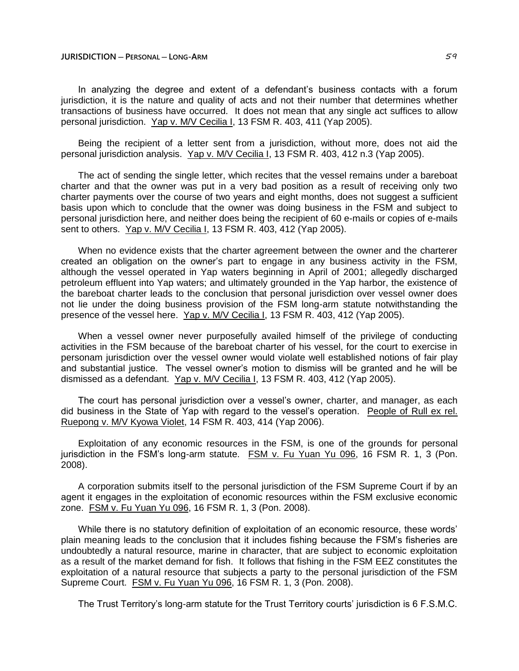In analyzing the degree and extent of a defendant's business contacts with a forum jurisdiction, it is the nature and quality of acts and not their number that determines whether transactions of business have occurred. It does not mean that any single act suffices to allow personal jurisdiction. Yap v. M/V Cecilia I, 13 FSM R. 403, 411 (Yap 2005).

Being the recipient of a letter sent from a jurisdiction, without more, does not aid the personal jurisdiction analysis. Yap v. M/V Cecilia I, 13 FSM R. 403, 412 n.3 (Yap 2005).

The act of sending the single letter, which recites that the vessel remains under a bareboat charter and that the owner was put in a very bad position as a result of receiving only two charter payments over the course of two years and eight months, does not suggest a sufficient basis upon which to conclude that the owner was doing business in the FSM and subject to personal jurisdiction here, and neither does being the recipient of 60 e-mails or copies of e-mails sent to others. Yap v. M/V Cecilia I, 13 FSM R. 403, 412 (Yap 2005).

When no evidence exists that the charter agreement between the owner and the charterer created an obligation on the owner's part to engage in any business activity in the FSM, although the vessel operated in Yap waters beginning in April of 2001; allegedly discharged petroleum effluent into Yap waters; and ultimately grounded in the Yap harbor, the existence of the bareboat charter leads to the conclusion that personal jurisdiction over vessel owner does not lie under the doing business provision of the FSM long-arm statute notwithstanding the presence of the vessel here. Yap v. M/V Cecilia I, 13 FSM R. 403, 412 (Yap 2005).

When a vessel owner never purposefully availed himself of the privilege of conducting activities in the FSM because of the bareboat charter of his vessel, for the court to exercise in personam jurisdiction over the vessel owner would violate well established notions of fair play and substantial justice. The vessel owner's motion to dismiss will be granted and he will be dismissed as a defendant. Yap v. M/V Cecilia I, 13 FSM R. 403, 412 (Yap 2005).

The court has personal jurisdiction over a vessel's owner, charter, and manager, as each did business in the State of Yap with regard to the vessel's operation. People of Rull ex rel. Ruepong v. M/V Kyowa Violet, 14 FSM R. 403, 414 (Yap 2006).

Exploitation of any economic resources in the FSM, is one of the grounds for personal jurisdiction in the FSM's long-arm statute. FSM v. Fu Yuan Yu 096, 16 FSM R. 1, 3 (Pon. 2008).

A corporation submits itself to the personal jurisdiction of the FSM Supreme Court if by an agent it engages in the exploitation of economic resources within the FSM exclusive economic zone. FSM v. Fu Yuan Yu 096, 16 FSM R. 1, 3 (Pon. 2008).

While there is no statutory definition of exploitation of an economic resource, these words' plain meaning leads to the conclusion that it includes fishing because the FSM's fisheries are undoubtedly a natural resource, marine in character, that are subject to economic exploitation as a result of the market demand for fish. It follows that fishing in the FSM EEZ constitutes the exploitation of a natural resource that subjects a party to the personal jurisdiction of the FSM Supreme Court. FSM v. Fu Yuan Yu 096, 16 FSM R. 1, 3 (Pon. 2008).

The Trust Territory's long-arm statute for the Trust Territory courts' jurisdiction is 6 F.S.M.C.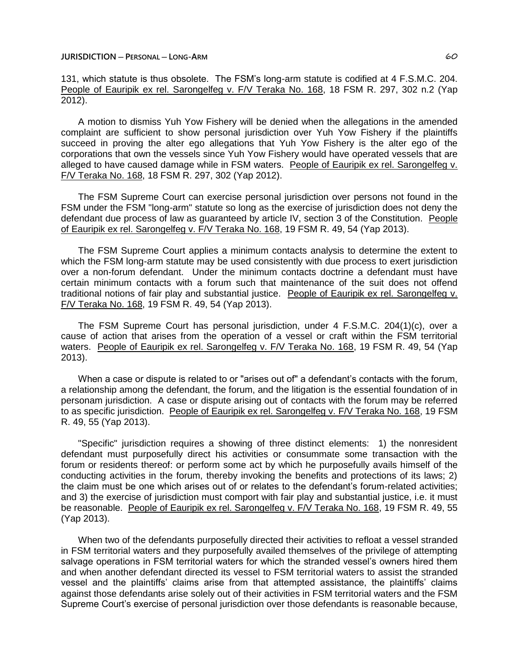131, which statute is thus obsolete. The FSM's long-arm statute is codified at 4 F.S.M.C. 204. People of Eauripik ex rel. Sarongelfeg v. F/V Teraka No. 168, 18 FSM R. 297, 302 n.2 (Yap 2012).

A motion to dismiss Yuh Yow Fishery will be denied when the allegations in the amended complaint are sufficient to show personal jurisdiction over Yuh Yow Fishery if the plaintiffs succeed in proving the alter ego allegations that Yuh Yow Fishery is the alter ego of the corporations that own the vessels since Yuh Yow Fishery would have operated vessels that are alleged to have caused damage while in FSM waters. People of Eauripik ex rel. Sarongelfeg v. F/V Teraka No. 168, 18 FSM R. 297, 302 (Yap 2012).

The FSM Supreme Court can exercise personal jurisdiction over persons not found in the FSM under the FSM "long-arm" statute so long as the exercise of jurisdiction does not deny the defendant due process of law as guaranteed by article IV, section 3 of the Constitution. People of Eauripik ex rel. Sarongelfeg v. F/V Teraka No. 168, 19 FSM R. 49, 54 (Yap 2013).

The FSM Supreme Court applies a minimum contacts analysis to determine the extent to which the FSM long-arm statute may be used consistently with due process to exert jurisdiction over a non-forum defendant. Under the minimum contacts doctrine a defendant must have certain minimum contacts with a forum such that maintenance of the suit does not offend traditional notions of fair play and substantial justice. People of Eauripik ex rel. Sarongelfeg v. F/V Teraka No. 168, 19 FSM R. 49, 54 (Yap 2013).

The FSM Supreme Court has personal jurisdiction, under 4 F.S.M.C. 204(1)(c), over a cause of action that arises from the operation of a vessel or craft within the FSM territorial waters. People of Eauripik ex rel. Sarongelfeg v. F/V Teraka No. 168, 19 FSM R. 49, 54 (Yap 2013).

When a case or dispute is related to or "arises out of" a defendant's contacts with the forum, a relationship among the defendant, the forum, and the litigation is the essential foundation of in personam jurisdiction. A case or dispute arising out of contacts with the forum may be referred to as specific jurisdiction. People of Eauripik ex rel. Sarongelfeg v. F/V Teraka No. 168, 19 FSM R. 49, 55 (Yap 2013).

"Specific" jurisdiction requires a showing of three distinct elements: 1) the nonresident defendant must purposefully direct his activities or consummate some transaction with the forum or residents thereof: or perform some act by which he purposefully avails himself of the conducting activities in the forum, thereby invoking the benefits and protections of its laws; 2) the claim must be one which arises out of or relates to the defendant's forum-related activities; and 3) the exercise of jurisdiction must comport with fair play and substantial justice, i.e. it must be reasonable. People of Eauripik ex rel. Sarongelfeg v. F/V Teraka No. 168, 19 FSM R. 49, 55 (Yap 2013).

When two of the defendants purposefully directed their activities to refloat a vessel stranded in FSM territorial waters and they purposefully availed themselves of the privilege of attempting salvage operations in FSM territorial waters for which the stranded vessel's owners hired them and when another defendant directed its vessel to FSM territorial waters to assist the stranded vessel and the plaintiffs' claims arise from that attempted assistance, the plaintiffs' claims against those defendants arise solely out of their activities in FSM territorial waters and the FSM Supreme Court's exercise of personal jurisdiction over those defendants is reasonable because,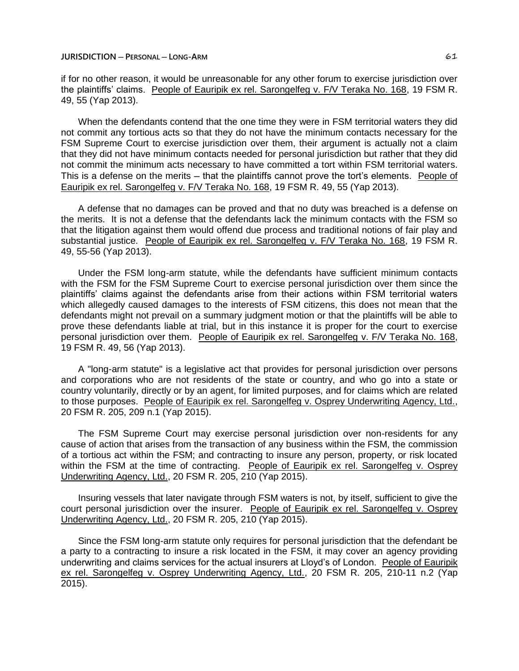if for no other reason, it would be unreasonable for any other forum to exercise jurisdiction over the plaintiffs' claims. People of Eauripik ex rel. Sarongelfeg v. F/V Teraka No. 168, 19 FSM R. 49, 55 (Yap 2013).

When the defendants contend that the one time they were in FSM territorial waters they did not commit any tortious acts so that they do not have the minimum contacts necessary for the FSM Supreme Court to exercise jurisdiction over them, their argument is actually not a claim that they did not have minimum contacts needed for personal jurisdiction but rather that they did not commit the minimum acts necessary to have committed a tort within FSM territorial waters. This is a defense on the merits – that the plaintiffs cannot prove the tort's elements. People of Eauripik ex rel. Sarongelfeg v. F/V Teraka No. 168, 19 FSM R. 49, 55 (Yap 2013).

A defense that no damages can be proved and that no duty was breached is a defense on the merits. It is not a defense that the defendants lack the minimum contacts with the FSM so that the litigation against them would offend due process and traditional notions of fair play and substantial justice. People of Eauripik ex rel. Sarongelfeg v. F/V Teraka No. 168, 19 FSM R. 49, 55-56 (Yap 2013).

Under the FSM long-arm statute, while the defendants have sufficient minimum contacts with the FSM for the FSM Supreme Court to exercise personal jurisdiction over them since the plaintiffs' claims against the defendants arise from their actions within FSM territorial waters which allegedly caused damages to the interests of FSM citizens, this does not mean that the defendants might not prevail on a summary judgment motion or that the plaintiffs will be able to prove these defendants liable at trial, but in this instance it is proper for the court to exercise personal jurisdiction over them. People of Eauripik ex rel. Sarongelfeg v. F/V Teraka No. 168, 19 FSM R. 49, 56 (Yap 2013).

A "long-arm statute" is a legislative act that provides for personal jurisdiction over persons and corporations who are not residents of the state or country, and who go into a state or country voluntarily, directly or by an agent, for limited purposes, and for claims which are related to those purposes. People of Eauripik ex rel. Sarongelfeg v. Osprey Underwriting Agency, Ltd., 20 FSM R. 205, 209 n.1 (Yap 2015).

The FSM Supreme Court may exercise personal jurisdiction over non-residents for any cause of action that arises from the transaction of any business within the FSM, the commission of a tortious act within the FSM; and contracting to insure any person, property, or risk located within the FSM at the time of contracting. People of Eauripik ex rel. Sarongelfeg v. Osprey Underwriting Agency, Ltd., 20 FSM R. 205, 210 (Yap 2015).

Insuring vessels that later navigate through FSM waters is not, by itself, sufficient to give the court personal jurisdiction over the insurer. People of Eauripik ex rel. Sarongelfeg v. Osprey Underwriting Agency, Ltd., 20 FSM R. 205, 210 (Yap 2015).

Since the FSM long-arm statute only requires for personal jurisdiction that the defendant be a party to a contracting to insure a risk located in the FSM, it may cover an agency providing underwriting and claims services for the actual insurers at Lloyd's of London. People of Eauripik ex rel. Sarongelfeg v. Osprey Underwriting Agency, Ltd., 20 FSM R. 205, 210-11 n.2 (Yap 2015).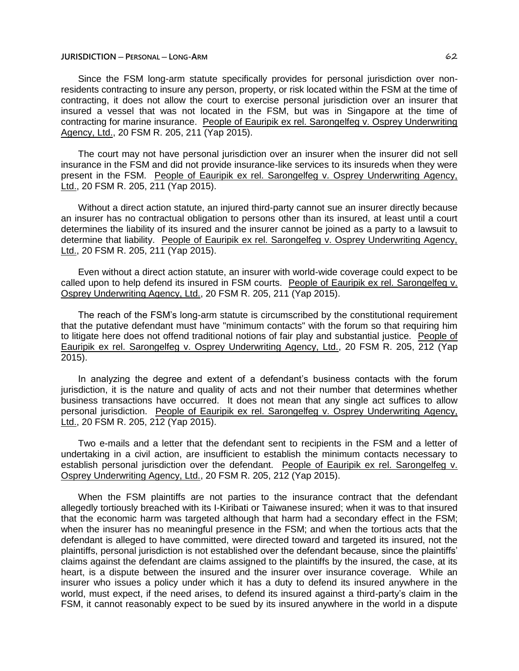Since the FSM long-arm statute specifically provides for personal jurisdiction over nonresidents contracting to insure any person, property, or risk located within the FSM at the time of contracting, it does not allow the court to exercise personal jurisdiction over an insurer that insured a vessel that was not located in the FSM, but was in Singapore at the time of contracting for marine insurance. People of Eauripik ex rel. Sarongelfeg v. Osprey Underwriting Agency, Ltd., 20 FSM R. 205, 211 (Yap 2015).

The court may not have personal jurisdiction over an insurer when the insurer did not sell insurance in the FSM and did not provide insurance-like services to its insureds when they were present in the FSM. People of Eauripik ex rel. Sarongelfeg v. Osprey Underwriting Agency, Ltd., 20 FSM R. 205, 211 (Yap 2015).

Without a direct action statute, an injured third-party cannot sue an insurer directly because an insurer has no contractual obligation to persons other than its insured, at least until a court determines the liability of its insured and the insurer cannot be joined as a party to a lawsuit to determine that liability. People of Eauripik ex rel. Sarongelfeg v. Osprey Underwriting Agency, Ltd., 20 FSM R. 205, 211 (Yap 2015).

Even without a direct action statute, an insurer with world-wide coverage could expect to be called upon to help defend its insured in FSM courts. People of Eauripik ex rel. Sarongelfeg v. Osprey Underwriting Agency, Ltd., 20 FSM R. 205, 211 (Yap 2015).

The reach of the FSM's long-arm statute is circumscribed by the constitutional requirement that the putative defendant must have "minimum contacts" with the forum so that requiring him to litigate here does not offend traditional notions of fair play and substantial justice. People of Eauripik ex rel. Sarongelfeg v. Osprey Underwriting Agency, Ltd., 20 FSM R. 205, 212 (Yap 2015).

In analyzing the degree and extent of a defendant's business contacts with the forum jurisdiction, it is the nature and quality of acts and not their number that determines whether business transactions have occurred. It does not mean that any single act suffices to allow personal jurisdiction. People of Eauripik ex rel. Sarongelfeg v. Osprey Underwriting Agency, Ltd., 20 FSM R. 205, 212 (Yap 2015).

Two e-mails and a letter that the defendant sent to recipients in the FSM and a letter of undertaking in a civil action, are insufficient to establish the minimum contacts necessary to establish personal jurisdiction over the defendant. People of Eauripik ex rel. Sarongelfeg v. Osprey Underwriting Agency, Ltd., 20 FSM R. 205, 212 (Yap 2015).

When the FSM plaintiffs are not parties to the insurance contract that the defendant allegedly tortiously breached with its I-Kiribati or Taiwanese insured; when it was to that insured that the economic harm was targeted although that harm had a secondary effect in the FSM; when the insurer has no meaningful presence in the FSM; and when the tortious acts that the defendant is alleged to have committed, were directed toward and targeted its insured, not the plaintiffs, personal jurisdiction is not established over the defendant because, since the plaintiffs' claims against the defendant are claims assigned to the plaintiffs by the insured, the case, at its heart, is a dispute between the insured and the insurer over insurance coverage. While an insurer who issues a policy under which it has a duty to defend its insured anywhere in the world, must expect, if the need arises, to defend its insured against a third-party's claim in the FSM, it cannot reasonably expect to be sued by its insured anywhere in the world in a dispute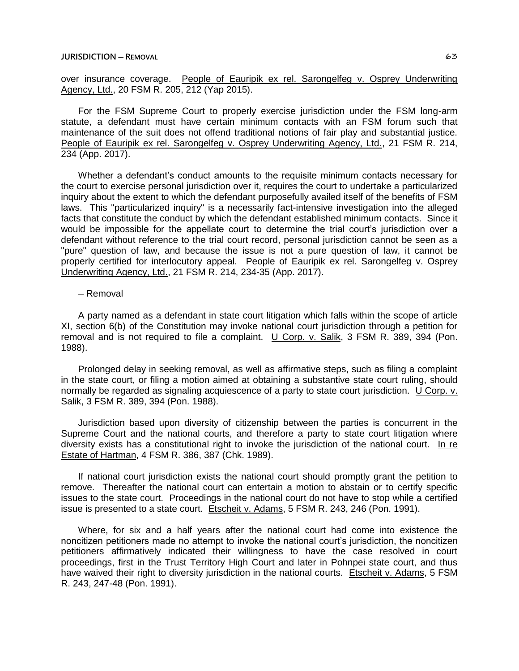over insurance coverage. People of Eauripik ex rel. Sarongelfeg v. Osprey Underwriting Agency, Ltd., 20 FSM R. 205, 212 (Yap 2015).

For the FSM Supreme Court to properly exercise jurisdiction under the FSM long-arm statute, a defendant must have certain minimum contacts with an FSM forum such that maintenance of the suit does not offend traditional notions of fair play and substantial justice. People of Eauripik ex rel. Sarongelfeg v. Osprey Underwriting Agency, Ltd., 21 FSM R. 214, 234 (App. 2017).

Whether a defendant's conduct amounts to the requisite minimum contacts necessary for the court to exercise personal jurisdiction over it, requires the court to undertake a particularized inquiry about the extent to which the defendant purposefully availed itself of the benefits of FSM laws. This "particularized inquiry" is a necessarily fact-intensive investigation into the alleged facts that constitute the conduct by which the defendant established minimum contacts. Since it would be impossible for the appellate court to determine the trial court's jurisdiction over a defendant without reference to the trial court record, personal jurisdiction cannot be seen as a "pure" question of law, and because the issue is not a pure question of law, it cannot be properly certified for interlocutory appeal. People of Eauripik ex rel. Sarongelfeg v. Osprey Underwriting Agency, Ltd., 21 FSM R. 214, 234-35 (App. 2017).

# ─ Removal

A party named as a defendant in state court litigation which falls within the scope of article XI, section 6(b) of the Constitution may invoke national court jurisdiction through a petition for removal and is not required to file a complaint. U Corp. v. Salik, 3 FSM R. 389, 394 (Pon. 1988).

Prolonged delay in seeking removal, as well as affirmative steps, such as filing a complaint in the state court, or filing a motion aimed at obtaining a substantive state court ruling, should normally be regarded as signaling acquiescence of a party to state court jurisdiction. U Corp. v. Salik, 3 FSM R. 389, 394 (Pon. 1988).

Jurisdiction based upon diversity of citizenship between the parties is concurrent in the Supreme Court and the national courts, and therefore a party to state court litigation where diversity exists has a constitutional right to invoke the jurisdiction of the national court. In re Estate of Hartman, 4 FSM R. 386, 387 (Chk. 1989).

If national court jurisdiction exists the national court should promptly grant the petition to remove. Thereafter the national court can entertain a motion to abstain or to certify specific issues to the state court. Proceedings in the national court do not have to stop while a certified issue is presented to a state court. Etscheit v. Adams, 5 FSM R. 243, 246 (Pon. 1991).

Where, for six and a half years after the national court had come into existence the noncitizen petitioners made no attempt to invoke the national court's jurisdiction, the noncitizen petitioners affirmatively indicated their willingness to have the case resolved in court proceedings, first in the Trust Territory High Court and later in Pohnpei state court, and thus have waived their right to diversity jurisdiction in the national courts. Etscheit v. Adams, 5 FSM R. 243, 247-48 (Pon. 1991).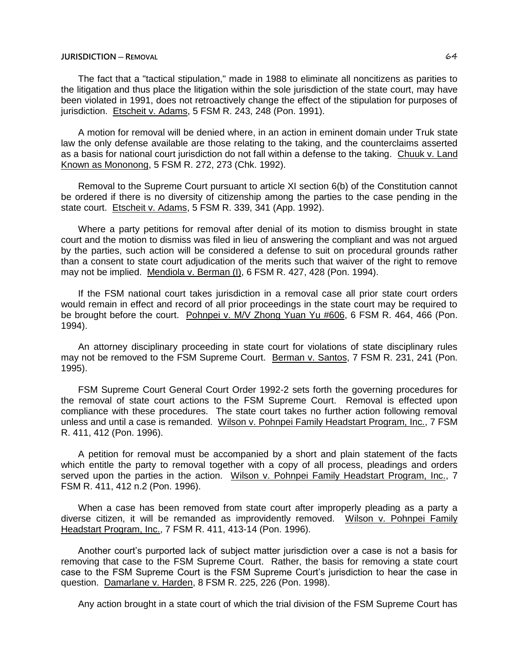The fact that a "tactical stipulation," made in 1988 to eliminate all noncitizens as parities to the litigation and thus place the litigation within the sole jurisdiction of the state court, may have been violated in 1991, does not retroactively change the effect of the stipulation for purposes of jurisdiction. Etscheit v. Adams, 5 FSM R. 243, 248 (Pon. 1991).

A motion for removal will be denied where, in an action in eminent domain under Truk state law the only defense available are those relating to the taking, and the counterclaims asserted as a basis for national court jurisdiction do not fall within a defense to the taking. Chuuk v. Land Known as Mononong, 5 FSM R. 272, 273 (Chk. 1992).

Removal to the Supreme Court pursuant to article XI section 6(b) of the Constitution cannot be ordered if there is no diversity of citizenship among the parties to the case pending in the state court. Etscheit v. Adams, 5 FSM R. 339, 341 (App. 1992).

Where a party petitions for removal after denial of its motion to dismiss brought in state court and the motion to dismiss was filed in lieu of answering the compliant and was not argued by the parties, such action will be considered a defense to suit on procedural grounds rather than a consent to state court adjudication of the merits such that waiver of the right to remove may not be implied. Mendiola v. Berman (I), 6 FSM R. 427, 428 (Pon. 1994).

If the FSM national court takes jurisdiction in a removal case all prior state court orders would remain in effect and record of all prior proceedings in the state court may be required to be brought before the court. Pohnpei v. M/V Zhong Yuan Yu #606, 6 FSM R. 464, 466 (Pon. 1994).

An attorney disciplinary proceeding in state court for violations of state disciplinary rules may not be removed to the FSM Supreme Court. Berman v. Santos, 7 FSM R. 231, 241 (Pon. 1995).

FSM Supreme Court General Court Order 1992-2 sets forth the governing procedures for the removal of state court actions to the FSM Supreme Court. Removal is effected upon compliance with these procedures. The state court takes no further action following removal unless and until a case is remanded. Wilson v. Pohnpei Family Headstart Program, Inc., 7 FSM R. 411, 412 (Pon. 1996).

A petition for removal must be accompanied by a short and plain statement of the facts which entitle the party to removal together with a copy of all process, pleadings and orders served upon the parties in the action. Wilson v. Pohnpei Family Headstart Program, Inc., 7 FSM R. 411, 412 n.2 (Pon. 1996).

When a case has been removed from state court after improperly pleading as a party a diverse citizen, it will be remanded as improvidently removed. Wilson v. Pohnpei Family Headstart Program, Inc., 7 FSM R. 411, 413-14 (Pon. 1996).

Another court's purported lack of subject matter jurisdiction over a case is not a basis for removing that case to the FSM Supreme Court. Rather, the basis for removing a state court case to the FSM Supreme Court is the FSM Supreme Court's jurisdiction to hear the case in question. Damarlane v. Harden, 8 FSM R. 225, 226 (Pon. 1998).

Any action brought in a state court of which the trial division of the FSM Supreme Court has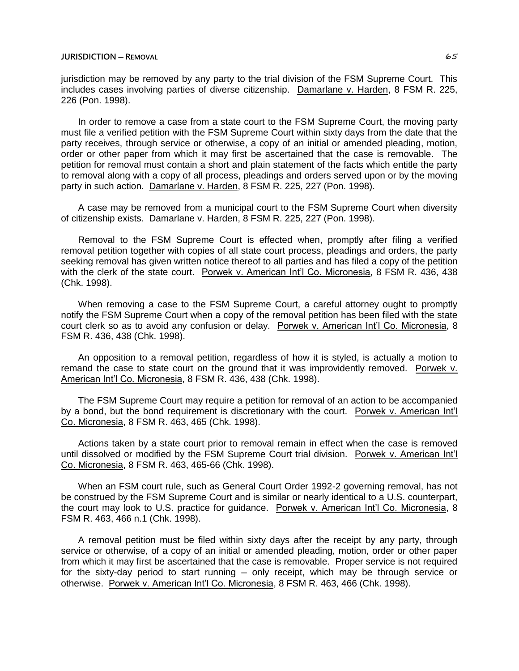jurisdiction may be removed by any party to the trial division of the FSM Supreme Court. This includes cases involving parties of diverse citizenship. Damarlane v. Harden, 8 FSM R. 225, 226 (Pon. 1998).

In order to remove a case from a state court to the FSM Supreme Court, the moving party must file a verified petition with the FSM Supreme Court within sixty days from the date that the party receives, through service or otherwise, a copy of an initial or amended pleading, motion, order or other paper from which it may first be ascertained that the case is removable. The petition for removal must contain a short and plain statement of the facts which entitle the party to removal along with a copy of all process, pleadings and orders served upon or by the moving party in such action. Damarlane v. Harden, 8 FSM R. 225, 227 (Pon. 1998).

A case may be removed from a municipal court to the FSM Supreme Court when diversity of citizenship exists. Damarlane v. Harden, 8 FSM R. 225, 227 (Pon. 1998).

Removal to the FSM Supreme Court is effected when, promptly after filing a verified removal petition together with copies of all state court process, pleadings and orders, the party seeking removal has given written notice thereof to all parties and has filed a copy of the petition with the clerk of the state court. Porwek v. American Int'l Co. Micronesia, 8 FSM R. 436, 438 (Chk. 1998).

When removing a case to the FSM Supreme Court, a careful attorney ought to promptly notify the FSM Supreme Court when a copy of the removal petition has been filed with the state court clerk so as to avoid any confusion or delay. Porwek v. American Int'l Co. Micronesia, 8 FSM R. 436, 438 (Chk. 1998).

An opposition to a removal petition, regardless of how it is styled, is actually a motion to remand the case to state court on the ground that it was improvidently removed. Porwek v. American Int'l Co. Micronesia, 8 FSM R. 436, 438 (Chk. 1998).

The FSM Supreme Court may require a petition for removal of an action to be accompanied by a bond, but the bond requirement is discretionary with the court. Porwek v. American Int'l Co. Micronesia, 8 FSM R. 463, 465 (Chk. 1998).

Actions taken by a state court prior to removal remain in effect when the case is removed until dissolved or modified by the FSM Supreme Court trial division. Porwek v. American Int'l Co. Micronesia, 8 FSM R. 463, 465-66 (Chk. 1998).

When an FSM court rule, such as General Court Order 1992-2 governing removal, has not be construed by the FSM Supreme Court and is similar or nearly identical to a U.S. counterpart, the court may look to U.S. practice for guidance. Porwek v. American Int'l Co. Micronesia, 8 FSM R. 463, 466 n.1 (Chk. 1998).

A removal petition must be filed within sixty days after the receipt by any party, through service or otherwise, of a copy of an initial or amended pleading, motion, order or other paper from which it may first be ascertained that the case is removable. Proper service is not required for the sixty-day period to start running - only receipt, which may be through service or otherwise. Porwek v. American Int'l Co. Micronesia, 8 FSM R. 463, 466 (Chk. 1998).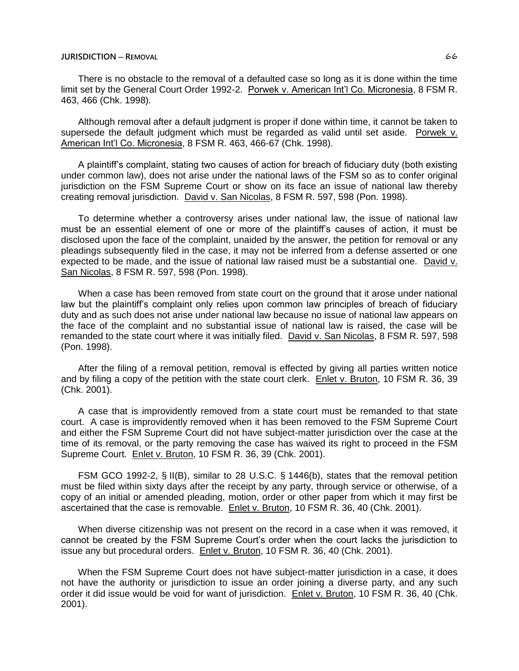There is no obstacle to the removal of a defaulted case so long as it is done within the time limit set by the General Court Order 1992-2. Porwek v. American Int'l Co. Micronesia, 8 FSM R. 463, 466 (Chk. 1998).

Although removal after a default judgment is proper if done within time, it cannot be taken to supersede the default judgment which must be regarded as valid until set aside. Porwek v. American Int'l Co. Micronesia, 8 FSM R. 463, 466-67 (Chk. 1998).

A plaintiff's complaint, stating two causes of action for breach of fiduciary duty (both existing under common law), does not arise under the national laws of the FSM so as to confer original jurisdiction on the FSM Supreme Court or show on its face an issue of national law thereby creating removal jurisdiction. David v. San Nicolas, 8 FSM R. 597, 598 (Pon. 1998).

To determine whether a controversy arises under national law, the issue of national law must be an essential element of one or more of the plaintiff's causes of action, it must be disclosed upon the face of the complaint, unaided by the answer, the petition for removal or any pleadings subsequently filed in the case, it may not be inferred from a defense asserted or one expected to be made, and the issue of national law raised must be a substantial one. David v. San Nicolas, 8 FSM R. 597, 598 (Pon. 1998).

When a case has been removed from state court on the ground that it arose under national law but the plaintiff's complaint only relies upon common law principles of breach of fiduciary duty and as such does not arise under national law because no issue of national law appears on the face of the complaint and no substantial issue of national law is raised, the case will be remanded to the state court where it was initially filed. David v. San Nicolas, 8 FSM R. 597, 598 (Pon. 1998).

After the filing of a removal petition, removal is effected by giving all parties written notice and by filing a copy of the petition with the state court clerk. Enlet v. Bruton, 10 FSM R. 36, 39 (Chk. 2001).

A case that is improvidently removed from a state court must be remanded to that state court. A case is improvidently removed when it has been removed to the FSM Supreme Court and either the FSM Supreme Court did not have subject-matter jurisdiction over the case at the time of its removal, or the party removing the case has waived its right to proceed in the FSM Supreme Court. Enlet v. Bruton, 10 FSM R. 36, 39 (Chk. 2001).

FSM GCO 1992-2, § II(B), similar to 28 U.S.C. § 1446(b), states that the removal petition must be filed within sixty days after the receipt by any party, through service or otherwise, of a copy of an initial or amended pleading, motion, order or other paper from which it may first be ascertained that the case is removable. Enlet v. Bruton, 10 FSM R. 36, 40 (Chk. 2001).

When diverse citizenship was not present on the record in a case when it was removed, it cannot be created by the FSM Supreme Court's order when the court lacks the jurisdiction to issue any but procedural orders. Enlet v. Bruton, 10 FSM R. 36, 40 (Chk. 2001).

When the FSM Supreme Court does not have subject-matter jurisdiction in a case, it does not have the authority or jurisdiction to issue an order joining a diverse party, and any such order it did issue would be void for want of jurisdiction. Enlet v. Bruton, 10 FSM R. 36, 40 (Chk. 2001).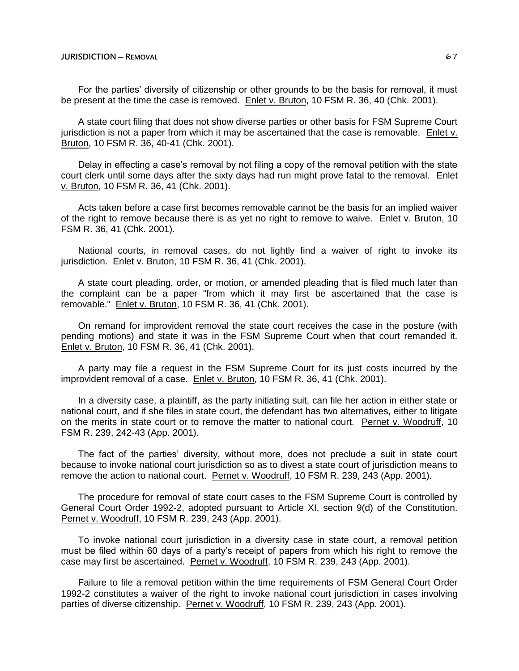For the parties' diversity of citizenship or other grounds to be the basis for removal, it must be present at the time the case is removed. Enlet v. Bruton, 10 FSM R. 36, 40 (Chk. 2001).

A state court filing that does not show diverse parties or other basis for FSM Supreme Court jurisdiction is not a paper from which it may be ascertained that the case is removable. Enlet v. Bruton, 10 FSM R. 36, 40-41 (Chk. 2001).

Delay in effecting a case's removal by not filing a copy of the removal petition with the state court clerk until some days after the sixty days had run might prove fatal to the removal. Enlet v. Bruton, 10 FSM R. 36, 41 (Chk. 2001).

Acts taken before a case first becomes removable cannot be the basis for an implied waiver of the right to remove because there is as yet no right to remove to waive. Enlet v. Bruton, 10 FSM R. 36, 41 (Chk. 2001).

National courts, in removal cases, do not lightly find a waiver of right to invoke its jurisdiction. Enlet v. Bruton, 10 FSM R. 36, 41 (Chk. 2001).

A state court pleading, order, or motion, or amended pleading that is filed much later than the complaint can be a paper "from which it may first be ascertained that the case is removable." Enlet v. Bruton, 10 FSM R. 36, 41 (Chk. 2001).

On remand for improvident removal the state court receives the case in the posture (with pending motions) and state it was in the FSM Supreme Court when that court remanded it. Enlet v. Bruton, 10 FSM R. 36, 41 (Chk. 2001).

A party may file a request in the FSM Supreme Court for its just costs incurred by the improvident removal of a case. Enlet v. Bruton, 10 FSM R. 36, 41 (Chk. 2001).

In a diversity case, a plaintiff, as the party initiating suit, can file her action in either state or national court, and if she files in state court, the defendant has two alternatives, either to litigate on the merits in state court or to remove the matter to national court. Pernet v. Woodruff, 10 FSM R. 239, 242-43 (App. 2001).

The fact of the parties' diversity, without more, does not preclude a suit in state court because to invoke national court jurisdiction so as to divest a state court of jurisdiction means to remove the action to national court. Pernet v. Woodruff, 10 FSM R. 239, 243 (App. 2001).

The procedure for removal of state court cases to the FSM Supreme Court is controlled by General Court Order 1992-2, adopted pursuant to Article XI, section 9(d) of the Constitution. Pernet v. Woodruff, 10 FSM R. 239, 243 (App. 2001).

To invoke national court jurisdiction in a diversity case in state court, a removal petition must be filed within 60 days of a party's receipt of papers from which his right to remove the case may first be ascertained. Pernet v. Woodruff, 10 FSM R. 239, 243 (App. 2001).

Failure to file a removal petition within the time requirements of FSM General Court Order 1992-2 constitutes a waiver of the right to invoke national court jurisdiction in cases involving parties of diverse citizenship. Pernet v. Woodruff, 10 FSM R. 239, 243 (App. 2001).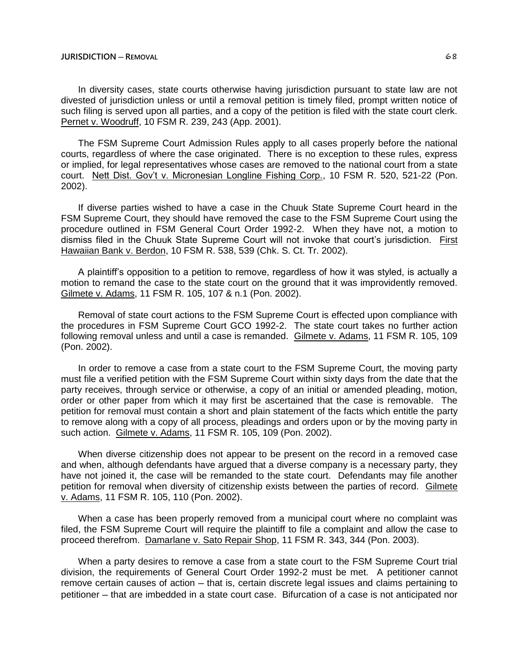In diversity cases, state courts otherwise having jurisdiction pursuant to state law are not divested of jurisdiction unless or until a removal petition is timely filed, prompt written notice of such filing is served upon all parties, and a copy of the petition is filed with the state court clerk. Pernet v. Woodruff, 10 FSM R. 239, 243 (App. 2001).

The FSM Supreme Court Admission Rules apply to all cases properly before the national courts, regardless of where the case originated. There is no exception to these rules, express or implied, for legal representatives whose cases are removed to the national court from a state court. Nett Dist. Gov't v. Micronesian Longline Fishing Corp., 10 FSM R. 520, 521-22 (Pon. 2002).

If diverse parties wished to have a case in the Chuuk State Supreme Court heard in the FSM Supreme Court, they should have removed the case to the FSM Supreme Court using the procedure outlined in FSM General Court Order 1992-2. When they have not, a motion to dismiss filed in the Chuuk State Supreme Court will not invoke that court's jurisdiction. First Hawaiian Bank v. Berdon, 10 FSM R. 538, 539 (Chk. S. Ct. Tr. 2002).

A plaintiff's opposition to a petition to remove, regardless of how it was styled, is actually a motion to remand the case to the state court on the ground that it was improvidently removed. Gilmete v. Adams, 11 FSM R. 105, 107 & n.1 (Pon. 2002).

Removal of state court actions to the FSM Supreme Court is effected upon compliance with the procedures in FSM Supreme Court GCO 1992-2. The state court takes no further action following removal unless and until a case is remanded. Gilmete v. Adams, 11 FSM R. 105, 109 (Pon. 2002).

In order to remove a case from a state court to the FSM Supreme Court, the moving party must file a verified petition with the FSM Supreme Court within sixty days from the date that the party receives, through service or otherwise, a copy of an initial or amended pleading, motion, order or other paper from which it may first be ascertained that the case is removable. The petition for removal must contain a short and plain statement of the facts which entitle the party to remove along with a copy of all process, pleadings and orders upon or by the moving party in such action. Gilmete v. Adams, 11 FSM R. 105, 109 (Pon. 2002).

When diverse citizenship does not appear to be present on the record in a removed case and when, although defendants have argued that a diverse company is a necessary party, they have not joined it, the case will be remanded to the state court. Defendants may file another petition for removal when diversity of citizenship exists between the parties of record. Gilmete v. Adams, 11 FSM R. 105, 110 (Pon. 2002).

When a case has been properly removed from a municipal court where no complaint was filed, the FSM Supreme Court will require the plaintiff to file a complaint and allow the case to proceed therefrom. Damarlane v. Sato Repair Shop, 11 FSM R. 343, 344 (Pon. 2003).

When a party desires to remove a case from a state court to the FSM Supreme Court trial division, the requirements of General Court Order 1992-2 must be met. A petitioner cannot remove certain causes of action – that is, certain discrete legal issues and claims pertaining to petitioner – that are imbedded in a state court case. Bifurcation of a case is not anticipated nor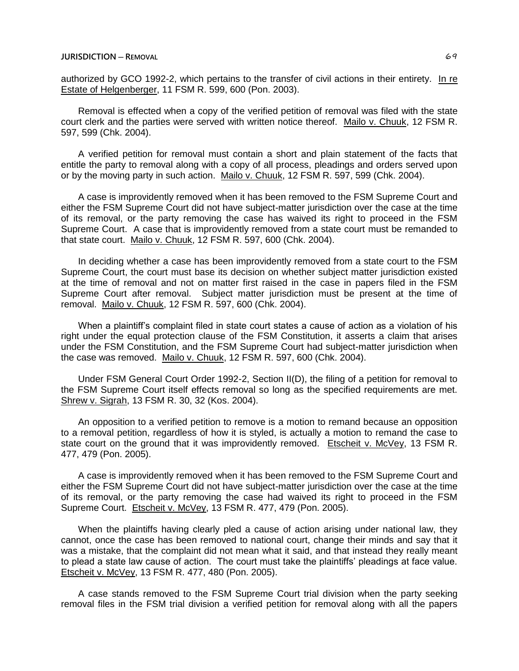authorized by GCO 1992-2, which pertains to the transfer of civil actions in their entirety. In re Estate of Helgenberger, 11 FSM R. 599, 600 (Pon. 2003).

Removal is effected when a copy of the verified petition of removal was filed with the state court clerk and the parties were served with written notice thereof. Mailo v. Chuuk, 12 FSM R. 597, 599 (Chk. 2004).

A verified petition for removal must contain a short and plain statement of the facts that entitle the party to removal along with a copy of all process, pleadings and orders served upon or by the moving party in such action. Mailo v. Chuuk, 12 FSM R. 597, 599 (Chk. 2004).

A case is improvidently removed when it has been removed to the FSM Supreme Court and either the FSM Supreme Court did not have subject-matter jurisdiction over the case at the time of its removal, or the party removing the case has waived its right to proceed in the FSM Supreme Court. A case that is improvidently removed from a state court must be remanded to that state court. Mailo v. Chuuk, 12 FSM R. 597, 600 (Chk. 2004).

In deciding whether a case has been improvidently removed from a state court to the FSM Supreme Court, the court must base its decision on whether subject matter jurisdiction existed at the time of removal and not on matter first raised in the case in papers filed in the FSM Supreme Court after removal. Subject matter jurisdiction must be present at the time of removal. Mailo v. Chuuk, 12 FSM R. 597, 600 (Chk. 2004).

When a plaintiff's complaint filed in state court states a cause of action as a violation of his right under the equal protection clause of the FSM Constitution, it asserts a claim that arises under the FSM Constitution, and the FSM Supreme Court had subject-matter jurisdiction when the case was removed. Mailo v. Chuuk, 12 FSM R. 597, 600 (Chk. 2004).

Under FSM General Court Order 1992-2, Section II(D), the filing of a petition for removal to the FSM Supreme Court itself effects removal so long as the specified requirements are met. Shrew v. Sigrah, 13 FSM R. 30, 32 (Kos. 2004).

An opposition to a verified petition to remove is a motion to remand because an opposition to a removal petition, regardless of how it is styled, is actually a motion to remand the case to state court on the ground that it was improvidently removed. Etscheit v. McVey, 13 FSM R. 477, 479 (Pon. 2005).

A case is improvidently removed when it has been removed to the FSM Supreme Court and either the FSM Supreme Court did not have subject-matter jurisdiction over the case at the time of its removal, or the party removing the case had waived its right to proceed in the FSM Supreme Court. Etscheit v. McVey, 13 FSM R. 477, 479 (Pon. 2005).

When the plaintiffs having clearly pled a cause of action arising under national law, they cannot, once the case has been removed to national court, change their minds and say that it was a mistake, that the complaint did not mean what it said, and that instead they really meant to plead a state law cause of action. The court must take the plaintiffs' pleadings at face value. Etscheit v. McVey, 13 FSM R. 477, 480 (Pon. 2005).

A case stands removed to the FSM Supreme Court trial division when the party seeking removal files in the FSM trial division a verified petition for removal along with all the papers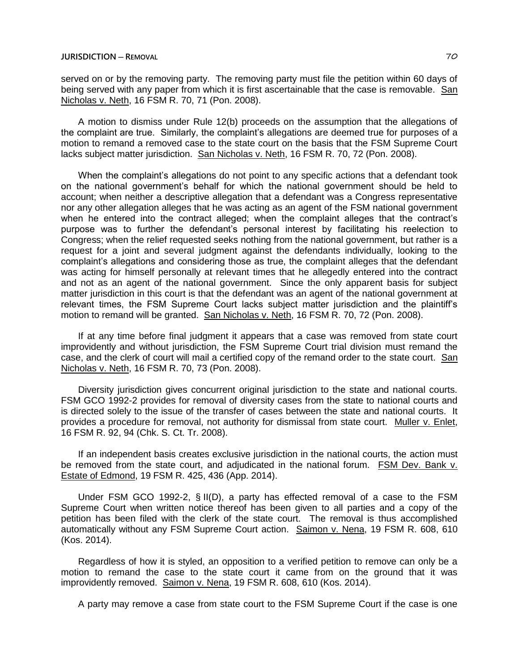served on or by the removing party. The removing party must file the petition within 60 days of being served with any paper from which it is first ascertainable that the case is removable. San Nicholas v. Neth, 16 FSM R. 70, 71 (Pon. 2008).

A motion to dismiss under Rule 12(b) proceeds on the assumption that the allegations of the complaint are true. Similarly, the complaint's allegations are deemed true for purposes of a motion to remand a removed case to the state court on the basis that the FSM Supreme Court lacks subject matter jurisdiction. San Nicholas v. Neth, 16 FSM R. 70, 72 (Pon. 2008).

When the complaint's allegations do not point to any specific actions that a defendant took on the national government's behalf for which the national government should be held to account; when neither a descriptive allegation that a defendant was a Congress representative nor any other allegation alleges that he was acting as an agent of the FSM national government when he entered into the contract alleged; when the complaint alleges that the contract's purpose was to further the defendant's personal interest by facilitating his reelection to Congress; when the relief requested seeks nothing from the national government, but rather is a request for a joint and several judgment against the defendants individually, looking to the complaint's allegations and considering those as true, the complaint alleges that the defendant was acting for himself personally at relevant times that he allegedly entered into the contract and not as an agent of the national government. Since the only apparent basis for subject matter jurisdiction in this court is that the defendant was an agent of the national government at relevant times, the FSM Supreme Court lacks subject matter jurisdiction and the plaintiff's motion to remand will be granted. San Nicholas v. Neth, 16 FSM R. 70, 72 (Pon. 2008).

If at any time before final judgment it appears that a case was removed from state court improvidently and without jurisdiction, the FSM Supreme Court trial division must remand the case, and the clerk of court will mail a certified copy of the remand order to the state court. San Nicholas v. Neth, 16 FSM R. 70, 73 (Pon. 2008).

Diversity jurisdiction gives concurrent original jurisdiction to the state and national courts. FSM GCO 1992-2 provides for removal of diversity cases from the state to national courts and is directed solely to the issue of the transfer of cases between the state and national courts. It provides a procedure for removal, not authority for dismissal from state court. Muller v. Enlet, 16 FSM R. 92, 94 (Chk. S. Ct. Tr. 2008).

If an independent basis creates exclusive jurisdiction in the national courts, the action must be removed from the state court, and adjudicated in the national forum. FSM Dev. Bank v. Estate of Edmond, 19 FSM R. 425, 436 (App. 2014).

Under FSM GCO 1992-2, § II(D), a party has effected removal of a case to the FSM Supreme Court when written notice thereof has been given to all parties and a copy of the petition has been filed with the clerk of the state court. The removal is thus accomplished automatically without any FSM Supreme Court action. Saimon v. Nena, 19 FSM R. 608, 610 (Kos. 2014).

Regardless of how it is styled, an opposition to a verified petition to remove can only be a motion to remand the case to the state court it came from on the ground that it was improvidently removed. Saimon v. Nena, 19 FSM R. 608, 610 (Kos. 2014).

A party may remove a case from state court to the FSM Supreme Court if the case is one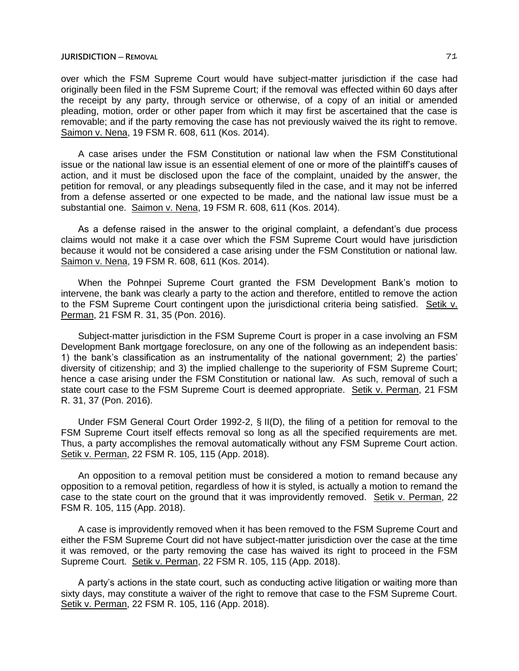over which the FSM Supreme Court would have subject-matter jurisdiction if the case had originally been filed in the FSM Supreme Court; if the removal was effected within 60 days after the receipt by any party, through service or otherwise, of a copy of an initial or amended pleading, motion, order or other paper from which it may first be ascertained that the case is removable; and if the party removing the case has not previously waived the its right to remove. Saimon v. Nena, 19 FSM R. 608, 611 (Kos. 2014).

A case arises under the FSM Constitution or national law when the FSM Constitutional issue or the national law issue is an essential element of one or more of the plaintiff's causes of action, and it must be disclosed upon the face of the complaint, unaided by the answer, the petition for removal, or any pleadings subsequently filed in the case, and it may not be inferred from a defense asserted or one expected to be made, and the national law issue must be a substantial one. Saimon v. Nena, 19 FSM R. 608, 611 (Kos. 2014).

As a defense raised in the answer to the original complaint, a defendant's due process claims would not make it a case over which the FSM Supreme Court would have jurisdiction because it would not be considered a case arising under the FSM Constitution or national law. Saimon v. Nena, 19 FSM R. 608, 611 (Kos. 2014).

When the Pohnpei Supreme Court granted the FSM Development Bank's motion to intervene, the bank was clearly a party to the action and therefore, entitled to remove the action to the FSM Supreme Court contingent upon the jurisdictional criteria being satisfied. Setik v. Perman, 21 FSM R. 31, 35 (Pon. 2016).

Subject-matter jurisdiction in the FSM Supreme Court is proper in a case involving an FSM Development Bank mortgage foreclosure, on any one of the following as an independent basis: 1) the bank's classification as an instrumentality of the national government; 2) the parties' diversity of citizenship; and 3) the implied challenge to the superiority of FSM Supreme Court; hence a case arising under the FSM Constitution or national law. As such, removal of such a state court case to the FSM Supreme Court is deemed appropriate. Setik v. Perman, 21 FSM R. 31, 37 (Pon. 2016).

Under FSM General Court Order 1992-2, § II(D), the filing of a petition for removal to the FSM Supreme Court itself effects removal so long as all the specified requirements are met. Thus, a party accomplishes the removal automatically without any FSM Supreme Court action. Setik v. Perman, 22 FSM R. 105, 115 (App. 2018).

An opposition to a removal petition must be considered a motion to remand because any opposition to a removal petition, regardless of how it is styled, is actually a motion to remand the case to the state court on the ground that it was improvidently removed. Setik v. Perman, 22 FSM R. 105, 115 (App. 2018).

A case is improvidently removed when it has been removed to the FSM Supreme Court and either the FSM Supreme Court did not have subject-matter jurisdiction over the case at the time it was removed, or the party removing the case has waived its right to proceed in the FSM Supreme Court. Setik v. Perman, 22 FSM R. 105, 115 (App. 2018).

A party's actions in the state court, such as conducting active litigation or waiting more than sixty days, may constitute a waiver of the right to remove that case to the FSM Supreme Court. Setik v. Perman, 22 FSM R. 105, 116 (App. 2018).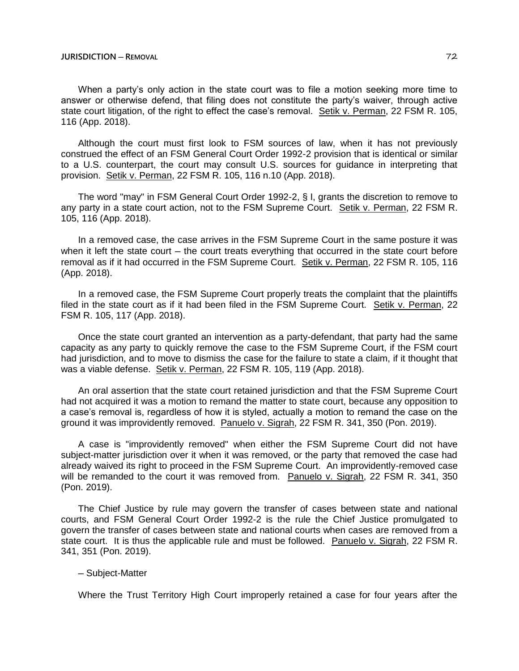When a party's only action in the state court was to file a motion seeking more time to answer or otherwise defend, that filing does not constitute the party's waiver, through active state court litigation, of the right to effect the case's removal. Setik v. Perman, 22 FSM R. 105, 116 (App. 2018).

Although the court must first look to FSM sources of law, when it has not previously construed the effect of an FSM General Court Order 1992-2 provision that is identical or similar to a U.S. counterpart, the court may consult U.S. sources for guidance in interpreting that provision. Setik v. Perman, 22 FSM R. 105, 116 n.10 (App. 2018).

The word "may" in FSM General Court Order 1992-2, § I, grants the discretion to remove to any party in a state court action, not to the FSM Supreme Court. Setik v. Perman, 22 FSM R. 105, 116 (App. 2018).

In a removed case, the case arrives in the FSM Supreme Court in the same posture it was when it left the state court – the court treats everything that occurred in the state court before removal as if it had occurred in the FSM Supreme Court. Setik v. Perman, 22 FSM R. 105, 116 (App. 2018).

In a removed case, the FSM Supreme Court properly treats the complaint that the plaintiffs filed in the state court as if it had been filed in the FSM Supreme Court. Setik v. Perman, 22 FSM R. 105, 117 (App. 2018).

Once the state court granted an intervention as a party-defendant, that party had the same capacity as any party to quickly remove the case to the FSM Supreme Court, if the FSM court had jurisdiction, and to move to dismiss the case for the failure to state a claim, if it thought that was a viable defense. Setik v. Perman, 22 FSM R. 105, 119 (App. 2018).

An oral assertion that the state court retained jurisdiction and that the FSM Supreme Court had not acquired it was a motion to remand the matter to state court, because any opposition to a case's removal is, regardless of how it is styled, actually a motion to remand the case on the ground it was improvidently removed. Panuelo v. Sigrah, 22 FSM R. 341, 350 (Pon. 2019).

A case is "improvidently removed" when either the FSM Supreme Court did not have subject-matter jurisdiction over it when it was removed, or the party that removed the case had already waived its right to proceed in the FSM Supreme Court. An improvidently-removed case will be remanded to the court it was removed from. Panuelo v. Sigrah, 22 FSM R. 341, 350 (Pon. 2019).

The Chief Justice by rule may govern the transfer of cases between state and national courts, and FSM General Court Order 1992-2 is the rule the Chief Justice promulgated to govern the transfer of cases between state and national courts when cases are removed from a state court. It is thus the applicable rule and must be followed. Panuelo v. Sigrah, 22 FSM R. 341, 351 (Pon. 2019).

# ─ Subject-Matter

Where the Trust Territory High Court improperly retained a case for four years after the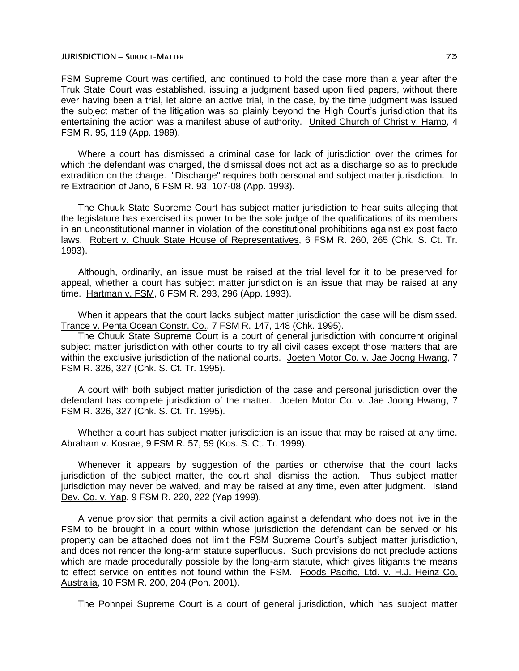FSM Supreme Court was certified, and continued to hold the case more than a year after the Truk State Court was established, issuing a judgment based upon filed papers, without there ever having been a trial, let alone an active trial, in the case, by the time judgment was issued the subject matter of the litigation was so plainly beyond the High Court's jurisdiction that its entertaining the action was a manifest abuse of authority. United Church of Christ v. Hamo, 4 FSM R. 95, 119 (App. 1989).

Where a court has dismissed a criminal case for lack of jurisdiction over the crimes for which the defendant was charged, the dismissal does not act as a discharge so as to preclude extradition on the charge. "Discharge" requires both personal and subject matter jurisdiction. In re Extradition of Jano, 6 FSM R. 93, 107-08 (App. 1993).

The Chuuk State Supreme Court has subject matter jurisdiction to hear suits alleging that the legislature has exercised its power to be the sole judge of the qualifications of its members in an unconstitutional manner in violation of the constitutional prohibitions against ex post facto laws. Robert v. Chuuk State House of Representatives, 6 FSM R. 260, 265 (Chk. S. Ct. Tr. 1993).

Although, ordinarily, an issue must be raised at the trial level for it to be preserved for appeal, whether a court has subject matter jurisdiction is an issue that may be raised at any time. Hartman v. FSM, 6 FSM R. 293, 296 (App. 1993).

When it appears that the court lacks subject matter jurisdiction the case will be dismissed. Trance v. Penta Ocean Constr. Co., 7 FSM R. 147, 148 (Chk. 1995).

The Chuuk State Supreme Court is a court of general jurisdiction with concurrent original subject matter jurisdiction with other courts to try all civil cases except those matters that are within the exclusive jurisdiction of the national courts. Joeten Motor Co. v. Jae Joong Hwang, 7 FSM R. 326, 327 (Chk. S. Ct. Tr. 1995).

A court with both subject matter jurisdiction of the case and personal jurisdiction over the defendant has complete jurisdiction of the matter. Joeten Motor Co. v. Jae Joong Hwang, 7 FSM R. 326, 327 (Chk. S. Ct. Tr. 1995).

Whether a court has subject matter jurisdiction is an issue that may be raised at any time. Abraham v. Kosrae, 9 FSM R. 57, 59 (Kos. S. Ct. Tr. 1999).

Whenever it appears by suggestion of the parties or otherwise that the court lacks jurisdiction of the subject matter, the court shall dismiss the action. Thus subject matter jurisdiction may never be waived, and may be raised at any time, even after judgment. Island Dev. Co. v. Yap, 9 FSM R. 220, 222 (Yap 1999).

A venue provision that permits a civil action against a defendant who does not live in the FSM to be brought in a court within whose jurisdiction the defendant can be served or his property can be attached does not limit the FSM Supreme Court's subject matter jurisdiction, and does not render the long-arm statute superfluous. Such provisions do not preclude actions which are made procedurally possible by the long-arm statute, which gives litigants the means to effect service on entities not found within the FSM. Foods Pacific, Ltd. v. H.J. Heinz Co. Australia, 10 FSM R. 200, 204 (Pon. 2001).

The Pohnpei Supreme Court is a court of general jurisdiction, which has subject matter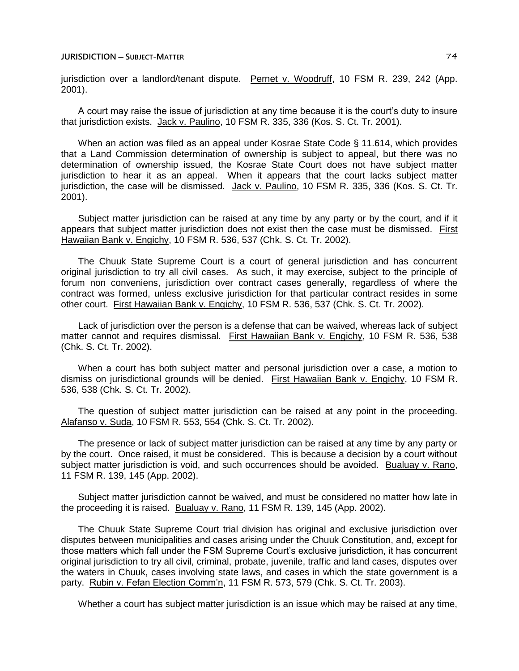jurisdiction over a landlord/tenant dispute. Pernet v. Woodruff, 10 FSM R. 239, 242 (App. 2001).

A court may raise the issue of jurisdiction at any time because it is the court's duty to insure that jurisdiction exists. Jack v. Paulino, 10 FSM R. 335, 336 (Kos. S. Ct. Tr. 2001).

When an action was filed as an appeal under Kosrae State Code § 11.614, which provides that a Land Commission determination of ownership is subject to appeal, but there was no determination of ownership issued, the Kosrae State Court does not have subject matter jurisdiction to hear it as an appeal. When it appears that the court lacks subject matter jurisdiction, the case will be dismissed. Jack v. Paulino, 10 FSM R. 335, 336 (Kos. S. Ct. Tr. 2001).

Subject matter jurisdiction can be raised at any time by any party or by the court, and if it appears that subject matter jurisdiction does not exist then the case must be dismissed. First Hawaiian Bank v. Engichy, 10 FSM R. 536, 537 (Chk. S. Ct. Tr. 2002).

The Chuuk State Supreme Court is a court of general jurisdiction and has concurrent original jurisdiction to try all civil cases. As such, it may exercise, subject to the principle of forum non conveniens, jurisdiction over contract cases generally, regardless of where the contract was formed, unless exclusive jurisdiction for that particular contract resides in some other court. First Hawaiian Bank v. Engichy, 10 FSM R. 536, 537 (Chk. S. Ct. Tr. 2002).

Lack of jurisdiction over the person is a defense that can be waived, whereas lack of subject matter cannot and requires dismissal. First Hawaiian Bank v. Engichy, 10 FSM R. 536, 538 (Chk. S. Ct. Tr. 2002).

When a court has both subject matter and personal jurisdiction over a case, a motion to dismiss on jurisdictional grounds will be denied. First Hawaiian Bank v. Engichy, 10 FSM R. 536, 538 (Chk. S. Ct. Tr. 2002).

The question of subject matter jurisdiction can be raised at any point in the proceeding. Alafanso v. Suda, 10 FSM R. 553, 554 (Chk. S. Ct. Tr. 2002).

The presence or lack of subject matter jurisdiction can be raised at any time by any party or by the court. Once raised, it must be considered. This is because a decision by a court without subject matter jurisdiction is void, and such occurrences should be avoided. Bualuay v. Rano, 11 FSM R. 139, 145 (App. 2002).

Subject matter jurisdiction cannot be waived, and must be considered no matter how late in the proceeding it is raised. Bualuay v. Rano, 11 FSM R. 139, 145 (App. 2002).

The Chuuk State Supreme Court trial division has original and exclusive jurisdiction over disputes between municipalities and cases arising under the Chuuk Constitution, and, except for those matters which fall under the FSM Supreme Court's exclusive jurisdiction, it has concurrent original jurisdiction to try all civil, criminal, probate, juvenile, traffic and land cases, disputes over the waters in Chuuk, cases involving state laws, and cases in which the state government is a party. Rubin v. Fefan Election Comm'n, 11 FSM R. 573, 579 (Chk. S. Ct. Tr. 2003).

Whether a court has subject matter jurisdiction is an issue which may be raised at any time,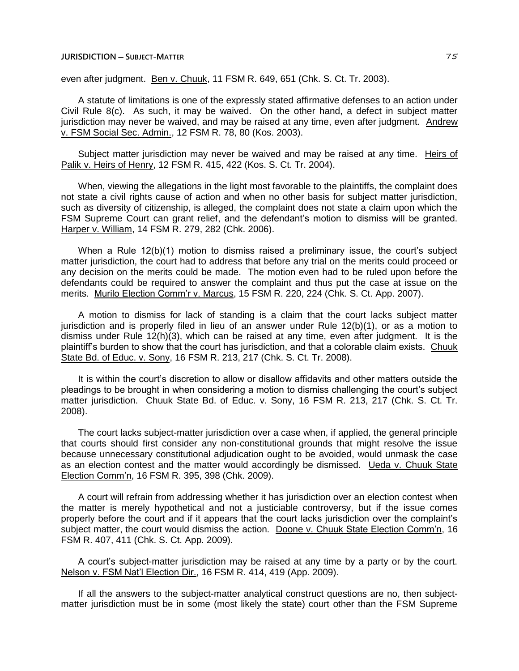even after judgment. Ben v. Chuuk, 11 FSM R. 649, 651 (Chk. S. Ct. Tr. 2003).

A statute of limitations is one of the expressly stated affirmative defenses to an action under Civil Rule 8(c). As such, it may be waived. On the other hand, a defect in subject matter jurisdiction may never be waived, and may be raised at any time, even after judgment. Andrew v. FSM Social Sec. Admin., 12 FSM R. 78, 80 (Kos. 2003).

Subject matter jurisdiction may never be waived and may be raised at any time. Heirs of Palik v. Heirs of Henry, 12 FSM R. 415, 422 (Kos. S. Ct. Tr. 2004).

When, viewing the allegations in the light most favorable to the plaintiffs, the complaint does not state a civil rights cause of action and when no other basis for subject matter jurisdiction, such as diversity of citizenship, is alleged, the complaint does not state a claim upon which the FSM Supreme Court can grant relief, and the defendant's motion to dismiss will be granted. Harper v. William, 14 FSM R. 279, 282 (Chk. 2006).

When a Rule 12(b)(1) motion to dismiss raised a preliminary issue, the court's subject matter jurisdiction, the court had to address that before any trial on the merits could proceed or any decision on the merits could be made. The motion even had to be ruled upon before the defendants could be required to answer the complaint and thus put the case at issue on the merits. Murilo Election Comm'r v. Marcus, 15 FSM R. 220, 224 (Chk. S. Ct. App. 2007).

A motion to dismiss for lack of standing is a claim that the court lacks subject matter jurisdiction and is properly filed in lieu of an answer under Rule 12(b)(1), or as a motion to dismiss under Rule 12(h)(3), which can be raised at any time, even after judgment. It is the plaintiff's burden to show that the court has jurisdiction, and that a colorable claim exists. Chuuk State Bd. of Educ. v. Sony, 16 FSM R. 213, 217 (Chk. S. Ct. Tr. 2008).

It is within the court's discretion to allow or disallow affidavits and other matters outside the pleadings to be brought in when considering a motion to dismiss challenging the court's subject matter jurisdiction. Chuuk State Bd. of Educ. v. Sony, 16 FSM R. 213, 217 (Chk. S. Ct. Tr. 2008).

The court lacks subject-matter jurisdiction over a case when, if applied, the general principle that courts should first consider any non-constitutional grounds that might resolve the issue because unnecessary constitutional adjudication ought to be avoided, would unmask the case as an election contest and the matter would accordingly be dismissed. Ueda v. Chuuk State Election Comm'n, 16 FSM R. 395, 398 (Chk. 2009).

A court will refrain from addressing whether it has jurisdiction over an election contest when the matter is merely hypothetical and not a justiciable controversy, but if the issue comes properly before the court and if it appears that the court lacks jurisdiction over the complaint's subject matter, the court would dismiss the action. Doone v. Chuuk State Election Comm'n, 16 FSM R. 407, 411 (Chk. S. Ct. App. 2009).

A court's subject-matter jurisdiction may be raised at any time by a party or by the court. Nelson v. FSM Nat'l Election Dir., 16 FSM R. 414, 419 (App. 2009).

If all the answers to the subject-matter analytical construct questions are no, then subjectmatter jurisdiction must be in some (most likely the state) court other than the FSM Supreme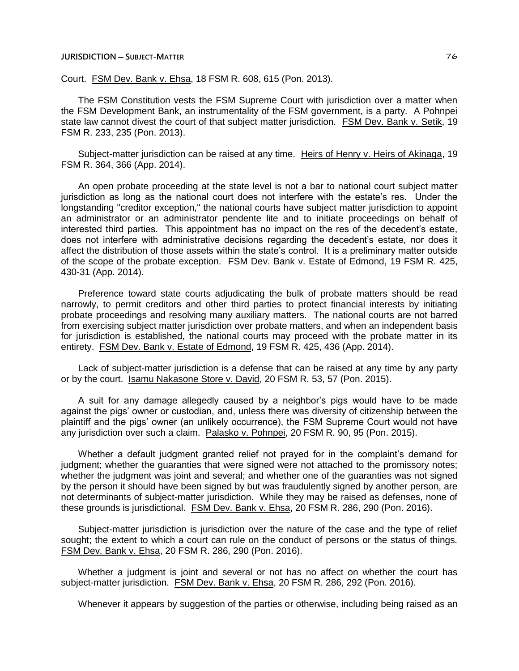Court. FSM Dev. Bank v. Ehsa, 18 FSM R. 608, 615 (Pon. 2013).

The FSM Constitution vests the FSM Supreme Court with jurisdiction over a matter when the FSM Development Bank, an instrumentality of the FSM government, is a party. A Pohnpei state law cannot divest the court of that subject matter jurisdiction. FSM Dev. Bank v. Setik, 19 FSM R. 233, 235 (Pon. 2013).

Subject-matter jurisdiction can be raised at any time. Heirs of Henry v. Heirs of Akinaga, 19 FSM R. 364, 366 (App. 2014).

An open probate proceeding at the state level is not a bar to national court subject matter jurisdiction as long as the national court does not interfere with the estate's res. Under the longstanding "creditor exception," the national courts have subject matter jurisdiction to appoint an administrator or an administrator pendente lite and to initiate proceedings on behalf of interested third parties. This appointment has no impact on the res of the decedent's estate, does not interfere with administrative decisions regarding the decedent's estate, nor does it affect the distribution of those assets within the state's control. It is a preliminary matter outside of the scope of the probate exception. FSM Dev. Bank v. Estate of Edmond, 19 FSM R. 425, 430-31 (App. 2014).

Preference toward state courts adjudicating the bulk of probate matters should be read narrowly, to permit creditors and other third parties to protect financial interests by initiating probate proceedings and resolving many auxiliary matters. The national courts are not barred from exercising subject matter jurisdiction over probate matters, and when an independent basis for jurisdiction is established, the national courts may proceed with the probate matter in its entirety. FSM Dev. Bank v. Estate of Edmond, 19 FSM R. 425, 436 (App. 2014).

Lack of subject-matter jurisdiction is a defense that can be raised at any time by any party or by the court. Isamu Nakasone Store v. David, 20 FSM R. 53, 57 (Pon. 2015).

A suit for any damage allegedly caused by a neighbor's pigs would have to be made against the pigs' owner or custodian, and, unless there was diversity of citizenship between the plaintiff and the pigs' owner (an unlikely occurrence), the FSM Supreme Court would not have any jurisdiction over such a claim. Palasko v. Pohnpei, 20 FSM R. 90, 95 (Pon. 2015).

Whether a default judgment granted relief not prayed for in the complaint's demand for judgment; whether the guaranties that were signed were not attached to the promissory notes; whether the judgment was joint and several; and whether one of the guaranties was not signed by the person it should have been signed by but was fraudulently signed by another person, are not determinants of subject-matter jurisdiction. While they may be raised as defenses, none of these grounds is jurisdictional. FSM Dev. Bank v. Ehsa, 20 FSM R. 286, 290 (Pon. 2016).

Subject-matter jurisdiction is jurisdiction over the nature of the case and the type of relief sought; the extent to which a court can rule on the conduct of persons or the status of things. FSM Dev. Bank v. Ehsa, 20 FSM R. 286, 290 (Pon. 2016).

Whether a judgment is joint and several or not has no affect on whether the court has subject-matter jurisdiction. FSM Dev. Bank v. Ehsa, 20 FSM R. 286, 292 (Pon. 2016).

Whenever it appears by suggestion of the parties or otherwise, including being raised as an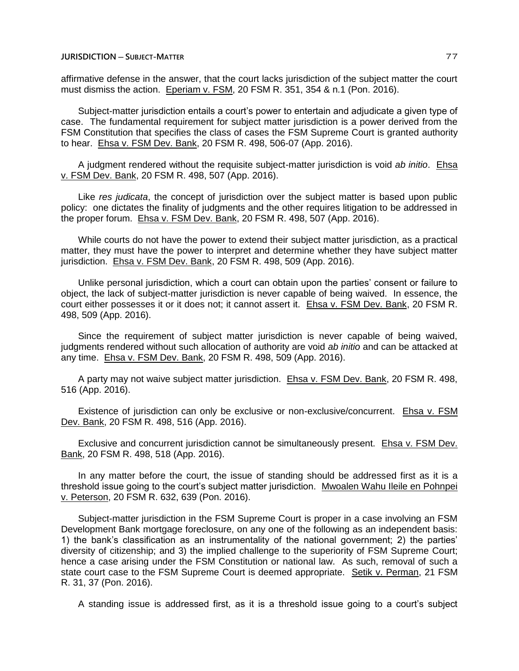affirmative defense in the answer, that the court lacks jurisdiction of the subject matter the court must dismiss the action. Eperiam v. FSM, 20 FSM R. 351, 354 & n.1 (Pon. 2016).

Subject-matter jurisdiction entails a court's power to entertain and adjudicate a given type of case. The fundamental requirement for subject matter jurisdiction is a power derived from the FSM Constitution that specifies the class of cases the FSM Supreme Court is granted authority to hear. Ehsa v. FSM Dev. Bank, 20 FSM R. 498, 506-07 (App. 2016).

A judgment rendered without the requisite subject-matter jurisdiction is void *ab initio*. Ehsa v. FSM Dev. Bank, 20 FSM R. 498, 507 (App. 2016).

Like *res judicata*, the concept of jurisdiction over the subject matter is based upon public policy: one dictates the finality of judgments and the other requires litigation to be addressed in the proper forum. Ehsa v. FSM Dev. Bank, 20 FSM R. 498, 507 (App. 2016).

While courts do not have the power to extend their subject matter jurisdiction, as a practical matter, they must have the power to interpret and determine whether they have subject matter jurisdiction. Ehsa v. FSM Dev. Bank, 20 FSM R. 498, 509 (App. 2016).

Unlike personal jurisdiction, which a court can obtain upon the parties' consent or failure to object, the lack of subject-matter jurisdiction is never capable of being waived. In essence, the court either possesses it or it does not; it cannot assert it. Ehsa v. FSM Dev. Bank, 20 FSM R. 498, 509 (App. 2016).

Since the requirement of subject matter jurisdiction is never capable of being waived, judgments rendered without such allocation of authority are void *ab initio* and can be attacked at any time. Ehsa v. FSM Dev. Bank, 20 FSM R. 498, 509 (App. 2016).

A party may not waive subject matter jurisdiction. Ehsa v. FSM Dev. Bank, 20 FSM R. 498, 516 (App. 2016).

Existence of jurisdiction can only be exclusive or non-exclusive/concurrent. Ehsa v. FSM Dev. Bank, 20 FSM R. 498, 516 (App. 2016).

Exclusive and concurrent jurisdiction cannot be simultaneously present. Ehsa v. FSM Dev. Bank, 20 FSM R. 498, 518 (App. 2016).

In any matter before the court, the issue of standing should be addressed first as it is a threshold issue going to the court's subject matter jurisdiction. Mwoalen Wahu Ileile en Pohnpei v. Peterson, 20 FSM R. 632, 639 (Pon. 2016).

Subject-matter jurisdiction in the FSM Supreme Court is proper in a case involving an FSM Development Bank mortgage foreclosure, on any one of the following as an independent basis: 1) the bank's classification as an instrumentality of the national government; 2) the parties' diversity of citizenship; and 3) the implied challenge to the superiority of FSM Supreme Court; hence a case arising under the FSM Constitution or national law. As such, removal of such a state court case to the FSM Supreme Court is deemed appropriate. Setik v. Perman, 21 FSM R. 31, 37 (Pon. 2016).

A standing issue is addressed first, as it is a threshold issue going to a court's subject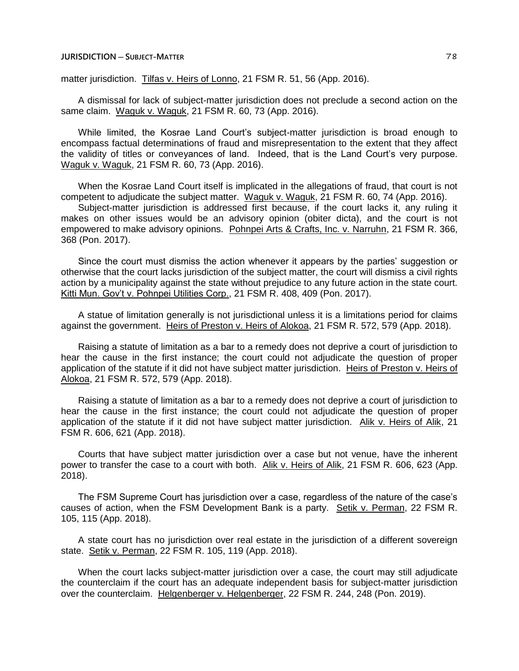matter jurisdiction. Tilfas v. Heirs of Lonno, 21 FSM R. 51, 56 (App. 2016).

A dismissal for lack of subject-matter jurisdiction does not preclude a second action on the same claim. Waguk v. Waguk, 21 FSM R. 60, 73 (App. 2016).

While limited, the Kosrae Land Court's subject-matter jurisdiction is broad enough to encompass factual determinations of fraud and misrepresentation to the extent that they affect the validity of titles or conveyances of land. Indeed, that is the Land Court's very purpose. Waguk v. Waguk, 21 FSM R. 60, 73 (App. 2016).

When the Kosrae Land Court itself is implicated in the allegations of fraud, that court is not competent to adjudicate the subject matter. Waguk v. Waguk, 21 FSM R. 60, 74 (App. 2016).

Subject-matter jurisdiction is addressed first because, if the court lacks it, any ruling it makes on other issues would be an advisory opinion (obiter dicta), and the court is not empowered to make advisory opinions. Pohnpei Arts & Crafts, Inc. v. Narruhn, 21 FSM R. 366, 368 (Pon. 2017).

Since the court must dismiss the action whenever it appears by the parties' suggestion or otherwise that the court lacks jurisdiction of the subject matter, the court will dismiss a civil rights action by a municipality against the state without prejudice to any future action in the state court. Kitti Mun. Gov't v. Pohnpei Utilities Corp., 21 FSM R. 408, 409 (Pon. 2017).

A statue of limitation generally is not jurisdictional unless it is a limitations period for claims against the government. Heirs of Preston v. Heirs of Alokoa, 21 FSM R. 572, 579 (App. 2018).

Raising a statute of limitation as a bar to a remedy does not deprive a court of jurisdiction to hear the cause in the first instance; the court could not adjudicate the question of proper application of the statute if it did not have subject matter jurisdiction. Heirs of Preston v. Heirs of Alokoa, 21 FSM R. 572, 579 (App. 2018).

Raising a statute of limitation as a bar to a remedy does not deprive a court of jurisdiction to hear the cause in the first instance; the court could not adjudicate the question of proper application of the statute if it did not have subject matter jurisdiction. Alik v. Heirs of Alik, 21 FSM R. 606, 621 (App. 2018).

Courts that have subject matter jurisdiction over a case but not venue, have the inherent power to transfer the case to a court with both. Alik v. Heirs of Alik, 21 FSM R. 606, 623 (App. 2018).

The FSM Supreme Court has jurisdiction over a case, regardless of the nature of the case's causes of action, when the FSM Development Bank is a party. Setik v. Perman, 22 FSM R. 105, 115 (App. 2018).

A state court has no jurisdiction over real estate in the jurisdiction of a different sovereign state. Setik v. Perman, 22 FSM R. 105, 119 (App. 2018).

When the court lacks subject-matter jurisdiction over a case, the court may still adjudicate the counterclaim if the court has an adequate independent basis for subject-matter jurisdiction over the counterclaim. Helgenberger v. Helgenberger, 22 FSM R. 244, 248 (Pon. 2019).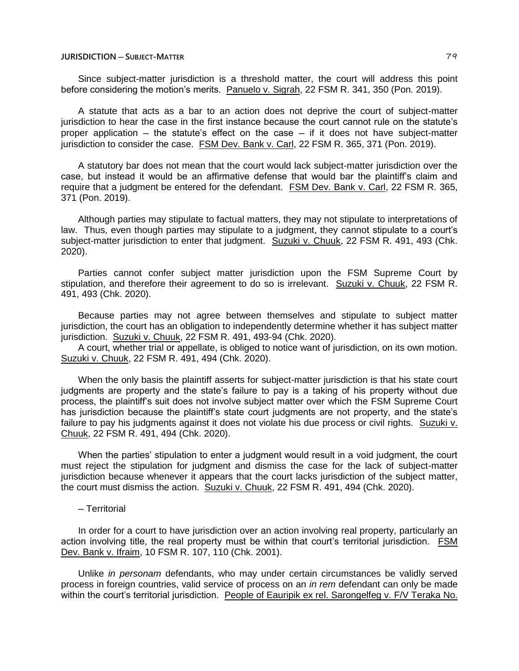Since subject-matter jurisdiction is a threshold matter, the court will address this point before considering the motion's merits. Panuelo v. Sigrah, 22 FSM R. 341, 350 (Pon. 2019).

A statute that acts as a bar to an action does not deprive the court of subject-matter jurisdiction to hear the case in the first instance because the court cannot rule on the statute's proper application  $-$  the statute's effect on the case  $-$  if it does not have subject-matter jurisdiction to consider the case. FSM Dev. Bank v. Carl, 22 FSM R. 365, 371 (Pon. 2019).

A statutory bar does not mean that the court would lack subject-matter jurisdiction over the case, but instead it would be an affirmative defense that would bar the plaintiff's claim and require that a judgment be entered for the defendant. FSM Dev. Bank v. Carl, 22 FSM R. 365, 371 (Pon. 2019).

Although parties may stipulate to factual matters, they may not stipulate to interpretations of law. Thus, even though parties may stipulate to a judgment, they cannot stipulate to a court's subject-matter jurisdiction to enter that judgment. Suzuki v. Chuuk, 22 FSM R. 491, 493 (Chk. 2020).

Parties cannot confer subject matter jurisdiction upon the FSM Supreme Court by stipulation, and therefore their agreement to do so is irrelevant. Suzuki v. Chuuk, 22 FSM R. 491, 493 (Chk. 2020).

Because parties may not agree between themselves and stipulate to subject matter jurisdiction, the court has an obligation to independently determine whether it has subject matter jurisdiction. Suzuki v. Chuuk, 22 FSM R. 491, 493-94 (Chk. 2020).

A court, whether trial or appellate, is obliged to notice want of jurisdiction, on its own motion. Suzuki v. Chuuk, 22 FSM R. 491, 494 (Chk. 2020).

When the only basis the plaintiff asserts for subject-matter jurisdiction is that his state court judgments are property and the state's failure to pay is a taking of his property without due process, the plaintiff's suit does not involve subject matter over which the FSM Supreme Court has jurisdiction because the plaintiff's state court judgments are not property, and the state's failure to pay his judgments against it does not violate his due process or civil rights. Suzuki v. Chuuk, 22 FSM R. 491, 494 (Chk. 2020).

When the parties' stipulation to enter a judgment would result in a void judgment, the court must reject the stipulation for judgment and dismiss the case for the lack of subject-matter jurisdiction because whenever it appears that the court lacks jurisdiction of the subject matter, the court must dismiss the action. Suzuki v. Chuuk, 22 FSM R. 491, 494 (Chk. 2020).

─ Territorial

In order for a court to have jurisdiction over an action involving real property, particularly an action involving title, the real property must be within that court's territorial jurisdiction. FSM Dev. Bank v. Ifraim, 10 FSM R. 107, 110 (Chk. 2001).

Unlike *in personam* defendants, who may under certain circumstances be validly served process in foreign countries, valid service of process on an *in rem* defendant can only be made within the court's territorial jurisdiction. People of Eauripik ex rel. Sarongelfeg v. F/V Teraka No.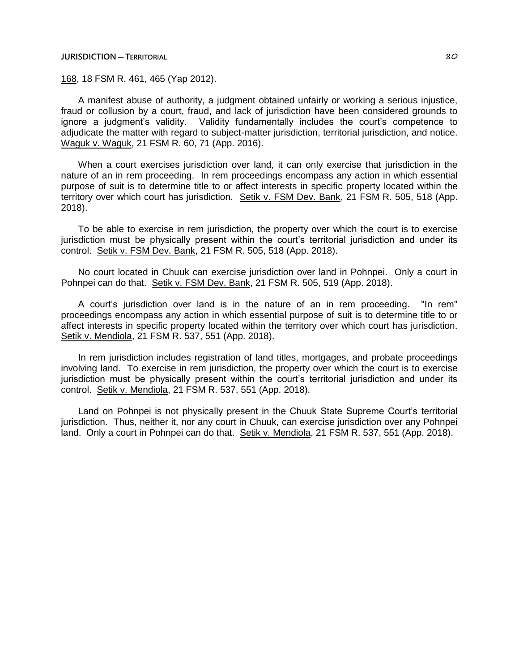# **JURISDICTION ─ TERRITORIAL** 80

168, 18 FSM R. 461, 465 (Yap 2012).

A manifest abuse of authority, a judgment obtained unfairly or working a serious injustice, fraud or collusion by a court, fraud, and lack of jurisdiction have been considered grounds to ignore a judgment's validity. Validity fundamentally includes the court's competence to adjudicate the matter with regard to subject-matter jurisdiction, territorial jurisdiction, and notice. Waguk v. Waguk, 21 FSM R. 60, 71 (App. 2016).

When a court exercises jurisdiction over land, it can only exercise that jurisdiction in the nature of an in rem proceeding. In rem proceedings encompass any action in which essential purpose of suit is to determine title to or affect interests in specific property located within the territory over which court has jurisdiction. Setik v. FSM Dev. Bank, 21 FSM R. 505, 518 (App. 2018).

To be able to exercise in rem jurisdiction, the property over which the court is to exercise jurisdiction must be physically present within the court's territorial jurisdiction and under its control. Setik v. FSM Dev. Bank, 21 FSM R. 505, 518 (App. 2018).

No court located in Chuuk can exercise jurisdiction over land in Pohnpei. Only a court in Pohnpei can do that. Setik v. FSM Dev. Bank, 21 FSM R. 505, 519 (App. 2018).

A court's jurisdiction over land is in the nature of an in rem proceeding. "In rem" proceedings encompass any action in which essential purpose of suit is to determine title to or affect interests in specific property located within the territory over which court has jurisdiction. Setik v. Mendiola, 21 FSM R. 537, 551 (App. 2018).

In rem jurisdiction includes registration of land titles, mortgages, and probate proceedings involving land. To exercise in rem jurisdiction, the property over which the court is to exercise jurisdiction must be physically present within the court's territorial jurisdiction and under its control. Setik v. Mendiola, 21 FSM R. 537, 551 (App. 2018).

Land on Pohnpei is not physically present in the Chuuk State Supreme Court's territorial jurisdiction. Thus, neither it, nor any court in Chuuk, can exercise jurisdiction over any Pohnpei land. Only a court in Pohnpei can do that. Setik v. Mendiola, 21 FSM R. 537, 551 (App. 2018).